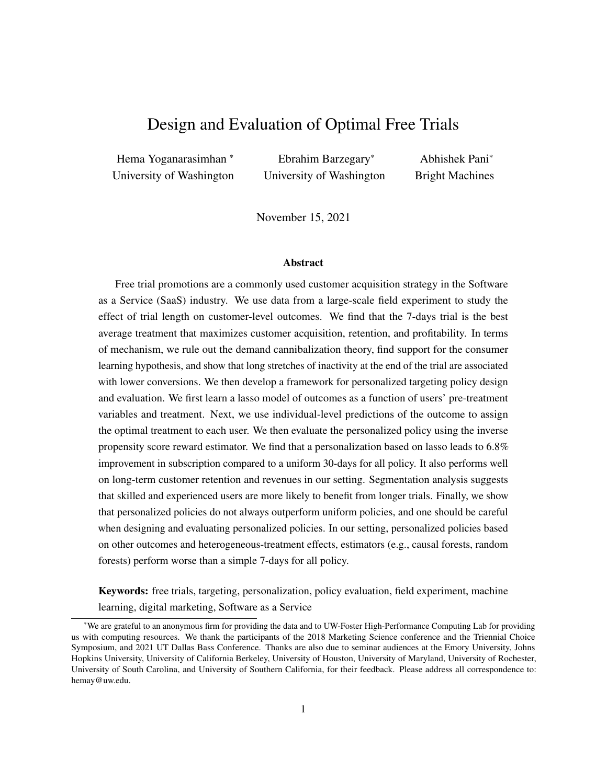# Design and Evaluation of Optimal Free Trials

Hema Yoganarasimhan \* University of Washington

Ebrahim Barzegary\* University of Washington

Abhishek Pani\* Bright Machines

November 15, 2021

#### Abstract

Free trial promotions are a commonly used customer acquisition strategy in the Software as a Service (SaaS) industry. We use data from a large-scale field experiment to study the effect of trial length on customer-level outcomes. We find that the 7-days trial is the best average treatment that maximizes customer acquisition, retention, and profitability. In terms of mechanism, we rule out the demand cannibalization theory, find support for the consumer learning hypothesis, and show that long stretches of inactivity at the end of the trial are associated with lower conversions. We then develop a framework for personalized targeting policy design and evaluation. We first learn a lasso model of outcomes as a function of users' pre-treatment variables and treatment. Next, we use individual-level predictions of the outcome to assign the optimal treatment to each user. We then evaluate the personalized policy using the inverse propensity score reward estimator. We find that a personalization based on lasso leads to 6.8% improvement in subscription compared to a uniform 30-days for all policy. It also performs well on long-term customer retention and revenues in our setting. Segmentation analysis suggests that skilled and experienced users are more likely to benefit from longer trials. Finally, we show that personalized policies do not always outperform uniform policies, and one should be careful when designing and evaluating personalized policies. In our setting, personalized policies based on other outcomes and heterogeneous-treatment effects, estimators (e.g., causal forests, random forests) perform worse than a simple 7-days for all policy.

Keywords: free trials, targeting, personalization, policy evaluation, field experiment, machine learning, digital marketing, Software as a Service

<sup>\*</sup>We are grateful to an anonymous firm for providing the data and to UW-Foster High-Performance Computing Lab for providing us with computing resources. We thank the participants of the 2018 Marketing Science conference and the Triennial Choice Symposium, and 2021 UT Dallas Bass Conference. Thanks are also due to seminar audiences at the Emory University, Johns Hopkins University, University of California Berkeley, University of Houston, University of Maryland, University of Rochester, University of South Carolina, and University of Southern California, for their feedback. Please address all correspondence to: hemay@uw.edu.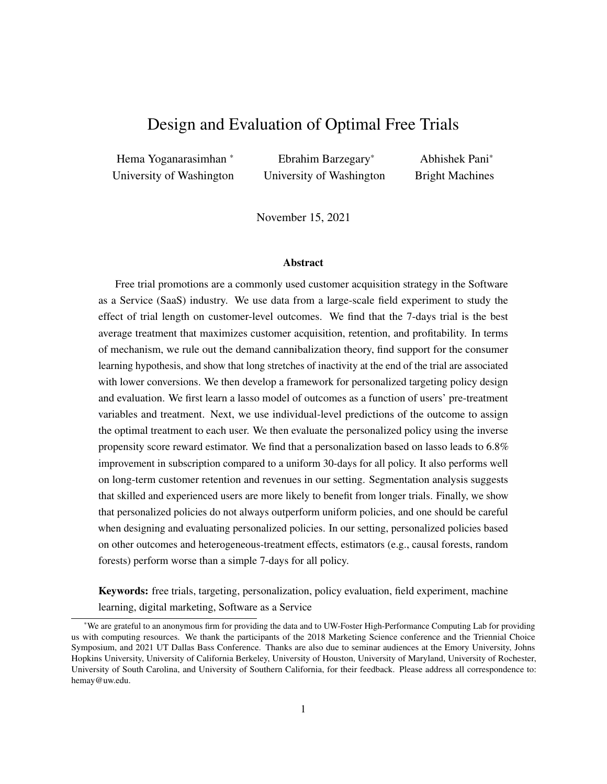# <span id="page-1-0"></span>1 Introduction

#### 1.1 SaaS Business Model and Free Trials

Over the last few years, one of the big trends in the software industry has been the migration of software firms from the perpetual licensing business model to the "Software as a Service" (SaaS) model. In the SaaS model, the software is sold as a service, i.e., consumers can subscribe to the software based on monthly or annual contracts. Global revenues for the SaaS industry now exceed 200 billion USD [\(Gartner, 2019\)](#page-29-0). This shift in the business model has fundamentally changed the marketing and promotional activities of software firms. In particular, it has allowed firms to leverage a new type of customer acquisition strategy: free trial promotions, where new users get a limited time to try the software for free.

Free trials are now almost universal in the SaaS industry because software is inherently *experience good*, and free trials allow consumers to try the software product without risk. However, we do not have a good understanding of how long these trials should be or the exact mechanism through which they work. In the industry, we observe trial lengths ranging anywhere from one week to three months; e.g., Microsoft 365 offers a 30 days free trial, whereas Google's G Suite offers a 14 days free trial. There are pros and cons associated with both long and short trials. A short trial period is less likely to lead to free-riding or demand cannibalization and is associated with lower acquisition costs. On the other hand, an extended trial period can enhance consumer learning by giving consumers more time to learn about product features and functionalities. Longer trials can also create stickiness/engagement and increase switching-back costs. That said, if users do not use the product more with a longer trial, they are more likely to conclude that the product is not useful or forget about it. Thus, longer trials lack the deadline or urgency effect [\(Zhu et al., 2018\)](#page-30-0).

While the above arguments make a global case for shorter/longer trials, the exact mechanism at work and the magnitude of its effect can be heterogeneous across consumers. In principle, if there is significant heterogeneity in consumers' response to the length of free trials, SaaS firms may benefit from assigning each consumer a different trial length depending on her/his demographics and skills. The idea of personalizing the length of free trial promotions is akin to third-degree price discrimination because we effectively offer different prices to different consumers over a fixed period. Indeed, SaaS free trials are particularly well-suited to personalization because of a few reasons. First, software services have zero marginal costs, and there are no direct cost implications of offering different trial lengths to different consumers. Second, it is easy to implement a personalized free trial policy at scale for digital services, unlike physical products. Finally, consumers are less likely to react adversely to receiving different trial lengths (unlike prices). However, it is not clear whether personalizing the length of free trials improves customer acquisition and firm revenues, and if yes, what is the best approach to design and evaluate personalized free trials.

# 1.2 Research Agenda and Challenges

In this paper, we are interested in understanding the role of trial length on customer acquisition and profitability for digital experience goods. We focus on the following research questions. First, does the length of a free trial promotion affect customer acquisition, and if so, what is the ideal trial length? Second, what is the mechanism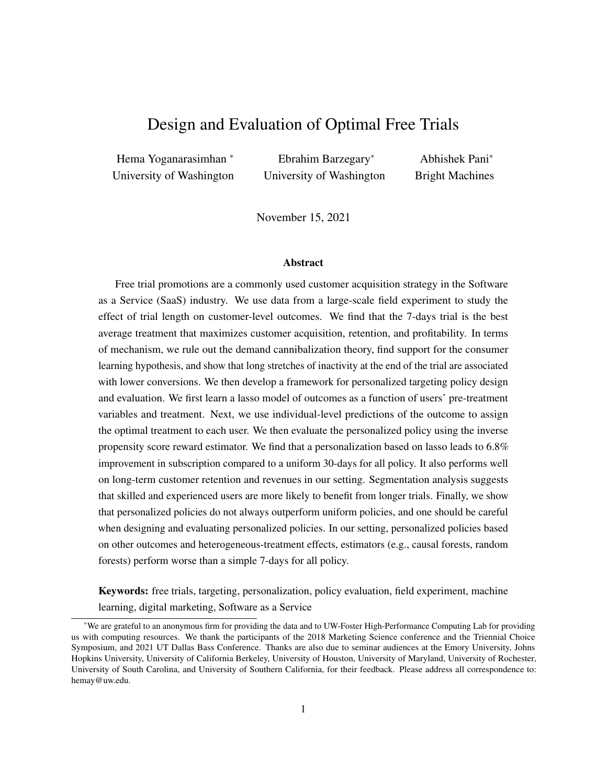through which trial length affects conversions? Third, is there heterogeneity in users' responsiveness to trial lengths? If yes, how can we personalize the assignment of trial lengths based on users' demographics and skills, and what are the gains from doing so? Further, what types of customers benefit from shorter trials vs. longer trials? Finally, how do personalized targeting policies that maximize short-run outcomes (i.e., customer acquisition) perform on long-run metrics such as consumer retention and revenue?

We face three main challenges in answering these questions. First, from a data perspective, we need a setting where trial length assignment is exogenous to user attributes. Further, to understand the mechanism through which trial length affects conversions, we need to observe usage and activity during the trial period. Second, from a methodological perspective, we need a framework to design and evaluate personalized targeting policies in high-dimensional settings and identify the optimal policy. A series of recent papers at the intersection of machine learning and causal inference provide heterogeneous treatment effects estimators, which we can use to personalize treatment assignment [\(Athey and Imbens, 2016;](#page-29-1) [Wager and Athey, 2018\)](#page-30-1). Similarly, a series of papers in marketing have combined powerful predictive machine learning models with experimental (or quasi-experimental) data to develop personalized targeting policies [\(Rafieian and](#page-30-2) [Yoganarasimhan, 2021;](#page-30-2) [Simester et al., 2020\)](#page-30-3). However, the optimal policy that each of these papers/methods arrive at in a given empirical context can differ. Thus far, we have little to no understanding of how these methods compare in their ability to design effective targeting policies. This brings us to the third challenge. We need to be able to evaluate the performance of each policy *offline* (without deploying it in the field). Evaluation is essential because deploying a policy in the field to estimate its effectiveness is costly in time and money. Moreover, given the size of the policy space, it is simply not feasible to test each policy in the field.

# 1.3 Our Approach and Findings

To overcome these challenges and answer our research questions, we combine a three-pronged framework to design and evaluate personalized targeting policies with data from a large-scale free trial experiment conducted by a major SaaS firm. The firm sells a suite of related software products (e.g., Microsoft 365, Google G Suite) and is the leading player in its category, with close to monopolistic market power. At the time of this study, the firm used to give users a 30-days free trial for each of its software products, during which they had unlimited access to the software suite. Then, the firm conducted a large-scale field experiment, where new users who started a free trial for one of the firm's products were randomly assigned to one of 7, 14, or 30-days trial length conditions. It also monitored the subscription and retention decisions of the users in the experiment for two years. The firm also collected data on users' pre-treatment characteristics (e.g., skill level and job) and post-treatment product usage during the trial period.

First, we quantify the average treatment effect of trial length on subscription. We find that the firm can do significantly better by simply assigning the 7-days trial to all consumers (which is the best uniform policy). This leads to a 5.59% gain in subscriptions over the baseline of 30 days for all policy in the test data. In contrast, the 14-days for all policy does not significantly increase subscriptions. This finding suggests that simply shortening the trial length to 7 days will lead to higher subscriptions. At the time of the experiment, the firm offered a standard 30-day free trial to all its consumers. So better performance of the much shorter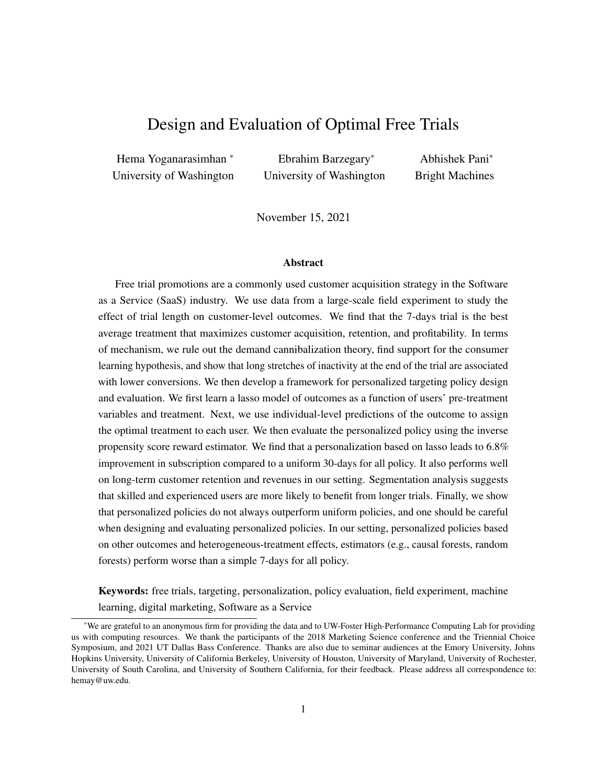7-day trial was surprising, especially since the reasons proposed in the analytical literature for the efficacy of free trials mostly support longer trials, e.g., switching costs, consumer learning, software complexity, and signaling. (See  $\chi$ [2](#page-4-0) for a detailed discussion of the analytical literature on free trials). Therefore, we next examine the mechanism through which trial length affects conversion and present some evidence for why a shorter trial works better in this setting and examine the generalizability of these results. To that end, we leverage the usage data during the trial period to understand the mechanism through which trial length affects subscriptions. We show that there are two opposing effects of trial length. On the one hand, as trial length increases, product usage and consumer learning about the software increases. This increase in usage can have a positive effect on subscriptions. On the other hand, as trial length increases, the gap between the last active day and the end of the trial increases, while the average number of active days and usage per day reduces. These factors are associated with lower subscriptions. In our case, the latter effect dominates the former, and shorter trials are better.

Our analysis presents three key findings relevant to the theories on the role of free trials for experience goods. First, we rule out the demand cannibalization or free riding hypothesis advocated by many theoretical papers by showing that users who use the product more during the trial are more likely to subscribe [\(Cheng](#page-29-2) [and Liu, 2012\)](#page-29-2). Second, we provide empirical support for the consumer learning hypothesis, since we show that longer trials lead to more usage, which in turn is associated with higher subscriptions [\(Dey et al., 2013\)](#page-29-3). Third, we identify a novel mechanism that plays a significant role in the effectiveness of free trials – the negative effect of long stretches of inactivity at the end of the trial on subscription.

Next, we develop a two-step approach to personalized policy design since an unstructured search for the optimal policy is not feasible in our high-dimensional setting. In the first stage, we learn a lasso model of outcomes (subscription) as a function of the users' pre-treatment demographic variables and their trial length. Then in the second stage, we use the individual-level predictions of the outcome to assign the optimal treatment for each user. Then, we use the Inverse Propensity Score (IPS) reward estimator, popular in the counterfactual policy evaluation literature in computer science, for offline policy evaluation [\(Horvitz and](#page-29-4) [Thompson, 1952;](#page-29-4) Dudík et al., 2011).

Based on this approach, we show that the personalized free trial policy leads to over 6.8% improvement in subscription compared to the baseline uniform policy of giving a 30-day trial for all. That said, the magnitude of gains from personalization (over the best uniform policy of 7 days for all) are modest (which is in line with the recent findings on personalization of marketing interventions in digital settings; e.g., [Rafieian and](#page-30-2) [Yoganarasimhan](#page-30-2) [\(2021\)](#page-30-2)). Further, we find that customers' experience and skill level affect their usage, which affects their subscription patterns. Beginners and inexperienced users show only a small increase in usage with longer trial periods. Further, when given longer trials, they end up with long periods of inactivity at the end of the trial period, which negatively affects their likelihood of subscribing. Thus, it is better to give them short trials. In contrast, long trials are better for experienced users because it allows them to use the software more and they are not as negatively influenced by periods of inactivity later in the trial period. Overall, our findings suggest that simpler products and experienced users are more likely to benefit from longer trials.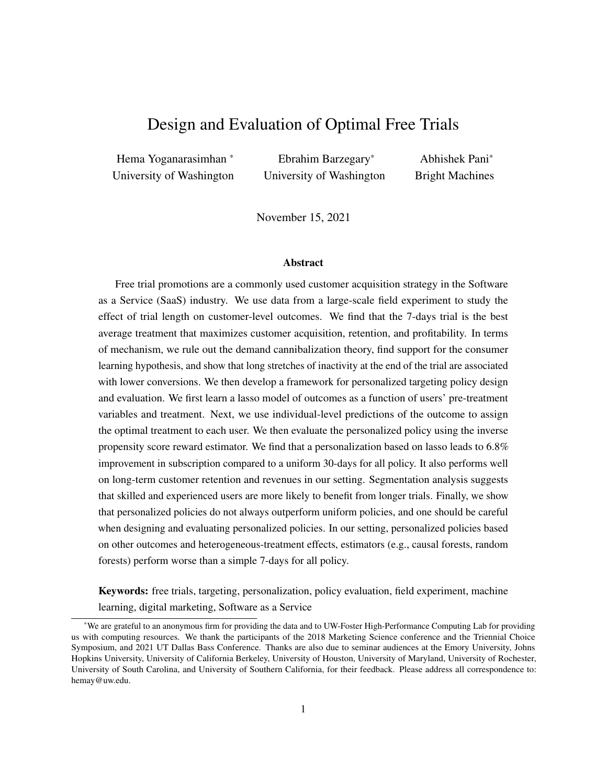Next, we find that the personalized policy, designed to optimize subscriptions, also performs well on long-term metrics, with a 7.96% increase in customer retention (as measured by subscription length) and 11.61% increase in revenues. We also consider two alternative personalized policies designed to maximize subscription length and revenues and compare their performance with that of the subscription-optimal policy. Interestingly, we find that the subscription-optimal policy always performs the best, even on long-run outcomes. While this finding is specific to this context, it nevertheless shows that optimizing low-variance intermediate outcomes (i.e., statistical surrogates) can be revenue- or loyalty-optimal in some settings.

Finally, we consider counterfactual policies based on four other outcome estimators: (1) linear regression, (2) CART, (3) random forests, and (4) XGBoost, and two heterogeneous treatment effect estimators: (1) causal tree, and (2) generalized random forests. We find our lasso-based personalized policy continues to perform the best, followed by the policy based on XGBoost (6.17% improvement). However, policies based on other outcome estimators (e.g., random forests, regressions) perform poorly. Interestingly, policies based on the recently developed heterogeneous treatment effects estimators (causal tree and causal forest) also perform poorly. Causal tree is unable to personalize the policy at all. Causal forest personalizes policy by a small amount, but the gains from doing so are marginal. While our findings are specific to this context, it nevertheless suggests that naively using these methods to develop personalized targeting policies can lead to sub-optimal outcomes. This is particularly important since these methods are gaining traction in the marketing literature and are being used without evaluation using off-policy methods; see for example [Guo](#page-29-6) [et al.](#page-29-6) [\(2017\)](#page-29-6) and [Fong et al.](#page-29-7) [\(2019\)](#page-29-7).

Our research makes three main contributions to the literature. First, from a substantive perspective, we present the first empirical study that establishes the causal effect of trial length on conversions and provides insight into the mechanisms at play. Second, from a methodological perspective, we present a framework that managers and researchers can use to design and evaluate personalized targeting strategies applicable to a broad range of marketing interventions. Finally, from a managerial perspective, we show that the policies designed to optimize short-run conversions also perform well on long-run outcomes in our setting, and may be worth considering in other similar settings. Importantly, managers should recognize that many popular estimators can give rise to poorly designed personalized policies, which are no better than simple uniform policies. Offline policy evaluation is thus a critical step before implementing any policy.

# <span id="page-4-0"></span>2 Related Literature

Our paper relates to the research that examines the effectiveness of free trials on the purchase of experience goods, especially digital and software products. Analytical papers in this area have proposed a multitude of theories capturing the pros and cons of offering free trials. Mechanisms such as switching costs, network effects, quality signaling, and consumer learning are often proposed as reasons for offering free trials. In contrast, free-riding and demand cannibalization are offered as reasons against offering free trials. See [Cheng](#page-29-2) [and Liu](#page-29-2) [\(2012\)](#page-29-2), [Dey et al.](#page-29-3) [\(2013\)](#page-29-3), and Wang and Özkan-Seely [\(2018\)](#page-30-4) for further details. In spite of this rich theory literature, very few empirical papers have examined whether and how free trials work in practice. In an early paper, [Scott](#page-30-5) [\(1976\)](#page-30-5) uses a small field experiment to examine if users given a two-week free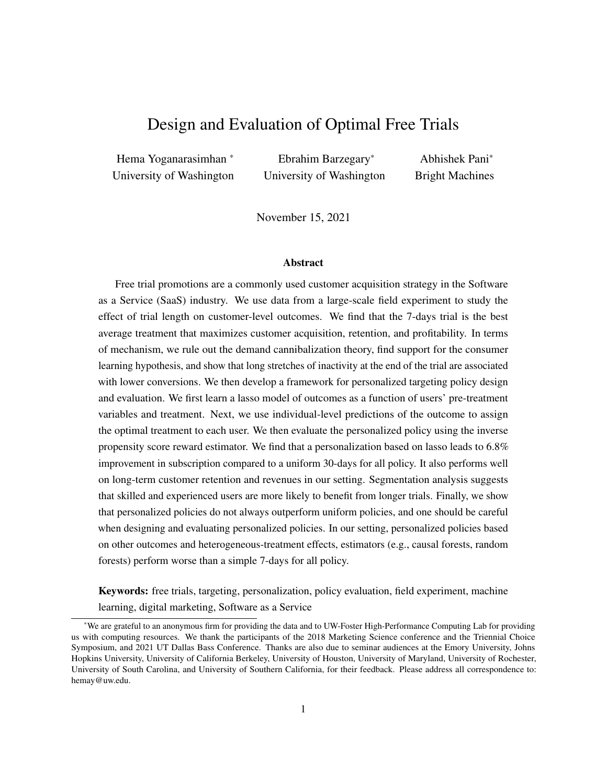trial are more likely to purchase a newspaper subscription. Interestingly, she finds that free trials do not lead to more subscriptions compared to the control condition. While the number of participants may not have been sufficient to detect small effects and the context was very different from digital SaaS products, it nevertheless raises the question of whether free trials can be an effective marketing strategy. More recently, two empirical papers study free trials using observational data. [Foubert and Gijsbrechts](#page-29-8) [\(2016\)](#page-29-8) build a model of consumer learning and show that while free trials can enhance adoption, ill-timed free trials can also suppress adoption. Using a bayesian learning approach, [Sunada](#page-30-6) [\(2018\)](#page-30-6) compares the profitability of different free trial configurations. However, neither of these papers examines how trial length affects subscriptions/revenues because they lack variation in the length of the free trials in their data. In contrast, we use data from a large-scale field experiment with exogenous variation in the length of free trials to identify the optimal trial length for each user. In addition, we contribute to this literature by leveraging the individual-level software usage data during the trial period to rule out some of the earlier theories proposed in this context, e.g., free riding. To the best of our knowledge, our paper provides the first comprehensive empirical analysis of how trial length affects the purchase of digital experience goods.

Second, our paper relates to the marketing literature on real-time customization and personalization of digital products and promotions using machine learning methods. This literature has used a wide range of methods for the personalization tasks in a variety of contexts: website design using dynamic programming and adaptive experiments [\(Hauser et al., 2009\)](#page-29-9), display ads using multi-arm bandits [\(Schwartz et al., 2017\)](#page-30-7), ranking of search engine results using feature engineering, and boosted trees [\(Yoganarasimhan, 2020\)](#page-30-8), mobile ads using behavioral and contextual features [\(Rafieian and Yoganarasimhan, 2021\)](#page-30-2), and the sequence of ads shown in mobile apps using batch reinforcement learning and optimal dynamic auctions [\(Rafieian, 2019a](#page-30-9)[,b\)](#page-30-10). We add to this literature in two ways. First, we document the gains from personalizing the duration of a new type of promotional strategy: the length of time-limited free trials for digital experience goods using a targeting framework based on data from a large-scale field experiment. Second, we show that while personalization can help, it may not always be the case. Indeed, in our setting, many commonly used methods for personalization often perform worse than a robust uniform policy based on average treatment effects. While these findings are specific to our context, it nevertheless suggests that managers should be careful in designing and evaluating personalized targeting policies.

Our paper also relates to the theoretical and empirical research on personalized policy design and evaluation in computer science and economics. In an early theoretical paper, [Manski](#page-29-10) [\(2004\)](#page-29-10) presents a method that finds the optimal treatment for each observation by minimizing a regret function. Recent theoretical papers in this area include [Swaminathan and Joachims](#page-30-11) [\(2015\)](#page-30-11) and [Swaminathan et al.](#page-30-12) [\(2017\)](#page-30-12), [Kitagawa and Tetenov](#page-29-11) [\(2018\)](#page-29-11), and [Athey and Wager](#page-29-12) [\(2017\)](#page-29-12). There is also a small but growing list of marketing papers in this area. [Hitsch and Misra](#page-29-13) [\(2018\)](#page-29-13) propose a heterogeneous treatment effects estimator based on kNN, develop targeting policies based on it, and evaluate the performance of their policies using the IPS estimator on a test data. However, their estimator does not work in our setting because it requires all the covariates to be continuous since it based on Euclidean distance. [Simester et al.](#page-30-3) [\(2020\)](#page-30-3) examine how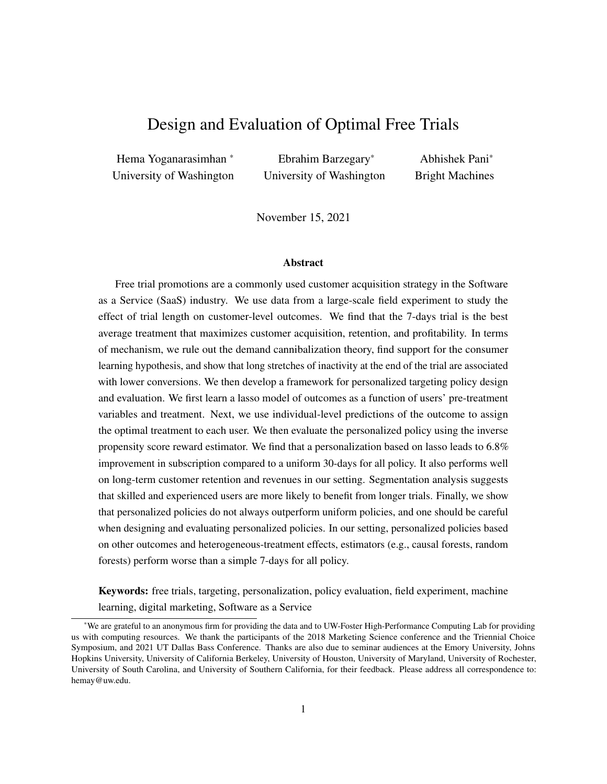managers can evaluate targeting policies efficiently. They compare two types of randomization approaches: (a) randomization by action and (b) randomization by policy. The provide two valuable insights. First, they note that randomization by action is preferable to randomization by policy because it allows us use off policy evaluation to evaluate any policy. Second, they note that when comparing two policies we should recognize that if the policies recommend the same action for some customers then the difference in the performance of the policy for these customers is exactly zero. In another particularly relevant paper, [Simester et al.](#page-30-13) [\(2019\)](#page-30-13) investigate how data from field experiments can be used to design targeting policies for new customers or new regimes, and also use the IPS estimator to evaluate the peformance of a series of personalized policies. They present comparisons for a broad range of methods and show that model-based methods in general (and lasso in particular) offers the best performance, though this advantage vanishes if the setting and/or consumers change significantly. Our paper also echoes this finding: the lasso-based personalized policy performs the best in our setting too. Further, we also provide comparisons to personalized policies based on the newly proposed heterogeneous treatment effects estimators (e.g., causal forest), and show that the lasso-based policy continues to perform the best.

Our paper is relevant to the literature on statistical surrogates [\(Prentice, 1989;](#page-30-14) [VanderWeele, 2013\)](#page-30-15). In our setting, subscription can be interpreted as an intermediate outcome or surrogate for long-run retention and revenue. Interestingly, we find that personalized policies optimized on the short-term outcome or surrogate do well (or better than) policies optimized directly on the long-term outcomes. We attribute this to the fact that long-term outcomes have higher variance and fewer observations in our setting. In a recent paper, [Yang](#page-30-16) [et al.](#page-30-16) [\(2020\)](#page-30-16) use surrogates to impute the missing long-term outcomes and then use the imputed long-term outcomes to develop targeting policies. Their results confirm our broader finding that short-term outcomes can be sufficient to derive targeting policies that are optimal from a long-run perspective.

More broadly, our work relates to the large stream of marketing literature that has examined and contrasted the short vs. long run effects of promotions [\(Mela et al., 1997;](#page-29-14) [Pauwels et al., 2002\)](#page-29-15). The main takeaway from this literature is that consumers who are exposed to frequent price promotions become price sensitive and engage in forward buying over time. While these early papers focused on consumer packaged goods, [Anderson and Simester](#page-29-16) [\(2004\)](#page-29-16) conduct a field experiment on price promotions in the context of durable goods sold through catalogs. They find evidence in support of both forward-buying and increased deal sensitivity. Our paper adds to this literature by examining the long-run effect of free-trial promotions on long-run subscription and revenue for digital SaaS products. While free-trial promotions can be viewed as a price discount (i.e., zero price for a fixed period), forward-buying is not feasible in our setting and consumers are exposed to the promotion only during the sign-up period (i.e., no expectation of future free trials). In this case, we find that targeted free-trial promotions that maximize short-run revenue (or subscriptions) also perform well on long-run outcomes (two-year revenue).

# 3 Setting and Data

In this section, we describe our application setting and data.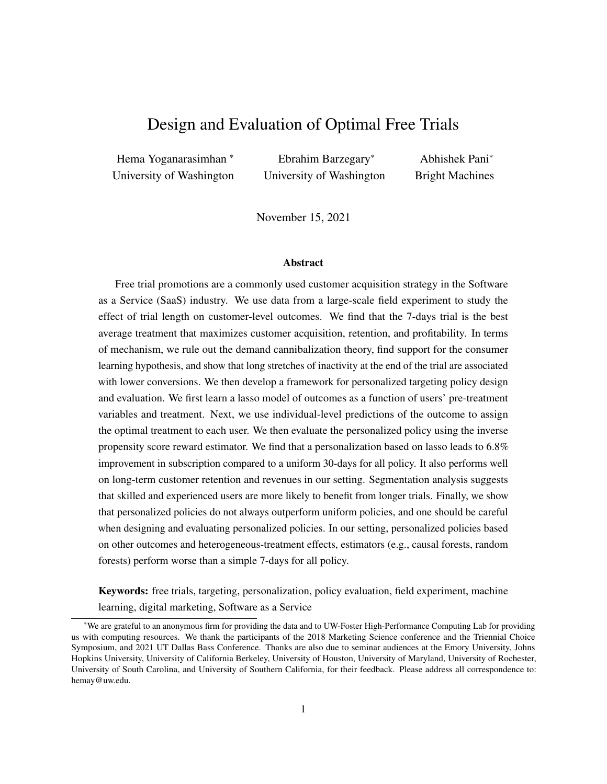# <span id="page-7-1"></span>3.1 Setting

Our data come from a major SaaS firm that sells a suite of software products. The suite includes a set of related software products (similar to Excel, Word, PowerPoint in Microsoft's MS-Office). The firm is the leading player in its category, with close to monopolistic market power. Users can either subscribe to single-product plans that allow them access to one software product or to bundled plans that allow them to use several products at the same time. Bundles are designed to target specific segments of consumers and consist of a set of complementary products. The prices of the plans vary significantly and depend on the bundle, the type of subscription (regular or educational), and the length of commitment (monthly or annual). Standard subscriptions run from \$30 to \$140 per month depending on the products in the bundle and come with a monthly renewal option. (To preserve the firm's anonymity, we have multiplied all the dollar values in the paper by a constant number.) If the user is willing to commit to an annual subscription, they receive over 30% discount in price. However, users in annual contracts have to pay a sizable penalty to unsubscribe before the end of their commitment. The firm also offers educational licenses at a discounted rate to students and educational institutions, and these constitute 20.8% of the subscriptions in our data.

# 3.2 Field Experiment

At the time of this study, the firm used to give users a 30-day free trial for each of its software products, during which they had unlimited access to the product.<sup>[1](#page-7-0)</sup> In order to access the product after the trial period, users need a subscription to a plan or bundle that includes that product.

To evaluate the effectiveness of different trial lengths, the firm conducted a large-scale field experiment that ran from December  $1^{st}$ 2015 to January 6<sup>th</sup> 2016 and spanned six major geographic markets – Australia and New Zealand, France, Germany, Japan, United Kingdom, and United States of America. During the experiment period, users who started a free trial for any of the firm's four most popular products were randomly assigned to one of 7, 14 or 30 days free trial length buckets. These three trial lengths were chosen because they are the most commonly used ones in the industry and represent a vast majority of the SaaS free trials. Treatment assignment was at user level, i.e., once a user was assigned to a trial length, her/his trial length for the other three popular products was also set at the same length. The length of the free trial for other products during this period remained unchanged at 30 days. The summary statistics for the treatment assignment and subscriptions are shown in Table [1.](#page-8-0)

The experiment was carefully designed and implemented to rule out the possibility of self-selection into treatments, a common problem in field experiments. In our setting, if users can see which treatment (or free trial length) they are assigned to prior to starting their trial, then users who find their treatment undesirable may choose to not start the trial. In that case, the observed sample of users in each treatment condition would no longer be random, and this in turn would bias the estimated treatment effects. Moreover, since the experimenter cannot obtain data on those who choose to not to start their free trials, there is no way to address this problem econometrically. To avoid these types of self-selection problems, the firm designed

<span id="page-7-0"></span><sup>&</sup>lt;sup>1</sup>This free trial is at the software product level, i.e., users start a separate trial for each software product, and their trial for a given product expires 30 days from the point at which they started the free trial for it.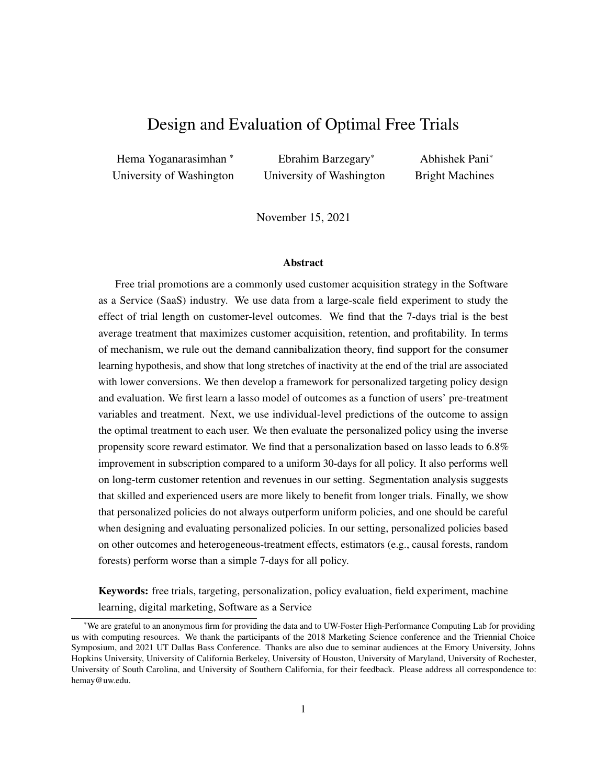<span id="page-8-0"></span>

|                                           | <b>7 Days Trial</b> | 14 Days Trial | <b>30 Days Trial</b> | Total   |
|-------------------------------------------|---------------------|---------------|----------------------|---------|
| Number of observations (N)                | 51,040              | 51,017        | 235,667              | 337,724 |
| Percent of total observations             | 15.11               | 15.11         | 69.78                | 100     |
| Number of subscriptions                   | 7,835               | 7,635         | 34.564               | 50,034  |
| Percent of total subscriptions            | 15.66               | 15.26         | 69.08                | 100     |
| Subscription rate within group (in $\%$ ) | 15.36               | 14.96         | 14.67                | 14.81   |

Table 1: Summary statistics of treatment assignment and subscription rates.

the experiment so that users were informed of their trial-length only after starting their trial. In order to try a software product, users had to take the following steps: (1) sign up with the firm by creating an ID, (2) download an app manager that manages the download and installation of all the firm's products, and (3) click on an embedded *start trial* button to start the trial for a given product. Only at this point in time, they are shown the length of their free trial as the time left before their trial expires (e.g., "Your free trial expires in 7 days"). While users can simply quit or choose to not use the product at this point, their identities and actions are nevertheless captured in our data and incorporated in our analysis.

Finally, it is important to note that treatment assignment was unconfounded with other marketing mix variables. In this context, it is useful to discuss prices since they can vary across products and users. The price that a user gets for a product/bundle depends only on two user-level observables – the geographic location of the user and her/his job (students get a discount). Both of these variables are observed in the data, and treatment assignment is orthogonal to these variables. Thus, price is not confounded with treatment.<sup>[2](#page-8-1)</sup>

In sum, the design satisfies the two main conditions necessary for the experiment to be deemed clean – (1) unconfoundedness and (2) compliance [\(Mutz et al., 2019\)](#page-29-17).

#### 3.3 Data

We have data on 337,724 users who were part of the experiment. For each user i, we observe the following information – (1) Treatment assignment  $(W_i)$ , (2) Pre-treatment demographic data  $(X_i)$ , and (3) Post-treatment behavioral data  $(Z_i)$ . The treatment variable denotes the trial length that the user was assigned to – 7, 14, or 30 days. The variables under the latter two categories are described in detail below.

# 3.3.1 Pre-treatment demographic data

- 1. Geographic region: The geographic region/country that the user belongs to (one of the six described in  $x3.1$ ). It is automatically inferred from the user's IP address.
- 2. Operating system: The OS installed on the user's computer. It can take eight possible values, e.g., Windows 7, Mac OS Yosemite. It is inferred by the firm based on the compatibility of the products downloaded with the user's OS.

<span id="page-8-1"></span> $2$ While the distribution of prices shown to users is the same across all treatment arms, the distribution of prices paid by the subscribers can be different under each treatment arm. This is because the length of the free trial can influence which types of consumers subscribe and the products/bundles that they subscribe to. These differences can lead to downstream differences in the revenues under treatments and targeting policies. We discuss these issues in detail in  $\chi$ ??.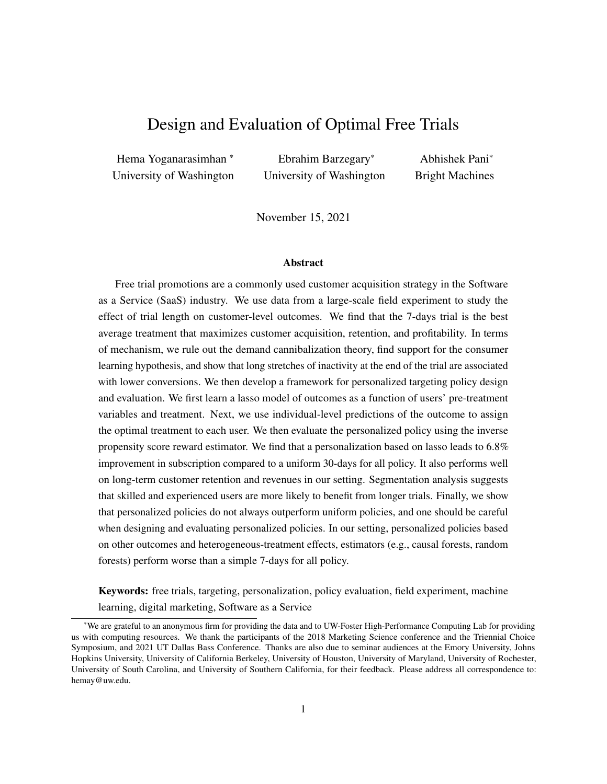<span id="page-9-1"></span>

|                   | Number of      | Share of top sub-categories |        |           |                   |  |  |
|-------------------|----------------|-----------------------------|--------|-----------|-------------------|--|--|
| <b>Variable</b>   | sub-categories | 1st                         | 2nd    | 2rd       | $\varLambda^{th}$ |  |  |
| Geographic region | 6              | 55.02%                      | 13.66% | 9.12%     | 8.83%             |  |  |
| Operating system  | 8              | 28.97%                      | 21.4%  | 14.04%    | 13.98%            |  |  |
| Signup channel    | 42             | 81.56%                      | 8.14%  | 3.47%     | 0.81%             |  |  |
| Job               | 14             | 28.20%                      | 21.90% | 20.34%    | 8.46%             |  |  |
| Skill             | 5              | 69.05%                      | 12.75% | $10.77\%$ | 7.38%             |  |  |
| Business segment  |                | 35.41%                      | 32.74% | 18.40%    | 7.81%             |  |  |

Table 2: Summary statistics for the pre-treatment categorical variables.

- 3. Sign-up channel: The channel through which users came to sign-up for the free trial. In total, there are 42 possible sign-up channels, e.g., from the legacy version of the software, from the firm's website, through third-parties, and so on.
- 4. Skill: A self-reported measure of the user's fluency in using the firm's software suite. This can take four possible values – beginner, intermediate, experienced, and mixed.
- 5. Job: The user's job-title (self-reported). The firm gives users 13 job-titles to pick from, e.g., student, business professional, hobbyist.
- 6. Business segment: The self-reported business segment that the user belongs to. Users can choose from six options here, e.g., educational institution, individual, enterprise.

The last three variables are self-reported though not open-ended, i.e., users are required to pick one option from a list provided by the firm. However, users may choose not to report these values, in which case, the missing values are recorded as "unknown". We treat this as an additional category for each of these three variables in our analysis.<sup>[3](#page-9-0)</sup> The six pre-treatment variables and their summary statistics are shown in Table [2.](#page-9-1)

# <span id="page-9-3"></span>3.3.2 Post-treatment behavioral data

For all the users in our data, we observe their subscription and renewal decisions for approximately 24 months (from December 2015 till November 2017). We have data on:

- 1. Subscription information: We have data on whether a user subscribes or not, and the date and type of subscription (product or bundle of products) if she does subscribe.
- 2. Subscription length: Number of months that the user is a subscriber of one or more products/bundles during the 24-month observation period. If a user does not subscribe to any of the firm's products during the observation period, then this number is zero by default.<sup>[4](#page-9-2)</sup>

<span id="page-9-0"></span> $3$ Only a small fraction of people choose to not report these data. For example, the percentage of users with "unknown" Skill and Job is 7.4% and 21.9%, respectively.

<span id="page-9-2"></span><sup>&</sup>lt;sup>4</sup>If a user unsubscribes for a period of time and then comes back, her subscription length is the total number of months that she was a paying customer of the firm. If a user subscribes to two or more plans, we aggregate the length of subscription all plans and report the total. So the subscription length can be greater than 24 months for such users.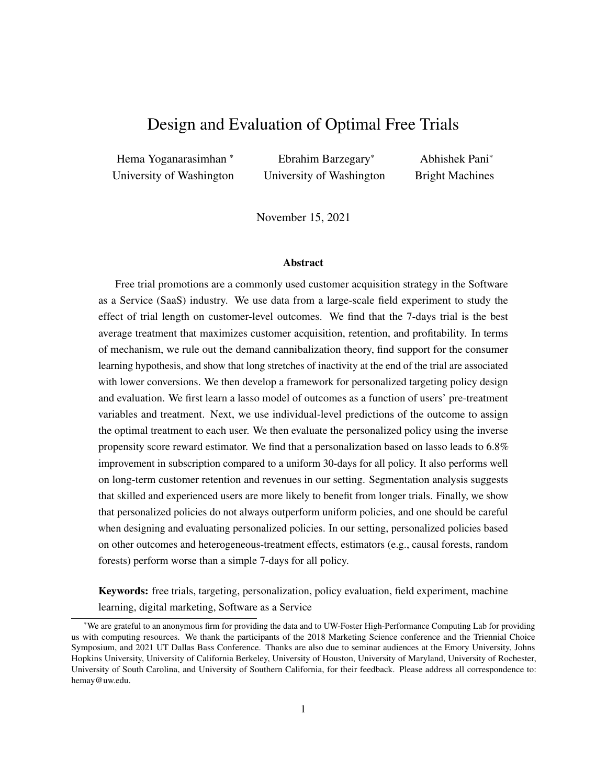<span id="page-10-0"></span>

| Variable                          | Mean  | <b>Standard</b><br>Deviation | Min      | 25% | $50\%$   | 75%      | <b>Max</b> | Number of<br><b>Observations</b> |
|-----------------------------------|-------|------------------------------|----------|-----|----------|----------|------------|----------------------------------|
| Subscription                      | 0.148 | 0.355                        | $\theta$ | 0   |          |          |            | 337,724                          |
| Subscription length (all)         | 2.23  | 6.37                         | 0        | 0   | $\theta$ | $\theta$ | 108        | 334,223                          |
| Subscription length (subscribers) | 16.02 | 8.43                         | 0        | 10  | 17       | 22       | 108        | 46,533                           |
| Revenue (all)                     | 79.13 | 285                          | $\theta$ | 0   | 0        | 0        | 20,208     | 334,223                          |
| Revenue (subscribers)             | 568   | 552                          | 0        | 242 | 420      | 666      | 20.208     | 46.533                           |

Table 3: Summary statistics of subscription, subscription length, and revenue outcomes. All the revenue numbers are scaled by a constant factor to preserve the firm's anonymity.

3. Revenue: The total revenue (in scaled dollars) generated by the user over the 2-year observation period. This is a function of the user's subscription date, the products and/or bundles that she subscribes to, the price that she pays for her subscription, and subscription length.

The summary statistics of these outcome variables are presented in Table [3.](#page-10-0) Both subscription length and revenue are shown for: (a) all users and (b) the subset of users who subscribed. There are a couple of points to note here. First, we do not have access to the subscription length and revenue data for team subscriptions and government subscriptions (which constitute a total of 3501 subscriptions). Hence, the number of observations used to calculate the summary statistics for subscription length and revenue for subscribers is lower. Second, the minimum subscription length observed in the data for subscribers is zero because we have a few users (58 users) who immediately unsubscribed after subscribing (within one month), in which case the firm returns their money and records their subscription length and revenue as zero. Based on Table [3,](#page-10-0) we see that approximately 14.8% users who start a free trial subscribe, and the average subscription length of subscribers is about 16 months (which is a little over a year).

We also observe the following product download and usage data for the duration of a user's trial period.

- 1. Products downloaded: The date and time-stamp of each product downloaded by the user.
- 2. Indicator for software use: An indicator for whether the user used the software at all.
- 3. Number of active days: Total number of days in which the user used the software during the trial period. For example, if a user with a 7-day trial uses the software on the first and third day, this variable is two.
- 4. Usage during trial: Each product in the software suite has thousands of functionalities. Functionalities can be thought of as micro-tasks and are defined at the click and key-stroke level; e.g., save a file, click undo, and create a table. The firm captures all this information and we have data on the total count of the functionalities used by the user during her trial period.
- 5. Dormancy length: The number of days between the last active day and the last day of trial, as shown in Figure [1.](#page-11-0) For example, if a user with a 30-days trial last used the software on day 20, then her dormancy length is 10.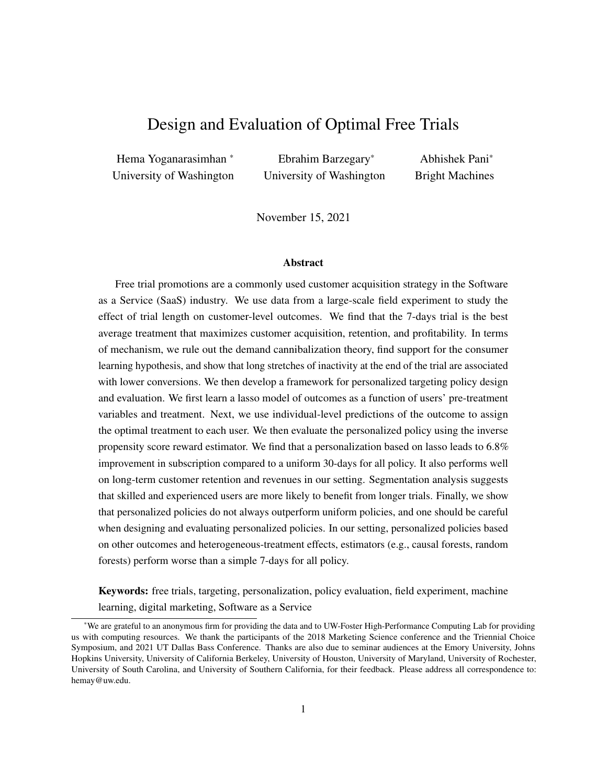

<span id="page-11-1"></span><span id="page-11-0"></span>Figure 1: Dormancy length: Number of days between the last active day and the end of the trial period.

| Variable                   | Mean  | Std   | Min      | 25%  | 50%   | 75%   | Max     | N       |
|----------------------------|-------|-------|----------|------|-------|-------|---------|---------|
| Total downloaded packages  | 1.17  | 0.41  | 1.0      | 1.00 | 1.00  | 1.00  | 4.00    | 337.724 |
| Indicator for software use | 0.83  | 0.37  | 0.0      | 1.00 | 1.00  | 1.00  | 1.00    | 303,514 |
| Number of active days      | 3.03  | 3.94  | 0.0      | 1.00 | 2.00  | 4.00  | 30.00   | 303,514 |
| Usage during trial         | 1.733 | 7.220 | $\Omega$ | 47   | 257   | 1.086 | 488,666 | 303.514 |
| Log usage during trial     | 5.09  | 2.74  | 0.0      | 3.87 | 5.55  | 6.99  | 13.10   | 303,514 |
| Dormancy length            | 16.87 | 11.23 | 0.0      | 6.00 | 15.00 | 29.00 | 30.00   | 303,514 |
|                            |       |       |          |      |       |       |         |         |

Table 4: Summary statistics for usage features.

We present the summary statistics of these usage variables in Table [4.](#page-11-1) The usage data are also missing (at random) for a subset of users and we report the summary statistics for non-missing observations. As we can see, most users download only one software product; only 13.6% of people download more than one product. Further, 83% of users try the software at least once. However, the number of active days is relatively small; the average user uses the software for only three days during the trial period. Next, we see that an average user uses 1, 733 functionalities during her trial. However, notice that this variable is very skewed with the variance much higher than the mean. So we use the natural log of this variable in all our analyses going forward. Finally, we see that the average dormancy length is close to 17 days, which means that many users stop using the software much before the end of trial period.

Finally, we refer interested readers to Tables [A1](#page-31-0) and [A2](#page-31-1) in Appendix [A](#page-31-2) for the summary statistics of outcome and usage variables by trial length, respectively.

#### 3.3.3 Training and Test Data

To design and test counterfactual free trial policies, we partition the data into two independent samples.

Training Data: This is the data that is used for both learning the model parameters as well as model selection (or hyper-parameter optimization through cross-validation).

Test Data: This is a hold-out data on which we can evaluate the performance of the policies designed based on the models built on training data.

We use 70% of the data for training (and validation) and 30% for test. See Table [A3](#page-32-0) in the [A](#page-31-2)ppendix *x*A for a detailed breakdown of how the data are split across the two data-sets. Note that while the joint distributions of the variables in the two samples should be the same theoretically, there will be some minor differences between the two data-sets due to the randomness in splitting in a finite sample. It is important to keep this in mind when comparing results *across* the two data-sets.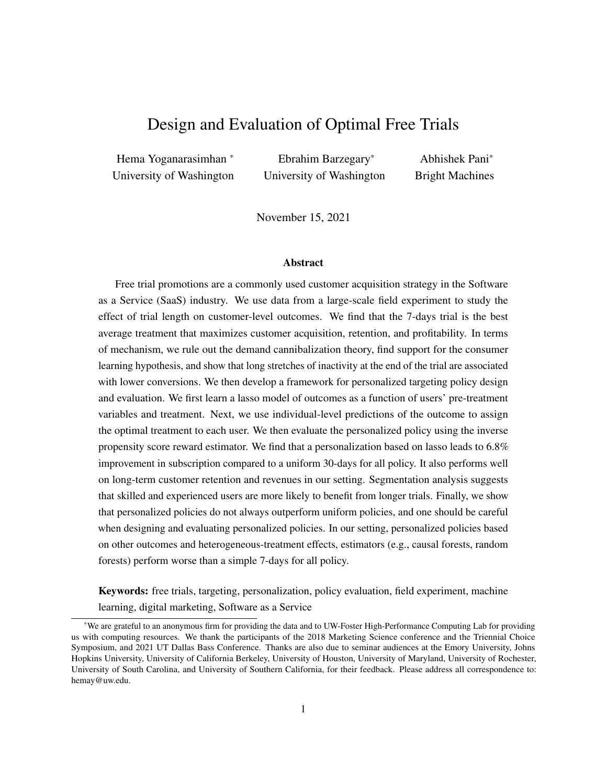<span id="page-12-0"></span>

| Data          | <b>Treatment</b> | <b>Subscription rate</b> | <b>Subscription rate</b><br>difference | t-statistics | Percentage gain<br>over baseline |
|---------------|------------------|--------------------------|----------------------------------------|--------------|----------------------------------|
|               | 7 days           | 0.1532                   | 0.0064                                 | 3.08         | 4.34                             |
| Training data | 14 days          | 0.1490                   | 0.0021                                 | 1.03         | 1.45                             |
|               | 30 days          | 0.1468                   |                                        |              |                                  |
| Test data     | 7 days           | 0.1544                   | 0.0082                                 | 2.58         | 5.59                             |
|               | 14 days          | 0.1511                   | 0.0048                                 | 1.51         | 3.28                             |
|               | 30 days          | 0.1463                   |                                        |              |                                  |

Table 5: Average effect of the 7- and 14-day treatments on subscription; compared to the control condition of 30-day free-trial. Baseline subscription rate (for 30-day case): 14.68 in training data and 14.63 in test data.

# 4 Main Effect of Trial Length on Subscription

We now document the main effect of trial length on subscription and present some evidence for the mechanism behind this effect. For expositional simplicity, we focus on subscription here and present a detailed analysis long-run outcomes such as revenue and retention in  $\chi$ [7.](#page-24-0)

#### <span id="page-12-2"></span>4.1 Average Treatment Effect

In a fully randomized experiment (such as ours), the average effect of a treatment can be estimated by simply comparing the average of the outcome of interest across treatments. We set the 30-day condition as the control and estimate the average effects of the 14- and 7-days trials on subscriptions for training and test data. The results from this analysis are shown in Table [5.](#page-12-0)

The 7-day trial increases the subscription rate by 4.34% over the baseline of the 30-day condition in the training data and by 5.59% in the test data. However, in both data sets, the effect of the 14-day trial is not significantly different from that of the 30-day trial. These results suggest that a uniform targeting policy that gives the 7-day treatment to all users can significantly increase subscriptions.<sup>[5](#page-12-1)</sup> We also see that the average treatment effect is fairly small compared to the outcome, which is either zero or one. This is understandable since the effect of trial length is likely to be small compared to other factors that affect customer acquisition. Finally, note that the gains and subscription rates in the training and test data are slightly different. As discussed earlier, this is due to the randomness in the splitting procedure.

Next, to ensure that these results are not driven by any problems with randomization, we conduct a series of randomization checks. We present the details of these tests in Appendix  $\angle$ [B.2](#page-32-1) and discuss them briefly here. First, we conduct a joint test of orthogonality of pre-treatment variables and treatment assignment [\(McKenzie,](#page-29-18) [2017\)](#page-29-18). This is done by regressing the treatment variable on the entire set of pre-treatment variables (with dummies for each sub-category shown in Table [2\)](#page-9-1). We find that the pre-treatment variables have no predictive power when it comes to predicting treatment, which suggests that randomization was done correctly. Note that this approach to checking for potential issues with randomization is preferable to the old practice of showing tables of means for pre-treatment variables across treatment arms and running a battery of t-tests for

<span id="page-12-1"></span><sup>&</sup>lt;sup>5</sup>In general, it is a better practice to obtain ATEs directly based on mean comparisons without using regression-based approaches [\(Imbens and Rubin, 2015\)](#page-29-19). Nevertheless, in Appendix [B.1,](#page-32-2) we present the ATEs based on regressions (with and without controls) and they are statistically indistinguishable from those shown in the main text.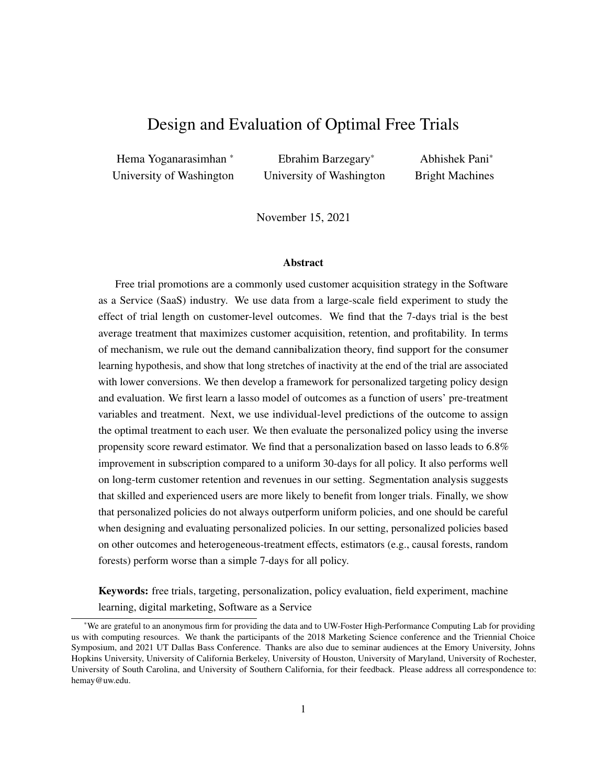<span id="page-13-2"></span>

| <b>Outcome variable</b>              | Intercept    | 14 days trial   | 30 days trial   | $R^2$ | N      |
|--------------------------------------|--------------|-----------------|-----------------|-------|--------|
| Total downloaded packages            | 1.137(0.002) | 0.01(0.002)     | 0.017(0.002)    | 0.000 | 337724 |
| Indicator for software use           | 0.828(0.002) | 0.004(0.002)    | 0.009(0.002)    | 0.000 | 303514 |
| Number of active days                | 1.747(0.018) | 0.625(0.026)    | 1.711(0.02)     | 0.028 | 303514 |
| Number of active days/trial length   | 0.25(0.001)  | $-0.08(0.001)$  | $-0.134(0.001)$ | 0.078 | 303514 |
| Log usage during trial               | 4.77(0.013)  | 0.196(0.018)    | 0.411(0.014)    | 0.003 | 303514 |
| Log average daily usage during trial | 3.197(0.009) | $-0.357(0.012)$ | $-0.737(0.009)$ | 0.022 | 303514 |
| Dormancy length                      | 4.631(0.043) | 5.135(0.06)     | 16.432(0.047)   | 0.337 | 303514 |

Table 6: Regression of usage features on trial length. Standard errors in parentheses.

a variety of reasons; see [Bruhn and McKenzie](#page-29-20) [\(2009\)](#page-29-20) and [Mutz et al.](#page-29-17) [\(2019\)](#page-29-17) for detailed discussions.[6](#page-13-0) Next, we regress the outcome variable (subscription outcome) on the treatment variable and all the pre-treatment variables. We find that the treatment effects are very similar to those in Table [5,](#page-12-0) which again suggests that there are no issues with randomization.<sup>[7](#page-13-1)</sup>

#### <span id="page-13-3"></span>4.2 Mechanism

At the time of the experiment, the firm offered a standard 30-day free trial to all its consumers. The better performance of the much shorter 7-day trial was both surprising and inexplicable for many reasons. First, the firm sells a complicated suite of software with multiple products and functionalities. So we would have expected that giving consumers more time to familiarize themselves with it and learn the software would produce better outcomes. Second, the reasons proposed in the theory literature for the efficacy of free trials largely support longer free trials, e.g., switching costs, consumer learning, software complexity, and signaling. Thus, it is not obvious why a shorter trial works better. Therefore, we now examine how trial length affects conversion and present some evidence for why a shorter trial works better in this setting. In the process, we also discuss the generalizability of our findings and the mechanisms proposed.

Intuitively, trial length can affect how consumers download, use, and interact with the software; and differences in these usage variables can lead to different subscription outcomes. So we first examine whether and how trial length affects usage. We regress each of the usage variables shown in Table [4](#page-11-1) on trial length and present the results in Table [6.](#page-13-2) Since trial length is randomly assigned, we can interpret these results causally. First, we find that longer free trials lead to more product downloads and more usage. Further investigation suggests that this increase in downloads mainly comes from the higher downloads of products 1 and 3, which are complements (see Figure [A1](#page-33-0) in Appendix [C\)](#page-33-1). This suggests that giving longer trial lengths to users increases their probability of exploring other complementary products. Next, we see that a larger fraction of people try the software at least once with a longer trial, and the number of active days and log usage also increases with trial length. However, the rate of increase in the number of active days and usage is sub-linear compared to the increase in trial length. For instance, going from 7 to 14 days increases the

<span id="page-13-0"></span><sup>6</sup> Further, presenting tables of means for each pre-treatment variable is not feasible in our case since all our pre-treatment variables are categorical with a large number of sub-categories.

<span id="page-13-1"></span> $<sup>7</sup>$ Later in the paper, we use the empirical propensities to evaluate the gains from our models. So any minor discrepancies in the</sup> propensities of treatment allocation are taken care of; see Equation [\(4\)](#page-19-0) and the discussion around it.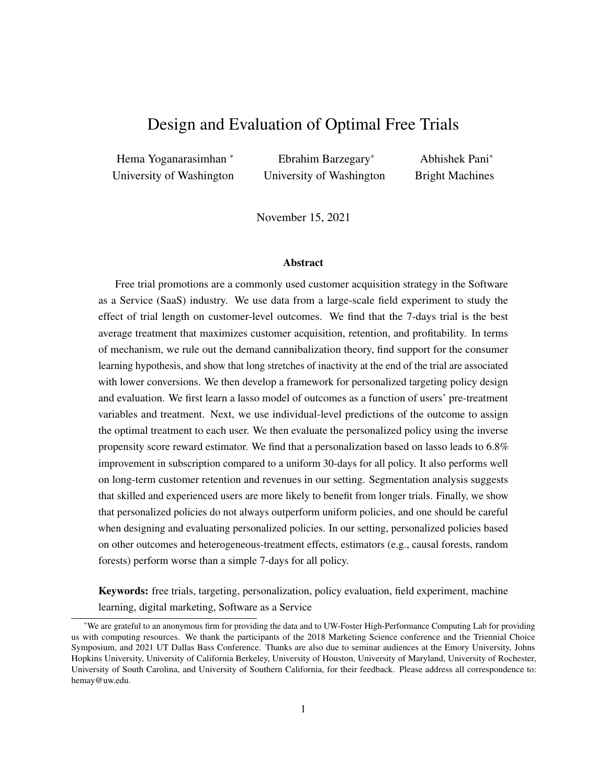<span id="page-14-0"></span>

Figure 2: (a) The subscription rate based on the last day of trial use for different trial lengths. (b) The subscription rate based on the number of active days for different trial lengths.

number of active days by 0.625, which is much smaller than 7 days (the increase in trial length). Thus, when we normalize the number of active days by trial length, the average number of days during which a user is active during her trial reduces as trial length increases. The same pattern holds for log usage; while total usage increases as trial length increases, average daily usage falls. Finally, we find that the dormancy period increases as trial length increases. While the average dormancy length is 4.6 days for the 7-days trial, it is over 21 days for the 30-days trial.

Next, we examine whether and how usage is associated with subscription. The left panel of Figure [2](#page-14-0) shows the probability of subscription as a function of the total number of active days for each trial length. As we can see, users who are active for more days are also more likely to subscribe, and this pattern is true for all three trial lengths. However, given the same level of activity, shorter trial lengths are associated with higher conversion. For example, users who were active for five days are more likely to subscribe when they are in the 7-day condition, compared to the 14 or 30-days condition. Next, in the right panel of Figure [2,](#page-14-0) we show the probability of subscription as a function of the last active day for all three trial lengths. We see that users whose last active day is earlier in the trial period are less likely to subscribe. Further, for the same last active day, users with shorter trials are more likely to subscribe. Recall that dormancy length is defined as trial length minus the last active day. So this suggests that users who have not used the product for long periods at the end of the trial period are less likely to subscribe.

We now check if the preliminary patterns shown in Figure [2](#page-14-0) hold after we control for other usage and user-specific observables. In Table [7,](#page-15-0) we present the results from a regression with the user's subscription decision as the outcome variable and her trial length and usage variables as explanatory variables. We find that after controlling for everything else, users who log more active days and use the product more are more likely to subscribe. Further, users who have longer dormancy periods are less likely to subscribe. This is understandable because a user who has not used the software for a long time by the end of her trial period is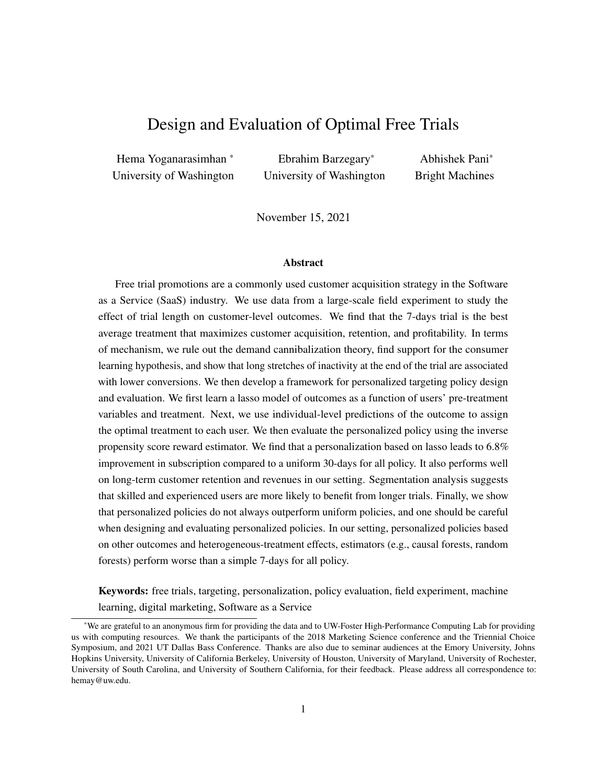<span id="page-15-0"></span>

|                                  | coef      | std err | Z         | P > izi | [0.025]  | 0.9751   |
|----------------------------------|-----------|---------|-----------|---------|----------|----------|
| Indicator for using the software | $-0.5145$ | 0.036   | $-14.252$ | 0.000   | $-0.585$ | $-0.444$ |
| Total downloaded packages        | 0.5632    | 0.013   | 43.789    | 0.000   | 0.538    | 0.588    |
| Number of active days            | 0.0440    | 0.002   | 19.241    | 0.000   | 0.040    | 0.049    |
| Log usage during trial           | 0.0620    | 0.005   | 11.267    | 0.000   | 0.051    | 0.073    |
| Dormancy length                  | $-0.0297$ | 0.001   | $-30.141$ | 0.000   | $-0.032$ | $-0.028$ |

Table 7: Regression of subscription on usage features and trial length, with all the pre-treatment variables included as controls (not shown in the table above).

<span id="page-15-1"></span>

Figure 3: The effect of trial length on usage and dormancy length, and subsequently subscription.

likely to forget about it and/or conclude that the product is not useful [\(Zhu et al., 2018\)](#page-30-0).

Together, the above findings suggest that two opposing effects of trial length on usage and subscription. We depict these effects in Figure [3.](#page-15-1) On the one hand, as trial length increases, product usage and consumer learning about the software increases. This increase in usage can have a positive effect on subscriptions. On the other hand, as trial length increases, the gap between the last active day and the end of the trial increases, while the average number of active days and usage per day reduces. These factors are associated with lower subscriptions. In our case, it seems that the latter effect dominates the former, and hence shorter trials are better.<sup>[8](#page-15-2)</sup>

Our analysis presents three key findings relevant to the broader theories on the role of free trials for experience goods. First, we rule out the well-known demand cannibalization hypothesis advocated by many theoretical papers [\(Cheng and Liu, 2012;](#page-29-2) [Dey et al., 2013\)](#page-29-3). These papers argue that, with longer trials, free-riders can use the product extensively during the trial, get their project/job done, and avoid subscribing. However, the results in Figure [2](#page-14-0) and Table [7](#page-15-0) rule out the free-riding hypothesis because users who use the product heavily during the trial are also more likely to subscribe. However, this evidence is for the full population of users. Second, we provide empirical support for the consumer learning hypothesis proposed in analytical papers (e.g., [\(Dey et al., 2013\)](#page-29-3)) since we find that longer trials lead to more usage, which in turn is associated with higher subscription. Third, we identify a novel mechanism that plays a significant role in the effectiveness of free trials – the negative effect of long dormancy periods on subscription. We provide more

<span id="page-15-2"></span> $8$ The results in Table [7](#page-15-0) should only be interpreted as suggestive evidence for the second half of the mechanism shown in Figure [3](#page-15-1) (and not causally). This is because the unobserved attributes of the user that drive usage may also drive subscription.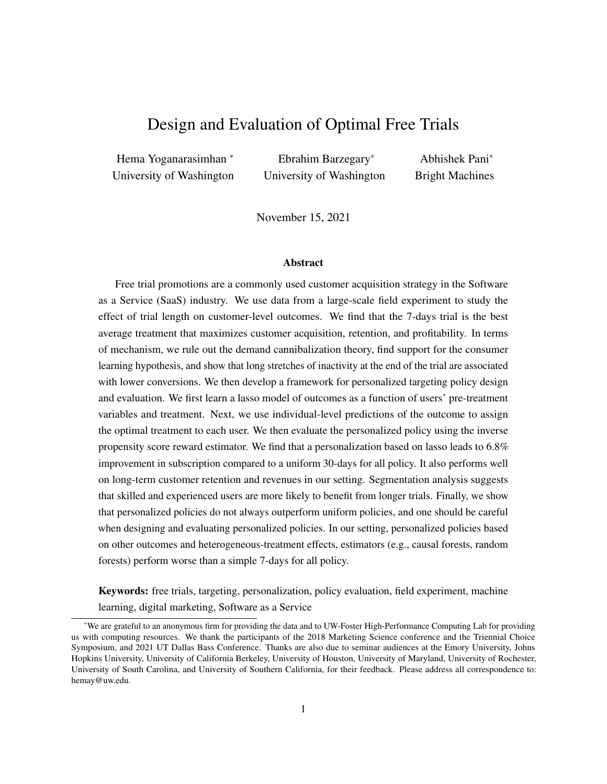<span id="page-16-0"></span>

Figure 4: Heterogeneity in consumers' response to the three trial lengths within three categories – Geographic region, Skill, and Job. The six geographic regions shown are: Australia and New Zealand, France, Germany, Japan, and United States of America (in that order). Under each sub-category, the fraction of users in that sub-category are shown. We do not include sub-category names for Job to preserve the firm's anonymity.( \*  $p < 0.1$ , \*\*  $p < 0.05$ , \*\*\*  $p < 0.01$ )

evidence in support of these ideas in x[6,](#page-21-0) where we discuss the heterogeneous response of different types of users.

#### 4.3 Heterogeneity in Users' Responsiveness

So far, we have shown that the 7-days trial is the best average treatment and provided some intuition for why. However, the effect of trial length could be heterogeneous across users and the mechanisms discussed earlier could be differentially important for different types of users. We now examine if this is indeed the case.

In the top left panel of Figure [4,](#page-16-0) we partition the data into six sub-groups based on the user's geographic region and present the average subscription rates for the three trial lengths for each region. The results suggest that there is some heterogeneity in response rates by region. For example, the 14-day trial is more effective in Germany while the 7-day trial is more effective in the United States of America. Next, we perform a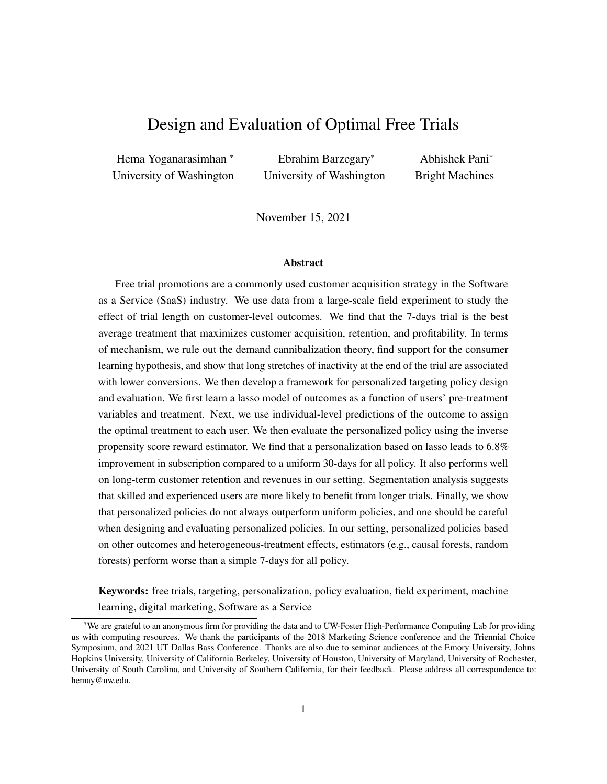similar exercise on skill-level and job (see the top right and bottom panels in Figure [4\)](#page-16-0). Again, we find that users' responsiveness to the treatment is a function of their skill level and job. For instance, the 7-day trial is significantly better for Beginners, whereas the 14-day trial is more effective for Mixed-skill users.

These results suggest that users' responsiveness to trial lengths is heterogeneous on many pre-treatment variables. If the firm can successfully exploit the different sources of heterogeneity and personalize its free trial assignment at the individual-level, then it may be able to further improve subscriptions.

# 5 Counterfactual Analysis: Personalized Policy Design and Evaluation

Given that the preliminary evidence above suggests that benefits the firm can benefit from personalizing free trial assignment. In  $\angle 5.1$ , we describe the procedure we use to design the personalized policy. Next, in  $\angle 5.2$ , we present the gains from the personalized policy in our setting. Next, in  $\chi$ ??, we compare the performance of our approach to other personalized policies. Finally, in x??, we examine why some consumers respond better to shorter trials (vs. longer trials) and tie the policy-prescribed segmentation to mechanisms discussed in x[4.2.](#page-13-3)

# <span id="page-17-0"></span>5.1 Optimal Policy Design

Let  $i \n\geq \n\mathcal{F}_1, \ldots, Ng$  denote the set of independent and identically distributed users, where each user is characterized by a pre-treatment covariate vector  $X_i \, 2 \, X$  of dimension D. Let  $W_i \, 2 \, W$  denote the treatment or intervention that *i* receives.  $W = f0, \ldots, W$  1g refers to the set of treatments, and the total number of treatments is W. Finally, let  $Y(X_i, W_i)$  denote the outcome for a user i with pre-treatment variables  $X_i$ when she is allocated treatment  $W_i$ .

A personalized treatment assignment policy,  $\pi$ , is defined as a mapping between users and treatments such that each user is allocated one treatment,  $\pi : X \perp W$ . The firm's goal is to choose a policy  $\pi$  such that it maximizes the expectation of outcomes,  $\frac{1}{N} \mathbb{E} \left[ \sum_{i=1}^{N} Y(X_i, W_i^{\pi}) \right]$ . Thus, for policy  $\pi$  and outcome of interest Y, we can write our reward function as  $R(\pi, Y) = \frac{1}{N} \sum_{i=1}^{N} E[Y(X_i, \pi(X_i))]$ . Thus, given a reward function  $R(\pi, Y)$ , the optimal personalized policy is given by:

$$
\pi = \underset{\pi}{\arg \max} [R(\pi, Y)], \qquad (1)
$$

where is the set of all possible policies.

The problem of finding the optimal personalized policy is equivalent to one of finding the policy  $\pi$  that maximizes the reward function  $R(\pi, Y)$ . As discussed in x[1,](#page-1-0) this is a non-trivial problem since the cardinality of the policy space can be quite large.<sup>[9](#page-17-1)</sup> So, a direct search over the policy space to find the optimal policy is infeasible. Therefore, we adopt a two-step approach to find the optimal policy  $\pi$  that avoids this problem. To do so, we make the three standard assumptions on: (1) unconfoundedness, (2) SUTVA, and (3) positivity. Given that our data comes a fully randomized experiment assumptions (1) and (2) are automatically satisfied.

<span id="page-17-1"></span><sup>&</sup>lt;sup>9</sup>The total number of possible policies is  $W^{\prod_{d=1}^D c_d}$ , when we have D pre-treatment variables and the d-th variable can take  $c_d$ different values. This number can be extremely high even in simple settings. In our application, the cardinality of the policy space is equal to 3<sup>987,840</sup>.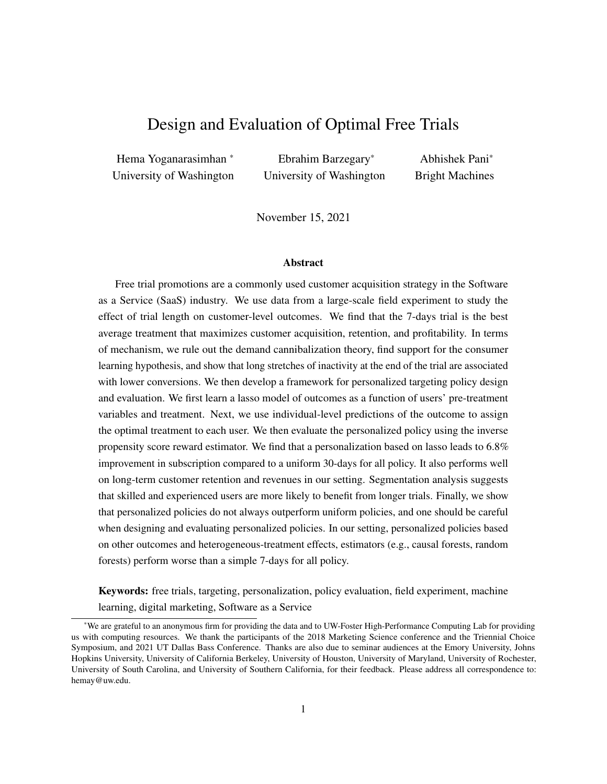Further, assumption 2 is satisfied because we do not expect any network effects in our setting (since the experiment was run on unconnected users distributed all over the world).

With these assumptions in place, we can design the optimal personalized policy if we either have estimates of the outcome of interest or pairwise treatment effects. In the main analysis, we design our personalized policy based using outcome estimates based on lasso [\(Tibshirani, 1996;](#page-30-17) [Friedman et al., 2010\)](#page-29-21). That is, we model the subscription outcome using as  $f(x, w) = E[Y/X_i = x, W_i = w]$ , where  $f()$  is a lasso model. Lasso estimates a linear regression that minimizes the MSE with an additional term to penalize model complexity as shown below:

$$
(\hat{\beta}_1, \hat{\beta}_2, \hat{\beta}_3) = \arg\min \sum_{i=1}^n (Y_i - X_i \beta_1 - W_i \beta_2 - X_i W_i \beta_3)^2 + \lambda (j\beta_1 j\beta_1 + j\beta_2 j\beta_1 + j\beta_3 j\beta_1), \quad (2)
$$

where  $jj\beta_i j j_1$  is the L1 norm of the vector  $\beta_i$  and is equal to the sum of the absolute value of the elements of vector  $\beta_i$ . Intuitively, if there are multiple weak (and correlated) predictors, lasso will pick a subset of them and force the coefficients of others to zero, thereby estimating a simpler model. Model-selection in lasso is data-driven, i.e.,  $\lambda$  is a hyper-parameter that is learned from the data (and not assumed). Please see Appendix [D](#page-34-0) for details of our lasso estimation.

Next, using estimate of the expected outcome,  $\hat{y}(x = X_i, w)$ , from the lasso model, we obtain the optimal personalized policy based on for observation  $i$  as:

$$
\pi_{lasso}(X_i) = w , \quad \text{where} \quad w = \underset{w \ge W}{\arg \max} \hat{y}(x = X_i, w) \tag{3}
$$

Our personalized free trial policy,  $\pi_{lasso}$  partitions the population into three segments: 7-, 14- and 30-days optimal segments, which constitute 68.9%, 23.2%, and 7.9% of the population, respectively.

#### <span id="page-18-0"></span>5.2 Empirical Policy Evaluation: Gains from Personalization

We now empirically evaluate and quantify the gains from the personalized free trial policy  $\pi_{lasso}$  over non-personalized policies. To do so, we first define three uniform (one length for all) policies:

 $\pi_{30}$  – This policy prescribes the 30-days treatment for all users. It was used by the firm at the time of the experiment and we therefore use it as the baseline policy in all our comparisons.

 $\pi_{14}$  – This policy prescribes the 14-day treatment for all users.

 $\pi$ <sub>7</sub> – This policy prescribes the 7-day treatment for all users. Since we found that 7 days is the best average treatment in x[4.1,](#page-12-2) this is the best uniform policy.

We evaluate the expected reward from the policies (both personalized and uniform) using the Inverse Propensity Score (IPS) estimator, that has been extensively used in the off-policy evaluation literature [\(Horvitz](#page-29-4) [and Thompson, 1952;](#page-29-4) Dudík et al., 2011), and has recently been applied in the marketing too [\(Simester et al.,](#page-30-13) [2019;](#page-30-13) [Rafieian and Yoganarasimhan, 2021;](#page-30-2) [Hitsch and Misra, 2018\)](#page-29-13). For any given policy  $\pi$ , this estimator takes all the observations where the user received the policy-prescribed treatment and scales them up by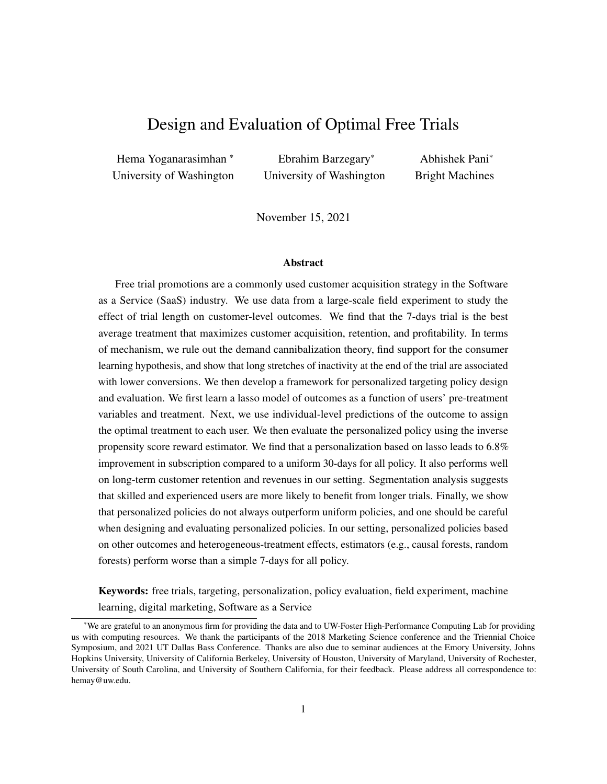<span id="page-19-2"></span>

|                             |                    |                     | Estimated Subscription $(\% )$ | Increase in subscription $(\% )$ |                 |
|-----------------------------|--------------------|---------------------|--------------------------------|----------------------------------|-----------------|
| <b>Policy category</b>      | <b>Policy</b>      | <b>Training Set</b> | <b>Test Set</b>                | <b>Training Set</b>              | <b>Test Set</b> |
| Personalized based on lasso | $_{lasso}$         | 15.85               | 15.62                          | 7.97                             | 6.81            |
|                             | $\overline{7}$     | 15.32               | 15.44                          | 4.34                             | 5.59            |
| Uniform                     | 14                 | 14.90               | 15.11                          | 1.45                             | 3.28            |
|                             | $_{30}$ (Baseline) | 14.68               | 14.63                          |                                  |                 |
|                             | reg                | 15.89               | 15.33                          | 8.21                             | 4.83            |
| Alternative                 | cart               | 15.32               | 15.44                          | 4.34                             | 5.59            |
| personalized                | r_forest           | 17.42               | 14.82                          | 18.67                            | 1.32            |
| policies                    | $x \ddot{a}$ boost | 16.00               | 15.53                          | 8.98                             | 6.17            |
|                             | c_forest           | 15.58               | 15.46                          | 6.09                             | 5.71            |
|                             | $c_{\textit{}}$    | 15.32               | 15.44                          | 4.34                             | 5.59            |

Table 8: Gains in subscription from implementing different counterfactual free-trial policies. The results for policies  $\pi_{cart}$ ,  $\pi_{c\_tree}$ , and  $\pi_7$  are the same since they prescribe the 7-days treatment to all users.

their propensity of receiving the treatment assigned to them. This scaling gives us a pseudo-population that received the policy-prescribed treatment. Thus, the average of the outcome for this pseudo-population gives us an unbiased estimate of the reward for the full population, if we were to implement the proposed policy in the field. Formally:

<span id="page-19-0"></span>
$$
\hat{R}_{IPS}(\pi, Y) = \frac{1}{N} \sum_{i=1}^{N} \frac{1[W_i = \pi(X_i)] Y_i}{\hat{e}_{\pi(X_i)}(W_i)},
$$
\n(4)

where  $\hat{e}_{\pi(X_i)}(W_i)$  is the probability that a user whom the policy prescribes treatment  $\pi(X_i)$  is given  $W_i$ .<sup>[10](#page-19-1)</sup>

We present the expected rewards (or subscription rates) from all the three uniform policies and  $\pi_{lasso}$  in the top panel of Table [8.](#page-19-2) The key finding is that personalization based on pre-treatment demographic variables leads to over 6.8% improvement in subscription compared to the baseline uniform policy of giving a 30-days trial for all. Further, we see that the personalized policy also does better than the best uniform policy of 7 days for all. To examine if this difference is significant, we conduct a paired t-test based on bootstrapping as follows. We repeatedly (20 rounds) split the entire data into training and test (in the same proportion used in the main analysis, i.e., 0.7/0.3). Then, in each round, we train a lasso model on the training set using a five-fold cross-validation and calculate the IPS-rewards (based on Equation [4\)](#page-19-0) for both  $\pi_7$  and  $\pi_{lasso}$  on the test data. Finally, we run a two-sided paired t-test to compare lasso's performance with the uniform all 7-days policy. The t-statistic and p-value for the two-sided test are 3.123 and 0.0056, respectively, which confirms that the personalized policy  $\pi_{lasso}$  is better than the best uniform policy  $\pi_7$ .

That said, notice the magnitude of gains from personalization (over the best uniform policy) is modest. This is understandable since the personalized policy assigns about 70% of users to the 7-day treatment, and the gains from personalization only accrue from the remaining 30% of users who are allocated the 14- or

<span id="page-19-1"></span><sup>&</sup>lt;sup>10</sup>In theory, in a randomized experiment, the propensity of treatment assignment is orthogonal to the treatment prescribed by any policy . Thus,  $e(W_i = w_i X_i) = e(W_i = w)$   $\theta w \geq W$  is known and constant for all observations. However, in practice, within the set of users for whom policy prescribes  $w$ , the empirical treatment propensities might not be the same as that in the full data. So we use the empirical propensity, defined as:  $\hat{e}_{\pi(X_i)}(W_i) = \frac{\frac{1}{N} \sum_{j=1}^{N} 1[W_j = W_i, \pi(X_j) = \pi(X_i)]}{\frac{1}{N} \sum_{j=1}^{N} 1[\pi(X_j) = \pi(X_i)]}$ .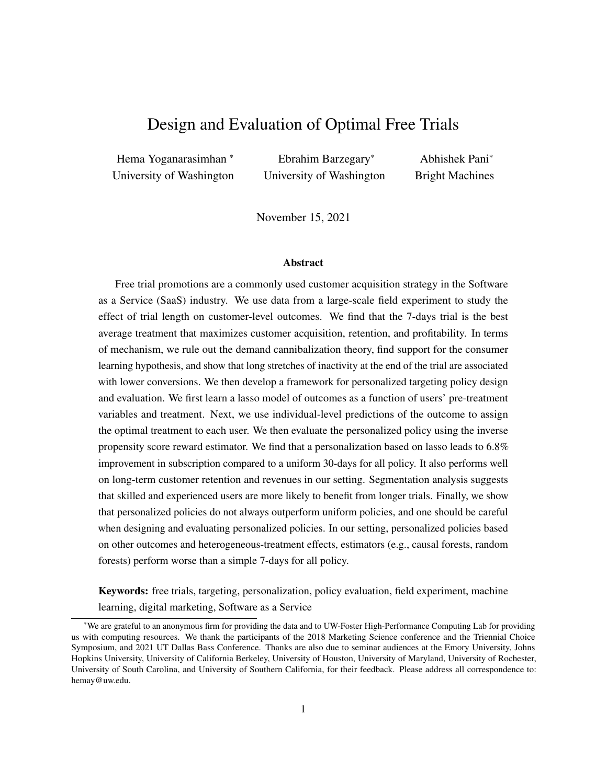30-days treatments. As [Simester et al.](#page-30-3) [\(2020\)](#page-30-3) point out, this is because the difference in the the performance of the two policies for users assigned to the 7-day trial is exactly zero. Further, our treatment effect is small compared to the outcome – a common occurence for marketing interventions such as advertising or promotions [\(Lewis and Rao, 2015\)](#page-29-22). These findings are consistent with the recent literature on personalization [\(Yoganarasimhan, 2020;](#page-30-8) [Rafieian and Yoganarasimhan, 2021\)](#page-30-2), which demonstrate positive but moderate gains from personalization digital interventions.

#### 5.3 Comparisons and Robustness Checks

So far, we used lasso as the outcome estimator to design our personalized policy. We now examine whether counterfactual personalized policies based on other outcome and heterogeneous treatment effects estimators perform better. Specifically, we consider policies based on four additional outcome estimators: (1) linear regression, (2) CART, (3) random forests, and (4) XGBoost, and two heterogeneous treatment effect estimators: (1) causal tree, and (2) generalized random forests. The technical details of these models and their tuning details are shown in Appendices [E](#page-35-0) and [F.](#page-41-0)

First, we find that each of these policies behaves quite differently when it comes to treatment assignment (see Table [A8](#page-43-0) in Appendix [G](#page-43-1) for details). Interestingly, we find that policies based on CART and causal tree do not personalize treatment assignment and end up giving the 7-day treatment to all users, that is:  $\pi$ <sub>7</sub>  $\pi$ <sub>cart</sub>  $\pi$ <sub>cartee</sub>. We also find that in  $\pi_{xaboo}$  is quite similar to  $\pi$ <sub>lasso</sub>. Both prescribe the 7-days trial to

70% of users, the 14-days trial to 20% of users, and the 30-days trial to 10% of users. In contrast,  $\pi_{reg}$  and  $\pi_{r\_{forest}}$  prescribe the 7-day treatment to the least number of users while  $\pi_{c\_{forest}}$  prescribes the 7-day treatment to 91% of users (and the 30-day treatment to no one).

Next, in the bottom panel of Table [8,](#page-19-2) we present the performance of these policies. We find that  $\pi_{lasso}$ continues to be the best, and the second-best policy is  $\pi_{xdboost}$ . There are two main takeaways here. First, poorly designed personalized policies (e.g., those based on regression and random forest) can actually do worse than the best uniform policy on the test data. Second, we do not find much correlation between an outcome estimator's predictive ability and its efficacy in policy design. For instance, random forest has a lower mean squared error on the test data compared to lasso, but  $\pi_{r\_forest}$  is much worse than  $\pi_{lasso}$  (see Table [A9](#page-43-2) in Appendix [G\)](#page-43-1). This is likely because the objective function in outcome estimation methods is predictive ability, which is different from policy design or performance. In sum, our findings suggest that managers should be careful in both designing and evaluating personalized policies. It is critical to: (1) not conflate a model's predictive ability with its ability to form policy, and (2) evaluate the performance of each policy on an independent test data with appropriate policy evaluation metrics.

Next, we find that the recently proposed heterogeneous treatment effects estimators, causal tree and causal forest, perform poorly when it comes to personalized policy design. Our results suggest that managers may be better off adopting the best uniform policy instead of investing resources in personalizing policies based on these methods. This is an important finding since these methods are gaining traction in the marketing literature and researchers are starting to use them (e.g., [Guo et al.](#page-29-6) [\(2017\)](#page-29-6), [Fong et al.](#page-29-7) [\(2019\)](#page-29-7)). Our findings suggest that relying on heterogeneous treatment effects estimators can be sub-optimal.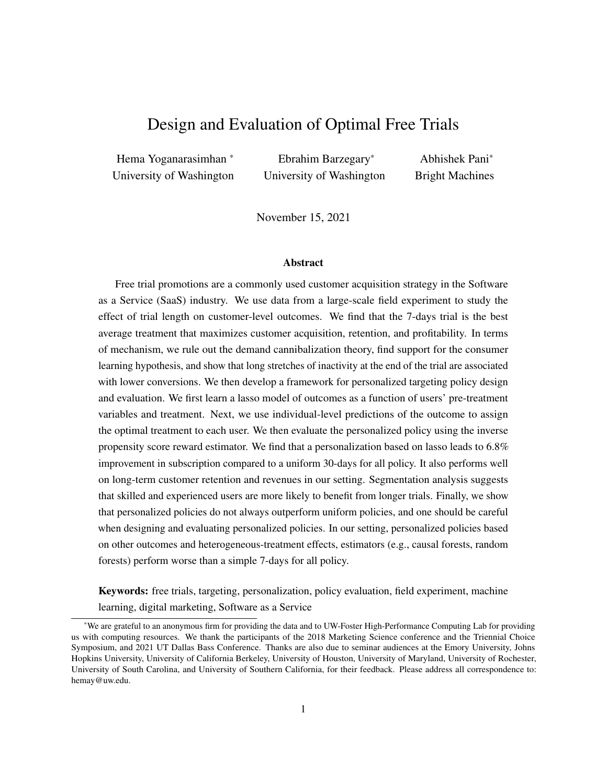<span id="page-21-1"></span>

Figure 5: The CDF of estimated CATEs for 7 vs 30 days of free trial from using different methods (for test data).

Finally, we examine if there is any relationship between the estimates of treatment effects based on a specific method and the performance of the policy based on it. Figure [5](#page-21-1) shows the CDF of  $\tau_{7,30}$  for all the methods used for policy design.<sup>[11](#page-21-2) [12](#page-21-3)</sup> The first pattern that stands out is that treatment effects estimates based on CART, causal tree, and casual forest show very little heterogeneity (see the three vertical lines to the right of zero). This explains why policies based on these methods perform poorly – they are unable to personalize the policy sufficiently to optimize users' response at the individual level. In contrast, the treatment effect estimates based on linear regression and random forest show the maximum amount of heterogeneity (see the two rightmost curves). This pattern, in combination with the poor performance of  $\pi_{req}$  and  $\pi_{r\_forest}$  on test data (and their extremely good performance on training data) hints at overfitting problems. That is, these models seem to infer much more heterogeneity than is true in the data. Interestingly, we see that the CDFs of treatment effects based on lasso and XGBoost lie somewhere in between the above two groups. They show sufficient heterogeneity, but not too much. Hence, policies based on these methods are able to personalize the treatment sufficiently without overfitting. Recall that the dispersion in treatment assignment for these two policies is higher than that in  $\pi_{cart}$ ,  $\pi_{ctree}$ , and  $\pi_{c\_forest}$ , but lower than that in  $\pi_{req}$  and  $\pi_{r\_forest}$ . Thus, the ideal estimators for policy design are those that are able to capture sufficient heterogeneity to personalize effectively without overfitting (i.e., capture spurious heterogeneity).

# <span id="page-21-0"></span>6 Segmentation Analysis and Additional Evidence for Mechanism

So far, we focused on the question of "Who (should get a treatment)". We now examine the question of "Why (should s/he get a specific treatment)". Understanding why some users respond well to longer trials while others respond better to shorter trials can give us insight into consumers' preferences and decision-making

<span id="page-21-2"></span><sup>&</sup>lt;sup>11</sup>The estimated distributions of  $14,30$ , and  $7,14$  are shown in Figure [A2](#page-44-0) in Appendix [G](#page-43-1) and their interpretations are largely similar to that presented here for  $7,30$ .

<span id="page-21-3"></span><sup>&</sup>lt;sup>12</sup>For the outcome estimators, we can estimate treatment effects from outcome estimates as ,  $E[Y/X_i = X; W_i = 7 \text{ days}]$   $E[Y/X_i = 7 \text{ days}]$  $x: W_i = 30$  days]. For heterogeneous treatment methods, these estimates are directly available (see Equation [\(A.4\)](#page-37-0)).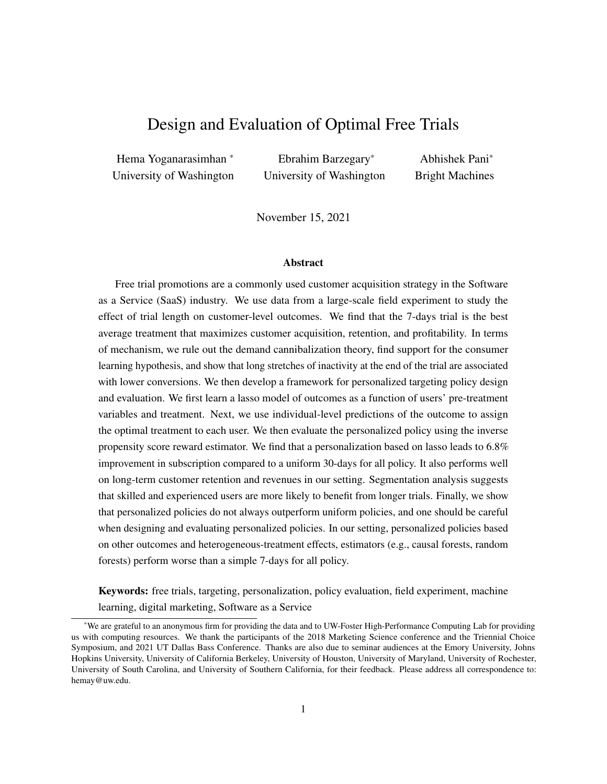process. These insights are valuable for two reasons. First, from the firm's perspective, they can be leveraged to improve other marketing interventions such as advertising and pricing. Second, from a research perspective, this gives us a better understanding of the sources of heterogeneity in the effectiveness of trial length on conversion and mechanisms at play, which can be generalized to other settings.

We now correlate a user's optimal treatment with her pre-treatment demographic and post-treatment behavioral variables. In the process, we present additional evidence for the mechanism through which trial length affects conversion, as discussed in x[4.2.](#page-13-3) We conduct three sets of analyses to understand the mechanism and characterize the three segments. First, we quantify the differential effect of trial length on the download and usage behavior of the three segments. Second, we characterize the heterogeneity in the effect of usage on subscription across the three segments. Finally, we correlate a user's optimal treatment with her/his pre-treatment demographics and post-treatment outcomes to characterize the three segments. We refer readers to Appendix [H](#page-45-0) for the details of these analyses and provide a summary of the three segments below.

7-day optimal segment: A vast majority of these users are beginners or students, and they are the least likely to subscribe. These users use the product more when given longer trials but don't scale up their usage as much as the 14-day optimal segment. This is understandable because most of them lack the skills to use the product extensively, even if given the opportunity to do so. Further, the negative effect of long dormancy periods is the most severe for this segment. This is understandable since these users are less familiar with the product, so when they go for a long period without using the software, they are more likely to conclude that the software is not useful and choose not to subscribe.

Overall, we find that short trials are more effective for beginners and new users because even though there are some positive effects of learning and usage, extended periods of inactivity at the end of long trials can have a strong negative effect on their subscription. One might wonder if this result simply stems from the fact that beginners have short tasks that require more than a week to complete (but still less time than 14/30 days), which leads them to have lower subscription rates when assigned the 14 and 30-day trial (i.e., a more complex version of the demand cannibalization hypothesis). However, if this explanation is true, then we should find that beginners/7-day optimal users who are assigned to the 14- and 30-day trial should be less likely to subscribe if they use the product more. However, we find the opposite; see Appendix [H.4.](#page-49-0)

14-day optimal segment: These users are more likely to be mixed-skill, and they have the highest usage and subscription rates. This segment takes the most advantage of longer trials, i.e., they use the product the most and have the shortest periods of dormancy when given longer trials. It seems like these users actually try the product's features and evaluate the product carefully before deciding whether to subscribe or not. However, the effect of usage on subscriptions is lower for these users (compared to the other two segments). This is likely because they are figuring out whether the software is a good fit or not, and more usage may lead some users to learn that it is not a good fit. Further, the magnitude of the negative effect of dormancy length on subscription is also high for them. That is why the 30-days trial is not optimal for these users: the higher usage that comes with a more extended trial does not translate to big differences in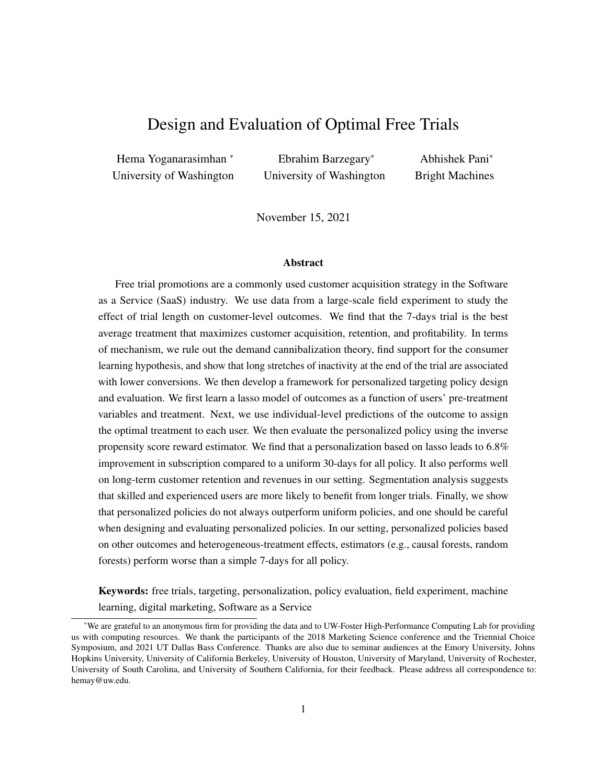subscription, but they still get hit by the increase in dormancy length with the 30-days trial. On the other hand, when they are given only 7-days, they cannot use the product much, and the benefit from higher usage is not realized. Thus, 14 days is ideal for these users.

30-day optimal segment: These users are more experienced than average are less likely to be students and hobbyists, and more likely to sign up through the app manager instead of the website. These factors suggest that these are more likely to be experienced/legacy users who are already familiar with the software. Long dormancy periods have the least negative effect on these users. This is understandable because these users are likely to be already aware of and experienced with the software. Thus, they are unlikely to infer that the product is not useful if they don't use it for a few days at the end of the trial. Further, longer trials lead to more usage for these users, and the effect of usage on subscription is also high. Thus, giving them 30-days for trial is good.

One interesting pattern in the above findings is the non-monotonicity of usage across the three segments. We find that 7-day optimal users use the product the least, followed by the 30-day optimal users, while the 14-day optimal users use the product the most. This can be explained by the relative expertise-levels of the three groups. The extent to which a user uses the product depends on two factors: (1) how much do they need to evaluate the product?, and (2) how much can they evaluate product? The 7-day optimal users, who are pre-dominantly beginners have the least ability to explore the product features, and hence use it the least. In contrast, the 30-day optimal users, who are more likely to be experts and legacy users, have the highest ability to evaluate the product. However, given their expertise and familiarity with the software, they can do this without extensive usage. Finally, the 14-day optimal users, who are more likely to be mixed-skill users, have both high need to evaluate the product and sufficient ability to explore it. Hence, they have the highest usage.

It worth mentioning that our findings provide partial support to the theories proposed in the literature on the relationship between users' skill-level/experience and the effectiveness of free trials. For example, [Dey](#page-29-3) [et al.](#page-29-3) [\(2013\)](#page-29-3) argue that longer trials are beneficial only when the learning rate is sufficiently large. We find that this is true in our case as well. However, this prior analytical research does not consider the negative effect of dormancy length on subscription, especially for beginners and new users. They argue that beginners should be given longer free trials because longer trials allow them to learn about the product, which increases their likelihood of subscription. In contrast, we find that short trials are optimal for beginners. While longer trials have a positive impact on the usage and subscription of this group, they are also the group whose subscription is most negatively affected by longer dormancy periods. Thus, ignoring the negative impact of dormancy length can lead us to make sub-optimal allocations of trial lengths for different segments.

Our findings suggest that firms and managers should take into account the heterogeneity in the evolution of usage and inactivity (as trial length increases) for different consumer types and customize trial lengths based on these patterns. In our setting, users require some skill and need to invest the effort to learn and use the software effectively. In particular, beginners and inexperienced users are unable to scale up their usage with longer trials, and therefore have longer periods of inactivity later in the trial period (which has a detrimental effect on subscription). However, if the software is simple and easy to use, we would not see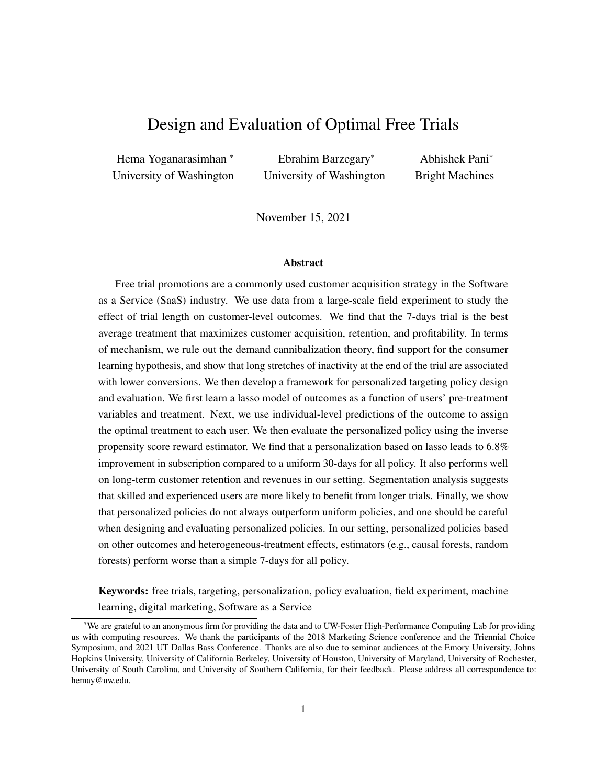such periods of inactivity. Interestingly, this suggests that simpler products may benefit from longer trials (especially for beginners), whereas more complex products may benefit from shorter trials. In sum, both the complexity of the product and the skill of the user jointly determine usage and activity (or inactivity), which then affects subscription. Our results provide some general guidelines to firms on how to pick the right trial length for different products and segments.

# <span id="page-24-0"></span>7 Long-term Outcomes: Consumer Loyalty and Profitability

So far we have focused on short-run outcomes in our policy design and evaluation. However, a policy that maximizes subscriptions (or short-run conversions) may not be the best long-run policy if it brings in users who are less profitable or less loyal. For example, a policy that increases subscriptions among students (who get a significant educational discount and hence pay lower prices) and/or users who subscribe to lower-end products/bundles (that are priced much lower than the all-inclusive software suite) at the expense of high-end users can lead to lower revenues. Similarly, a policy designed to maximizes subscriptions may do so at the expense of long-term retention, i.e., it may bring in the less loyal consumers who churn within a short period. Thus, a subscription-optimal policy may in fact be sub-optimal from the perspective of long-run outcomes [\(Gupta et al., 2006;](#page-29-23) [Fader and Hardie, 2009;](#page-29-24) [McCarthy et al., 2017\)](#page-29-25). In this section, we therefore examine two important post-subscription outcomes of interest for the firm.

Consumer loyalty, as measured by subscription length or the number of months a user subscribes to the service over the two year period after the experiment.

Consumer profitability, as measured by the revenue generated by the user over the two years after the experiment. (In SaaS settings, revenues and profits can be treated as equivalent since the marginal cost of serving an additional user is close to zero.)

# 7.1 Gains in Retention and Revenue from Counterfactual Policies

We first show the average treatment effect of the three trial lengths on retention and revenue in Table [9.](#page-25-0)<sup>[13](#page-24-1)</sup> We find that the 7-days trial continues to be the best. In the test data, it increases retention by 6.4% and revenue by 7.91%. The average effect of the 14-days trial is both smaller in magnitude and not significant in the training data.<sup>[14](#page-24-2)</sup> These results largely mirror our findings on the average treatment effect of subscription, i.e., the 7-days trial is the best treatment.

Next, we examine how the uniform and personalized targeting policies described in  $x5.2$  $x5.2$  perform on

<span id="page-24-1"></span><sup>&</sup>lt;sup>13</sup>A minor point is that we do not have access to subscription length and revenue data for all subscribers (recall the discussion in  $x3.3.2$ ). So we treat the missing observations as zero in calculations. The results remain qualitatively unchanged if we instead work with the subset of users for whom we have non-missing revenue data.

<span id="page-24-2"></span><sup>&</sup>lt;sup>14</sup>Note that 14-days trial outperforms the 7-days trial in the test data (on revenue) even though the 7-days trial is the best policy in the training data. We present a brief explanation for this discrepancy now. In general, estimates from one data set are valid in another data set only when the joint distribution of outcomes and covariates are similar in both data sets. However, in finite samples, there are usually some minor differences in training and test data due to the randomness in the splitting procedure. In our case, the main difference is this – the distributions of subscription length for the 14-day condition in the training and test data are different. This is however not the case for the 7- or 30-day conditions; see Table [A16](#page-50-0) in Appendix [I.](#page-50-1) Thus, the estimate of subscription length from the training data does not translate well to test data, and this leads to the large difference in the subscription length and revenue estimates across the training and test data sets.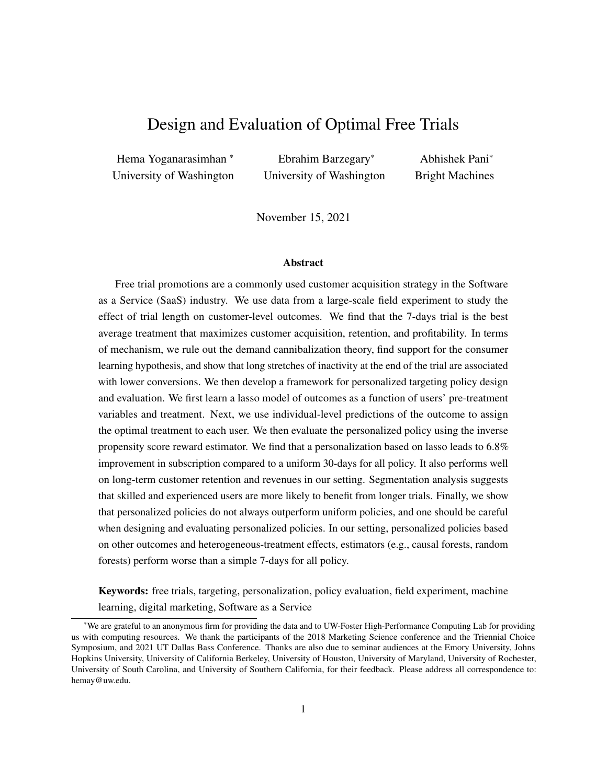<span id="page-25-0"></span>

| Data          | <b>Treatment</b> | Average<br><b>Subscription Length</b> | <b>Retention</b><br>difference | t-statistics | Percentage gain<br>over baseline |
|---------------|------------------|---------------------------------------|--------------------------------|--------------|----------------------------------|
| Training data | 7 days           | 2.32                                  | 0.16                           | 4.27         | 7.27                             |
|               | 14 days          | 2.22                                  | 0.06                           | 1.54         | 2.59                             |
|               | 30 days          | 2.17                                  |                                |              |                                  |
| Test data     | 7 days           | 2.33                                  | 0.14                           | 2.42         | 6.28                             |
|               | 14 days          | 2.32                                  | 0.13                           | 2.27         | 5.91                             |
|               | 30 days          | 2.19                                  |                                |              |                                  |

| Data          | <b>Treatment</b> | <b>Average Revenue</b> | Revenue<br>difference | t-statistics | Percentage gain<br>over baseline |
|---------------|------------------|------------------------|-----------------------|--------------|----------------------------------|
|               | 7 days           | 82.65                  | 6.17                  | 3.75         | 8.06                             |
| Training data | 14 days          | 79.08                  | 2.59                  | 1.58         | 3.38                             |
|               | 30 days          | 76.49                  |                       |              |                                  |
|               | 7 days           | 83.72                  | 6.14                  | 2.42         | 7.92                             |
| Test data     | 14 days          | 84.02                  | 6.44                  | 2.53         | 8.30                             |
|               | 30 days          | 77.58                  |                       |              |                                  |

Table 9: Average effect of the 7- and 14-day treatments on long-term variables (subscription length and revenue) compared to the control condition of 30-day free-trial.

<span id="page-25-1"></span>

|              |                    | <b>Subscription Length</b> |      |                  |      | Revenue              |       |                  |       |
|--------------|--------------------|----------------------------|------|------------------|------|----------------------|-------|------------------|-------|
| Category     | <b>Policy</b>      | <b>Estimate (Months)</b>   |      | Increase $(\% )$ |      | <b>Estimate</b> (\$) |       | Increase $(\% )$ |       |
|              |                    | Training                   | Test | Training         | Test | Training             | Test  | Training         | Test  |
| Personalized | lasso              | 2.39                       | 2.36 | 10.42            | 7.96 | 85.96                | 86.67 | 12.38            | 11.72 |
|              |                    | 2.32                       | 2.33 | 7.27             | 6.28 | 82.65                | 83.72 | 8.06             | 7.92  |
| Uniform      | 14                 | 2.22                       | 2.32 | 2.59             | 5.91 | 79.08                | 84.02 | 3.38             | 8.30  |
|              | $_{30}$ (Baseline) | 2.17                       | 2.19 |                  |      | 76.49                | 77.58 |                  |       |

Table 10: IPS estimates of the average subscription length and revenue under counterfactual policies (three uniform and one personalized).

the two long-term outcomes of interest. To derive the the IPS estimates of average subscription length and revenue under policy  $\pi$ , we first segment users into three groups based on the policy-prescribed treatment: (1)  $\pi(X_i) = 7$  days, (2)  $\pi(X_i) = 14$  days, and (3)  $\pi(X_i) = 30$  days. Then, we use the observed subscription lengths and revenues as the outcome variables  $(Y_i)$  in Equation [\(4\)](#page-19-0) to estimate the IPS rewards for these outcomes. Table [10](#page-25-1) shows the results from this analysis. The main takeaway is that the personalized policy,  $\pi_{lasso}$ , which was designed to maximize subscriptions also does well on consumer loyalty and revenue compared to the other uniform policies. This is valuable from the the firms' perspective because it suggests that policies optimized for short-run outcomes are largely aligned with long-run outcomes as well.

#### <span id="page-25-2"></span>7.2 Gains in Short-run vs. Long-run Outcomes

An interesting empirical pattern here is that the gains in subscription length and revenues are quantitatively different from the gain in subscription (compare the percentage increases in Tables ?? and [10\)](#page-25-1). We now discuss the source of this difference.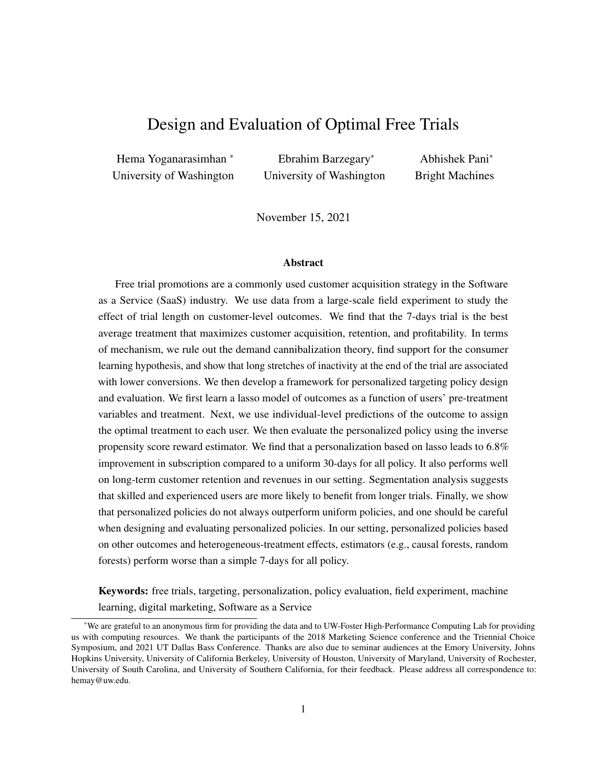We can write down the expected subscription length (denoted by  $Y_i^l$ ) conditional on treatment  $W_i$  as:

<span id="page-26-0"></span>
$$
E(Y_i^l/W_i) = \Pr(Y_i^s/W_i) \quad E[T_{end} \quad T_{start}/W_i, Y_i^s = 1],
$$
\n
$$
(5)
$$

where  $Pr(Y_i^s/W_i)$  is the probability that user i will subscribe conditional on receiving treatment  $W_i$  and  $E[T_{end} \quad T_{start}/W_i, Y_i^s = 1]$  is *i*'s expected length of subscription conditional on receiving treatment  $W_i$ and subscribing  $(Y_i^s = 1)$ . The reason for the discrepancy in the gains on the two outcomes – subscription and subscription length – becomes apparent from Equation [\(5\)](#page-26-0). If trial length affects not just subscription, but also how long a subscriber will remain loyal to the firm, then the gains in  $Y_i^l$  will be naturally different from the gains in subscription. To examine if this is true in our data, we present the summary statistics for  $E[T_{end} \quad T_{start}/W_i, Y_i^s = 1]$  for the three trial lengths in Table [A16](#page-50-0) in Appendix [I.](#page-50-1) We see that there are some small differences in this metric across the three trial lengths, which account for the differences between the gains in subscription and gains in subscription length.

Similarly, we can write the expected revenue (denoted by  $Y_i^r$ ) conditional on treatment  $W_i$  as:

$$
E(Y_i^r/W_i) = \Pr(Y_i^s/W_i) \quad E[T_{end} \quad T_{start}/W_i, Y_i^s = 1] \quad E[\text{Price}_i/W_i, X_i, Y_i^s = 1]. \tag{6}
$$

This is similar to Equation [\(5\)](#page-26-0), with the additional  $E$  [Price<sub>i</sub> $jW_i$ ,  $X_i$ ,  $Y_i^s = 1$ ] term. It suggests that trial length can influence revenues through three channels  $- (1)$  subscriptions, (2) length of subscription, and (3) price of the product subscribed. The first two were already discussed in the paragraph above. We now examine whether the products that consumers subscribe to and the prices that they pay are also a function of trial length. That is, we examine whether  $E[\text{Price}_i/W_i, X_i, Y_i^s = 1]$  is indeed a function of  $W_i$  in our data. Note that the price that a subscriber pays is a function of both the product that s/he subscribes to (e.g., single product, all-inclusive bundle) as well her/his demographics (e.g., students pay lower prices for the same product). In Table [A17](#page-50-2) in Appendix [I,](#page-50-1) we present the distribution of products and subscription type by trial length for all the subscribers in our data. Again, we see that there are some minor differences in product and subscription types across trial lengths, which explain the differences in revenue gains.

#### <span id="page-26-1"></span>7.3 Optimizing on Long-run Outcomes

So far we saw that a personalized policy designed to optimize short-run conversions also does well on long-run outcomes. However, this still begs the question of how it compares to policies directly optimized to maximize long-run outcomes. In practice, the problem with using retention/revenues until some period T (e.g., two years) is that we have to wait till T to identify the best policy and then implement it. This is both sub-optimal and impractical from a firm's perspective. In contrast, using a short-term outcome such as subscriptions to design policy and then projecting the policy gains on long-term objectives (e.g., revenues) is both practical and feasible. However, a policy optimized on short-run outcomes may still perform worse than one directly optimized on long-term outcomes. Therefore, we examine and compare the performance of the policy designed to maximize subscriptions with policies designed to maximize customer loyalty or profitability, and see which performs better in our context.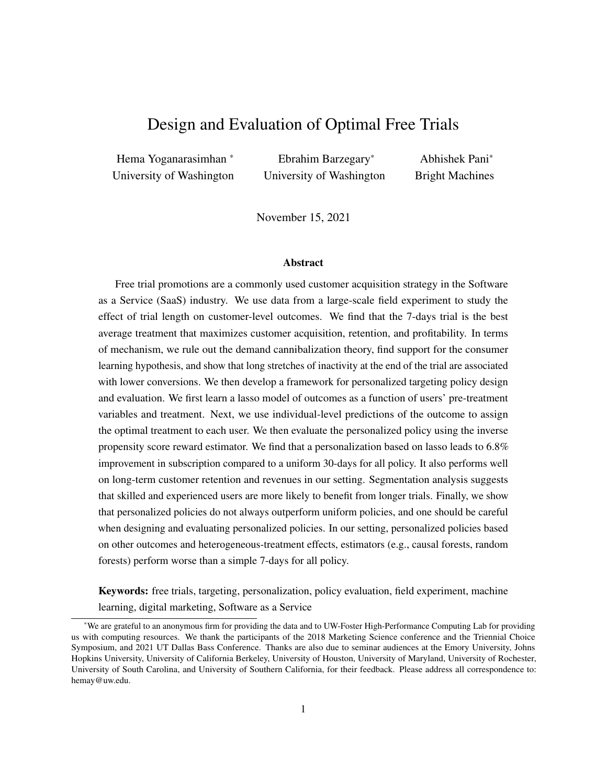<span id="page-27-0"></span>

| <b>Dataset</b> | Policy optimized on  | Subscription | <b>Total Revenue</b> | Subscription Length |
|----------------|----------------------|--------------|----------------------|---------------------|
| Training data  | Subscription         | 15.85        | 85.96                | 2.39                |
|                | <b>Total Revenue</b> | 15.60        | 86.41                | 2.35                |
|                | Subscription Length  | 15.71        | 84.77                | 2.40                |
| Test data      | Subscription         | 15.62        | 86.67                | 2.36                |
|                | <b>Total Revenue</b> | 15.45        | 84.28                | 2.33                |
|                | Subscription Length  | 15.53        | 84.86                | 2.35                |

Table 11: Expected mean of the three outcomes of interest under policies optimizing each outcome.

To that end, we now design two other personalized policies designed to maximize: (1) subscription length and (2) revenue. The policy design follows the same procedure described in  $\lambda$ [5.1,](#page-17-0) but with revenue  $(Y_i^r)$  and subscription length  $(Y_i^l)$  as our outcome variables. That is, we first estimate two separate lasso models with the above two variables as outcome variables, and then assign policy based on them.

Table [11](#page-27-0) compares the performance of the three personalized policies on the three outcome variables of interest to the firm: subscriptions, subscription length, and revenue.<sup>[15](#page-27-1)</sup> Interestingly, we find that the policy optimized on short-run conversions (subscriptions) also performs the best on retention and revenue. There are three reasons for this. First, as we saw in the previous section, conditional on subscription, the differences in retention length and products purchased are relatively minor. Hence, optimizing on subscription is largely consistent with optimizing on retention/revenue. Second, recall that the long-run outcomes are missing for about 7% of the subscribers. So the policies based on these outcome have less information for training, which compromises their generalizability and hampers their performance on the test data. Third, subscription is a binary outcome and as such has no variance in the positive realizations. In contrast, the variance in the long-run outcome variables (subscription length and revenue) can be quite high. This variance makes it harder to generalize models based on these outcomes, which in turn adversely affects the performance of policies based on them.

In summary, our findings suggest that if there are no significant differences in customer loyalty and profitability as a function of the promotional channel through which the user converted (trial length in this case), then optimizing low-variance short-run conversions will also lead to more generalizable policies that will also perform well on long-run outcomes.

# 8 Conclusions

Free trials are now a commonly used promotional strategy for SaaS products and other digital experience goods. In this paper, we examine the effect of trial length on consumers' subscription and retention decisions using data from a large-scale field experiment run by a leading SaaS firm, where the firm randomly assigned new users to 7, 14, or 30 days of free trial. We leverage two unique features of the data in our study: (a) the exogenous assignment of trial length and (2) the user's post-treatment product download and usage data during the trial period.

<span id="page-27-1"></span> $\frac{15}{15}$ See Appendix [J](#page-51-0) for a discussion of how the treatment allocation varies across the three policies.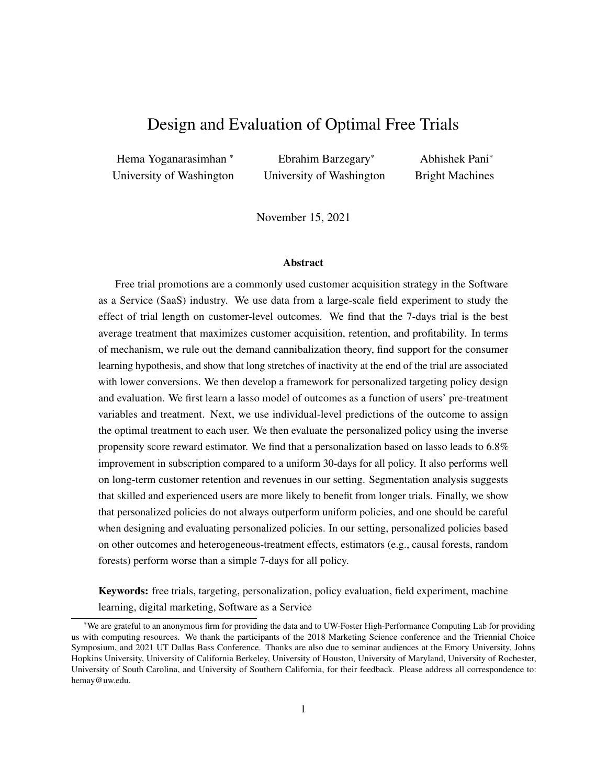We find that the shortest trial length (7-days) is the best average treatment and maximizes both shortand long-run outcomes, customer acquisition, retention, and profitability. While this result is likely to be specific to our setting, we examine the behavioral underpinning of these findings and provide some evidence on the mechanisms at play. We rule out the demand cannibalization or free riding theory, find support for the consumer learning hypothesis, and identify a novel mechanism that plays a significant role in the effectiveness of free trials – the negative effect of long stretches of inactivity at the end of the trial on subscription.

We then develop a personalized targeting policy based on lasso and show that it can lead to over 6.8% improvement in subscription compared to the baseline uniform policy of giving a 30-day trial for all. Further exploration of usage within different consumer segments in our personalization scheme suggests that simpler products and experienced users are more likely to benefit from longer trials. Finally, we find that the personalized policy designed to optimize subscriptions also performs well on long-term metrics such as customer retention and revenues in our setting. We also compare the performance of our benchmark personalized policy with alternative personalized policies developed based on other well-known outcome estimators (e.g., random forests) and the recently developed heterogeneous treatment effects estimators (e.g., generalized random forests). We find that many alternative personalized policies perform poorly, and are often worse than the simple uniform 7-days for all policy. A key managerial takeaway is that firms should not naively assume that personalization based on the most advanced estimators always helps. Instead, they should develop personalized policies based on a number of methods and carefully evaluate them using offline IPS estimators before investing resources in deploying personalized policies in the field.

Our paper opens many avenues for future research. First, while our analysis indicates that product usage during the trial period affects users' subscription decisions, we do not causally tie usage to subscriptions because usage is endogenous. Nevertheless, future research may be able to use treatment assignment (e.g., trial length) as an instrument that exogenously shifts usage and directly estimate the effect of usage on purchase. This can provide further insight into the question of whether encouraging usage (either through free trial or product improvements) can lead to better purchase outcomes. Second, our analysis suggests that personalized policies do not always perform better than a simple uniform policy. One interesting finding is that outcome estimators that have high predictive ability do not necessarily do well on personalized policy design (compare the performance of models in Table [A9](#page-43-2) in Web Appendix [G](#page-43-1) with Table [8\)](#page-19-2). Moreover, the finding that recently developed CATE estimators such as causal forest do not perform well in our setting is also surprising. Further investigation into the question of whether these results are generalizable would be a useful next step.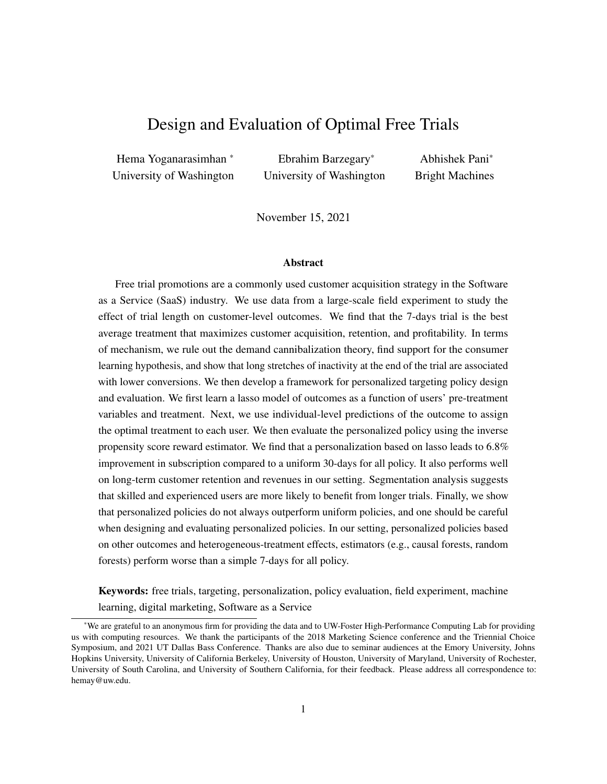# References

- <span id="page-29-16"></span>E. T. Anderson and D. I. Simester. Long-run effects of promotion depth on new versus established customers: three field studies. *Marketing Science*, 23(1):4–20, 2004.
- <span id="page-29-1"></span>S. Athey and G. Imbens. Recursive partitioning for heterogeneous causal effects. *Proceedings of the National Academy of Sciences*, 113(27):7353–7360, 2016.
- <span id="page-29-12"></span>S. Athey and S. Wager. Efficient policy learning. *arXiv preprint arXiv:1702.02896*, 2017.
- <span id="page-29-20"></span>M. Bruhn and D. McKenzie. In Pursuit of Balance: Randomization in Practice in Development Field Experiments. *American Economic Journal: Applied Economics*, 1(4):200–232, 2009.
- <span id="page-29-2"></span>H. K. Cheng and Y. Liu. Optimal software free trial strategy: The impact of network externalities and consumer uncertainty. *Information Systems Research*, 23(2):488–504, 2012.
- <span id="page-29-3"></span>D. Dey, A. Lahiri, and D. Liu. Consumer learning and time-locked trials of software products. *Journal of Management Information Systems*, 30(2):239–268, 2013.
- <span id="page-29-5"></span>M. Dud´ık, J. Langford, and L. Li. Doubly robust policy evaluation and learning. In *Proceedings of the 28th International Conference on International Conference on Machine Learning*, pages 1097–1104. Omnipress, 2011.
- <span id="page-29-24"></span>P. S. Fader and B. G. Hardie. Probability Models for Customer-base Analysis. *Journal of Interactive Marketing*, 23(1): 61–69, 2009.
- <span id="page-29-7"></span>N. Fong, Y. Zhang, X. Luo, and X. Wang. Targeted promotions on an e-book platform: Crowding out, heterogeneity, and opportunity costs. *Journal of Marketing Research*, 56(2):310–323, 2019.
- <span id="page-29-8"></span>B. Foubert and E. Gijsbrechts. Try it, you'll like it—or will you? the perils of early free-trial promotions for high-tech service adoption. *Marketing Science*, 35(5):810–826, 2016.
- <span id="page-29-21"></span>J. Friedman, T. Hastie, and R. Tibshirani. Regularization paths for generalized linear models via coordinate descent. *Journal of statistical software*, 33(1):1, 2010.
- <span id="page-29-0"></span>Gartner. Forecast: Public cloud services, worldwide, 2016-2022, 4q18 update., 2019. URL [https://www.gartner.com/en/newsroom/press-releases/](https://www.gartner.com/en/newsroom/press-releases/2019-04-02-gartner-forecasts-worldwide-public-cloud-revenue-to-g) [2019-04-02-gartner-forecasts-worldwide-public-cloud-revenue-to-g](https://www.gartner.com/en/newsroom/press-releases/2019-04-02-gartner-forecasts-worldwide-public-cloud-revenue-to-g).
- <span id="page-29-6"></span>T. Guo, S. Sriram, and P. Manchanda. The effect of information disclosure on industry payments to physicians. *Available at SSRN 3064769*, 2017.
- <span id="page-29-23"></span>S. Gupta, D. Hanssens, B. Hardie, W. Kahn, V. Kumar, N. Lin, N. Ravishanker, and S. Sriram. Modeling customer lifetime value. *Journal of Service Research*, 9(2):139–155, 2006.
- <span id="page-29-9"></span>J. R. Hauser, G. L. Urban, G. Liberali, and M. Braun. Website morphing. *Marketing Science*, 28(2):202–223, 2009.
- <span id="page-29-13"></span>G. J. Hitsch and S. Misra. Heterogeneous treatment effects and optimal targeting policy evaluation. *Available at SSRN 3111957*, 2018.
- <span id="page-29-4"></span>D. G. Horvitz and D. J. Thompson. A generalization of sampling without replacement from a finite universe. *Journal of the American statistical Association*, 47(260):663–685, 1952.
- <span id="page-29-19"></span>G. W. Imbens and D. B. Rubin. *Causal inference in statistics, social, and biomedical sciences*. Cambridge University Press, 2015.
- <span id="page-29-11"></span>T. Kitagawa and A. Tetenov. Who should be treated? empirical welfare maximization methods for treatment choice. *Econometrica*, 86(2):591–616, 2018.
- <span id="page-29-22"></span>R. A. Lewis and J. M. Rao. The unfavorable economics of measuring the returns to advertising. *The Quarterly Journal of Economics*, 130(4):1941–1973, 2015.
- <span id="page-29-10"></span>C. F. Manski. Statistical treatment rules for heterogeneous populations. *Econometrica*, 72(4):1221–1246, 2004.
- <span id="page-29-25"></span>D. M. McCarthy, P. S. Fader, and B. G. Hardie. Valuing subscription-based businesses using publicly disclosed customer data. *Journal of Marketing*, 81(1):17–35, 2017.
- <span id="page-29-18"></span>D. McKenzie. Should we require balance t-tests of baseline observables in randomized experiments?, 2017. URL [https://blogs.worldbank.org/impactevaluations/](https://blogs.worldbank.org/impactevaluations/should-we-require-balance-t-tests-baseline-observables-randomized-experiments) [should-we-require-balance-t-tests-baseline-observables-randomized-experiments](https://blogs.worldbank.org/impactevaluations/should-we-require-balance-t-tests-baseline-observables-randomized-experiments).
- <span id="page-29-14"></span>C. F. Mela, S. Gupta, and D. R. Lehmann. The long-term impact of promotion and advertising on consumer brand choice. *Journal of Marketing research*, 34(2):248–261, 1997.
- <span id="page-29-17"></span>D. C. Mutz, R. Pemantle, and P. Pham. The perils of balance testing in experimental design: Messy analyses of clean data. *The American Statistician*, 73(1):32–42, 2019.
- <span id="page-29-15"></span>K. Pauwels, D. M. Hanssens, and S. Siddarth. The long-term effects of price promotions on category incidence, brand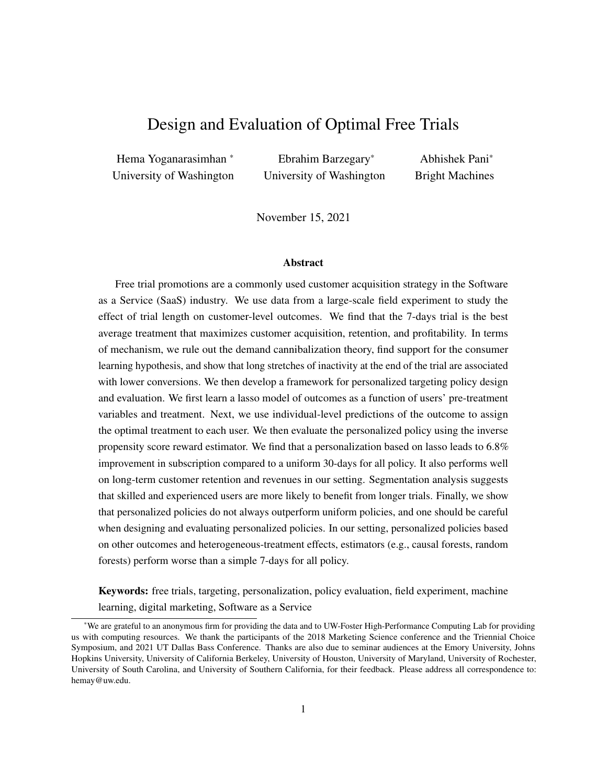choice, and purchase quantity. *Journal of Marketing Research*, pages 421–439, 2002.

- <span id="page-30-14"></span>R. L. Prentice. Surrogate endpoints in clinical trials: definition and operational criteria. *Statistics in medicine*, 8(4): 431–440, 1989.
- <span id="page-30-9"></span>O. Rafieian. Optimizing user engagement through adaptive ad sequencing. Technical report, Working paper, 2019a.
- <span id="page-30-10"></span>O. Rafieian. Revenue-optimal dynamic auctions for adaptive ad sequencing. Technical report, Working paper, 2019b.
- <span id="page-30-2"></span>O. Rafieian and H. Yoganarasimhan. Targeting and privacy in mobile advertising. *Marketing Science*, 2021.
- <span id="page-30-7"></span>E. M. Schwartz, E. T. Bradlow, and P. S. Fader. Customer acquisition via display advertising using multi-armed bandit experiments. *Marketing Science*, 36(4):500–522, 2017.
- <span id="page-30-5"></span>C. A. Scott. The effects of trial and incentives on repeat purchase behavior. *Journal of Marketing Research*, 13(3): 263–269, 1976.
- <span id="page-30-13"></span>D. Simester, A. Timoshenko, and S. I. Zoumpoulis. Targeting prospective customers: Robustness of machine learning methods to typical data challenges. *Management Science*, 2019.
- <span id="page-30-3"></span>D. Simester, A. Timoshenko, and S. I. Zoumpoulis. Efficiently evaluating targeting policies: Improving on champion vs. challenger experiments. *Management Science*, 66(8):3412–3424, 2020.
- <span id="page-30-6"></span>T. Sunada. Customer learning and revenue-maximizing trial design. Technical report, Working Paper, 2018.
- <span id="page-30-11"></span>A. Swaminathan and T. Joachims. Counterfactual risk minimization: Learning from logged bandit feedback. In *International Conference on Machine Learning*, pages 814–823. PMLR, 2015.
- <span id="page-30-12"></span>A. Swaminathan, A. Krishnamurthy, A. Agarwal, M. Dudik, J. Langford, D. Jose, and I. Zitouni. Off-policy evaluation for slate recommendation. In *Advances in Neural Information Processing Systems*, pages 3632–3642, 2017.
- <span id="page-30-17"></span>R. Tibshirani. Regression shrinkage and selection via the lasso. *Journal of the Royal Statistical Society: Series B (Methodological)*, 58(1):267–288, 1996.
- <span id="page-30-15"></span>T. J. VanderWeele. Surrogate measures and consistent surrogates. *Biometrics*, 69(3):561–565, 2013.
- <span id="page-30-1"></span>S. Wager and S. Athey. Estimation and inference of heterogeneous treatment effects using random forests. *Journal of the American Statistical Association*, 0(0):1–15, 2018. doi: 10.1080/01621459.2017.1319839.
- <span id="page-30-4"></span>S. Wang and G. F. Ozkan-Seely. Signaling product quality through a trial period. ¨ *Operations Research*, 66(2):301–312, 2018.
- <span id="page-30-16"></span>J. Yang, D. Eckles, P. Dhillon, and S. Aral. Targeting for long-term outcomes. *arXiv preprint arXiv:2010.15835*, 2020.
- <span id="page-30-8"></span>H. Yoganarasimhan. Search personalization using machine learning. *Management Science*, 66(3):1045—-1070, 2020.
- <span id="page-30-0"></span>M. Zhu, Y. Yang, and C. K. Hsee. The mere urgency effect. *Journal of Consumer Research*, 45(3):673–690, 2018.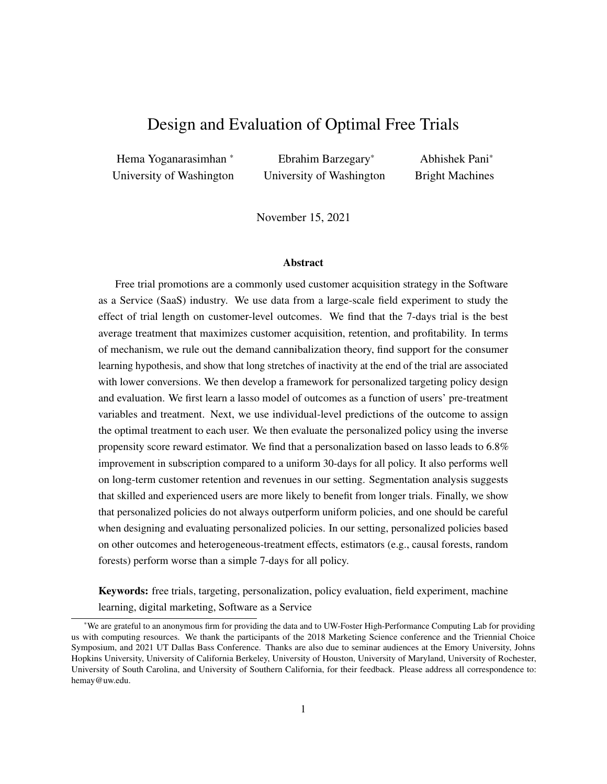# Appendices

# <span id="page-31-2"></span>A Appendix for Data Section

<span id="page-31-0"></span>

| <b>Trial</b><br>Length | Variable                          | Mean  | <b>Standard</b><br><b>Deviation</b> | Min            | 25%      | 50%      | $75\%$   | <b>Max</b> | Number of<br><b>Observations</b> |
|------------------------|-----------------------------------|-------|-------------------------------------|----------------|----------|----------|----------|------------|----------------------------------|
|                        | Subscription                      | 0.154 | 0.360                               | 0.00           | 0.00     | 0.00     | 0.00     | 1.00       | 51,017                           |
|                        | Subscription length (all)         | 2.35  | 6.59                                | 0.00           | 0.00     | 0.00     | 0.00     | 73         | 50,504                           |
| 7 Days                 | Subscription length (subscribers) | 16.19 | 8.70                                | 0.0            | 10.00    | 18.00    | 23.00    | 73.00      | 7,322                            |
|                        | Revenue (all)                     | 83    | 295                                 | 0              | $\Omega$ | $\Omega$ | $\Omega$ | 6,219      | 50,504                           |
|                        | Revenue (subscribers)             | 578   | 562                                 | $\overline{0}$ | 239      | 424      | 679      | 6,219      | 7,322                            |
|                        | Subscription                      | 0.150 | 0.357                               | 0.0            | 0.00     | 0.00     | 0.00     | 1.00       | 51,040                           |
|                        | Subscription length (all)         | 2.27  | 6.45                                | 0.0            | 0.00     | 0.00     | 0.000    | 67         | 50,543                           |
| 14 Days                | Subscription length (subscribers) | 16.09 | 8.48                                | 0.0            | 10.00    | 18.00    | 22.00    | 67.00      | 7,138                            |
|                        | Revenue (all)                     | 81    | 289                                 | $\overline{0}$ | $\Omega$ | $\Omega$ | $\Omega$ | 6,799      | 50,543                           |
|                        | Revenue (subscribers)             | 576   | 554                                 | $\overline{0}$ | 252      | 420      | 679      | 6,799      | 7,138                            |
|                        | Subscription                      | 0.147 | 0.354                               | 0.00           | 0.00     | 0.00     | 0.00     | 1.00       | 235,667                          |
|                        | Subscription length (all)         | 2.20  | 6.31                                | 0.00           | 0.00     | 0.00     | 0.00     | 108        | 233,176                          |
| 30 Days                | Subscription length (subscribers) | 15.96 | 8.36                                | 0.00           | 10.00    | 17.00    | 22.00    | 108        | 32,073                           |
|                        | Revenue (all)                     | 77    | 281                                 | 0              | $\Omega$ | $\Omega$ | $\Omega$ | 20,208     | 233,176                          |
|                        | Revenue (subscribers)             | 564   | 550                                 | $\Omega$       | 241      | 420      | 660      | 20,208     | 32,073                           |

Table A1: Summary statistics of subscription, subscription length, and revenue outcomes in each trial length. All the revenue numbers are scaled by a constant factor to preserve the firm's anonymity.

<span id="page-31-1"></span>

| <b>Trial</b><br>Length | <b>Variable</b>            | Mean  | <b>Standard</b><br><b>Deviation</b> | Min | 25% | 50% | 75%   | <b>Max</b> | Number of<br><b>Observations</b> |
|------------------------|----------------------------|-------|-------------------------------------|-----|-----|-----|-------|------------|----------------------------------|
|                        | Total downloaded packages  | 1.0   | 0.0                                 | 1.0 | 1.0 | 1.0 | 1.0   | 4.0        | 51,017                           |
|                        | Indicator for software use | 1.0   | 0.0                                 | 0.0 | 0.0 | 1.0 | 1.0   | 1.0        | 51,017                           |
|                        | Number of active days      | 2.0   | 2.0                                 | 0.0 | 1.0 | 1.0 | 2.0   | 7.0        | 45,810                           |
| 7 Days                 | Ratio of active days       | 0.0   | 0.0                                 | 0.0 | 0.0 | 0.0 | 0.0   | 1.0        | 45,810                           |
|                        | Usage during trial         | 985   | 3,567                               | 0.0 | 37  | 184 | 730   | 223,179    | 45,810                           |
|                        | Log usage during trial     | 5.0   | 3.0                                 | 0.0 | 4.0 | 5.0 | 7.0   | 12.0       | 45,810                           |
|                        | Dormancy length            | 1.0   | 0.0                                 | 0.0 | 0.0 | 1.0 | 1.0   | 1.0        | 45,810                           |
|                        | Total downloaded packages  | 1.0   | 0.0                                 | 1.0 | 1.0 | 1.0 | 1.0   | 4.0        | 51,040                           |
|                        | Indicator for software use | 1.0   | 0.0                                 | 0.0 | 0.0 | 1.0 | 1.0   | 1.0        | 51,040                           |
|                        | Number of active days      | 2.0   | 3.0                                 | 0.0 | 1.0 | 1.0 | 3.0   | 14.0       | 45,902                           |
| 14 Days                | Ratio of active days       | 0.0   | 0.0                                 | 0.0 | 0.0 | 0.0 | 0.0   | 1.0        | 45,902                           |
|                        | Usage during trial         | 1,397 | 5,938                               | 0.0 | 44  | 227 | 919   | 400,705    | 45,902                           |
|                        | Log usage during trial     | 5.0   | 3.0                                 | 0.0 | 4.0 | 5.0 | 7.0   | 13.0       | 45,902                           |
|                        | Dormancy length            | 1.0   | 0.0                                 | 0.0 | 0.0 | 1.0 | 1.0   | 1.0        | 45,902                           |
|                        | Total downloaded packages  | 1.0   | 0.0                                 | 1.0 | 1.0 | 1.0 | 1.0   | 4.0        | 235,667                          |
|                        | Indicator for software use | 1.0   | 0.0                                 | 0.0 | 1.0 | 1.0 | 1.0   | 1.0        | 235,667                          |
|                        | Number of active days      | 3.0   | 4.0                                 | 0.0 | 1.0 | 2.0 | 4.0   | 30.0       | 211,802                          |
| 30 Days                | Ratio of active days       | 0.0   | 0.0                                 | 0.0 | 0.0 | 0.0 | 0.0   | 1.0        | 211,802                          |
|                        | Usage during trial         | 1,968 | 8,007                               | 0.0 | 51  | 286 | 1,227 | 488,666    | 211,802                          |
|                        | Log usage during trial     | 5.0   | 3.0                                 | 0.0 | 4.0 | 6.0 | 7.0   | 13.0       | 211,802                          |
|                        | Dormancy length            | 1.0   | 0.0                                 | 0.0 | 0.0 | 1.0 | 1.0   | 1.0        | 211,802                          |

Table A2: Summary statistics for usage features in each trial length.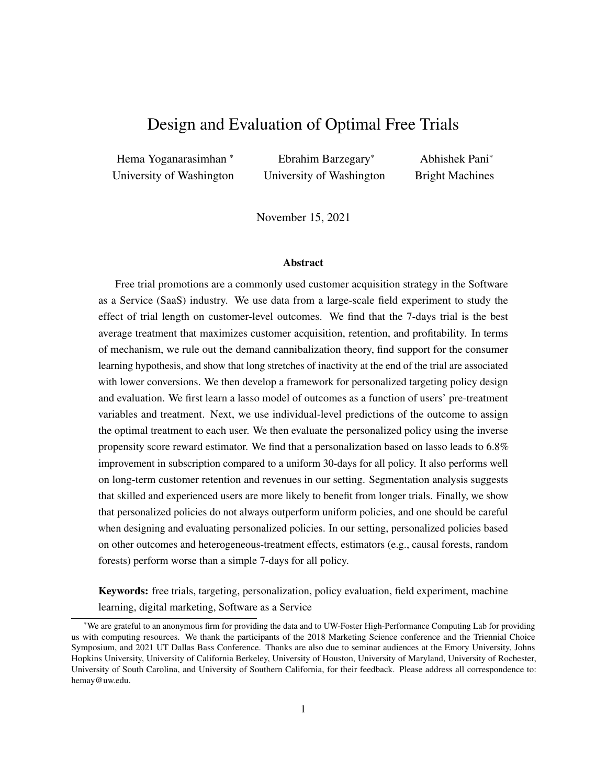| <b>Trial Length</b> | <b>Training Data</b> | <b>Test Data</b> | <b>Total</b> |
|---------------------|----------------------|------------------|--------------|
| 7 days              | 35,743               | 15,274           | 51,017       |
| 14 days             | 35.901               | 15,139           | 51,040       |
| 30 days             | 165,056              | 70,611           | 235,667      |
| Total               | 236,700              | 101,024          | 337,724      |

<span id="page-32-0"></span>Table A3: The number of observations for each trial length in each dataset.

# B Appendix for ATE and Randomization Checks

# <span id="page-32-2"></span>B.1 ATE using Regressions

|         | <b>Training Dataset</b> |          | <b>Test Dataset</b> |          | <b>All Dataset</b> |          |  |
|---------|-------------------------|----------|---------------------|----------|--------------------|----------|--|
|         | No control              | Control  | No control          | Control  | No control         | Control  |  |
|         | 0.0064                  | 0.0064   | 0.0082              | 0.0069   | 0.0069             | 0.0065   |  |
| 7 Days  | (0.0021)                | (0.0018) | (0.0032)            | (0.0027) | (0.0017)           | (0.0015) |  |
| 14 Days | 0.0021                  | 0.0018   | 0.0048              | 0.0038   | 0.0029             | 0.0024   |  |
|         | (0.0021)                | (0.0018) | (0.0032)            | (0.0027) | (0.0017)           | (0.0015) |  |

Table A4: The coefficients of 7 days and 14 days in regression analysis. In the control case, we control for all the pre-treatment variables.

#### <span id="page-32-1"></span>B.2 Randomization Checks

First, we show the distribution of treatment assignment across the five skill levels in Table [A5.](#page-32-3) As we can see, the treatment assignment is pretty even; and none of the differences in assignment probabilities within each sub-category are significant. However, as discussed in the main text, this approach of testing for randomness in assignment within each sub-category is not considered the best practice for a variety of reasons; see [Bruhn](#page-29-20) [and McKenzie](#page-29-20) [\(2009\)](#page-29-20) and [Mutz et al.](#page-29-17) [\(2019\)](#page-29-17).

<span id="page-32-3"></span>

| Trial Length   Beginner |        |        | <b>Experienced</b> Intermediate | Mixed  | <b>Unknown</b> |
|-------------------------|--------|--------|---------------------------------|--------|----------------|
| 7 days                  | 0.6899 | 0.1295 | 0.0005                          | 0.1077 | 0.0723         |
| 14 days                 | 0.6887 | 0.1282 | 0.0006                          | 0.1082 | 0.0743         |
| 30 days                 | 0.6910 | 0.1269 | 0.0006                          | 0.1075 | 0.0740         |

Table A5: The proportion of individuals with a given skill in different trial lengths.

Therefore, we present two more formal randomization checks. First, we regress the treatment variable  $(W<sub>i</sub>)$  on the pre-treatment variables separately for both the 7 day and 14 day treatment using the 30 day treatment as the base in both regressions. We present these results in Table [A6.](#page-33-2) The top panel shows the results of the regressions for the training data and the bottom panel shows the results for the test data. In all the four regressions, we see that the pre-treatment variables have no predictive power (all the R-squareds are zero) and F-statistics are not significant. This suggests that the pre-treatment variables are not systematically correlated with treatment assignment. Second, we regress the outcome variable (subscription decision) on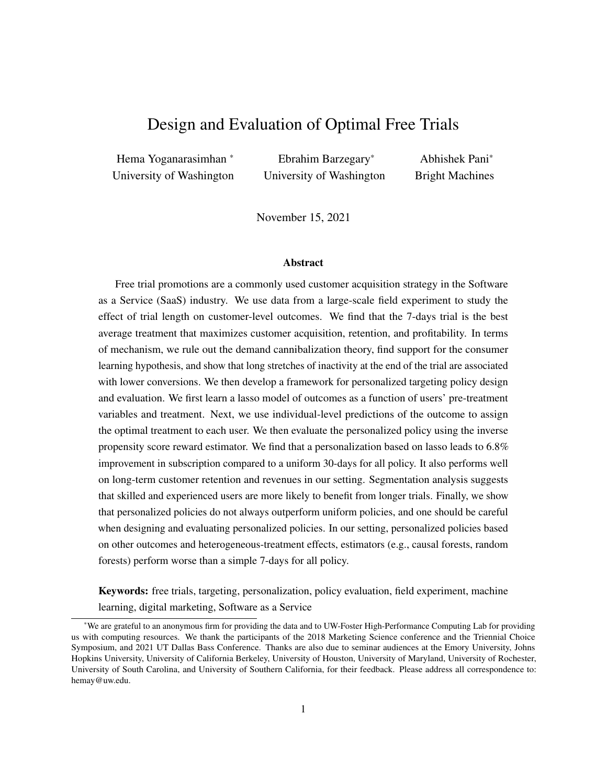<span id="page-33-2"></span>

| Dataset         |                   |                      |                      |                      | Comparison Treatment   R-Squared Adj. R-squared F-statistic p-value of the F-statistic |
|-----------------|-------------------|----------------------|----------------------|----------------------|----------------------------------------------------------------------------------------|
| <b>Training</b> | 7 days<br>14 days | 0.000377<br>0.000439 | 0.000019<br>0.000081 | 1.052991<br>1.225721 | 0.356526<br>0.093690                                                                   |
| <b>Test</b>     | 7 days<br>14 days | 0.000865<br>0.000963 | 0.000026<br>0.000125 | 1.030504<br>1.149222 | 0.406522<br>0.181734                                                                   |

the treatment variable and all the pre-treatment variables and present the results in Table [A7.](#page-33-3) The treatment effects are very similar to those in Table [5,](#page-12-0) which suggests that there are no issues with randomization.

<span id="page-33-3"></span>**Table A6:** The results of regressing the treatment  $(W<sub>i</sub>)$  on the pre-treatment variables. In all the regressions, the baseline is the 30 day treatment. The F-statistic tests the null hypothesis that coefficients are jointly statistically significantly different from zero.

| Dataset         | Trials Length    | Coefficient std err |       |       | t-stat $P >  t $ | [0.025]  | 0.975] |
|-----------------|------------------|---------------------|-------|-------|------------------|----------|--------|
| <b>Training</b> | 14 days          | 0.0018              | 0.002 | 0.999 | 0.318            | $-0.002$ | 0.005  |
|                 | $7 \text{ days}$ | 0.0064              | 0.002 | 3.581 | 0.000            | 0.003    | 0.010  |
| <b>Test</b>     | 14 days          | 0.0038              | 0.003 | 1.385 | 0.166            | $-0.002$ | 0.009  |
|                 | 7 days           | 0.0069              | 0.003 | 2.516 | 0.012            | 0.002    | 0.012  |

Table A7: Effect of trial length calculated by regressing the subscription decision on all the pre-treatment variables and trial length.

# <span id="page-33-1"></span><span id="page-33-0"></span>C Appendix for Mechanism



Figure A1: Fraction of users downloading products 1–4 under each trial length. Products 1 and 3 are complements.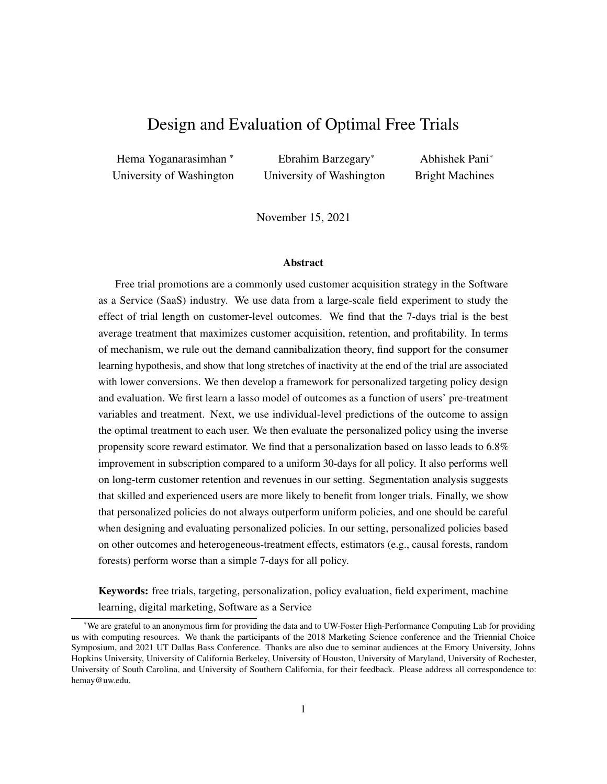# <span id="page-34-0"></span>D Lasso Implementation Details

Next, we briefly describe our implementation of the lasso model discussed in  $\chi$ ??. First, note that we use the subscription indicator as outcome variable  $(Y_i)$ . Next, in our setting, all the pre-treatment variables,  $X_i$ s, are categorical. So we transform each categorical variable into a set of dummy variables for each sub-category (also referred to as one-hot encoding in the machine learning literature). After this transformation, we have 82 dummies for the pre-treatment variables, three treatment dummies, and 246 first-order interaction variables. This gives us a total of 331 explanatory variables for the lasso model. Recall that there is one hyper-parameter that we need to tune in the lasso model, which is the L1 regularization parameter,  $\lambda$ . We use the standard cross-validation procedure implemented in the *glmnet* package in R. It searches over 98 different values of λ ranging from 1.8 10<sup>5</sup> to 1.5 10<sup>1</sup>, and picks the one that gives us the best out-of-sample performance (based on five-fold cross-validation). In our case, it  $\lambda = 3.1$  10<sup>4</sup>. The final model achieves a MSE of 0.0933 in both the training and test data.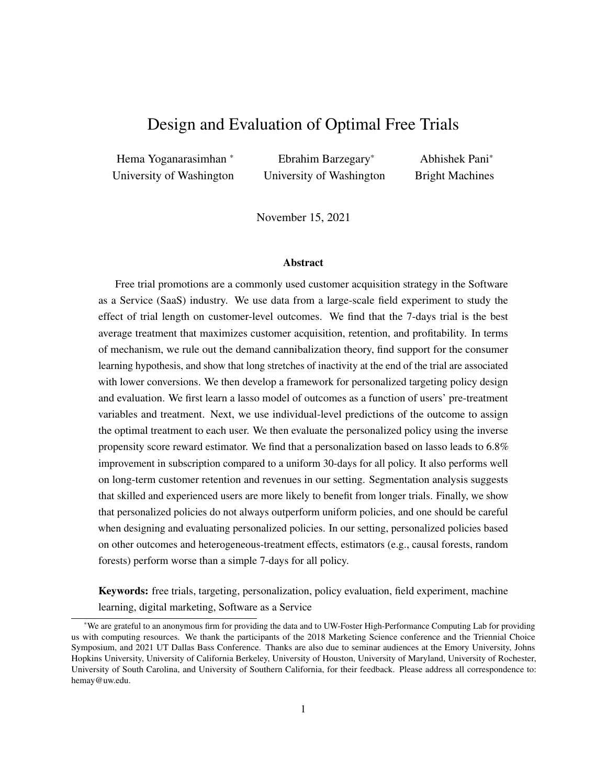#### <span id="page-35-0"></span>E Design of Alternative Personalized Policies

We discuss the design of a series of alternative personalized policies. First, in  $\angle XE.1$ , we present with the policies based on other outcome estimators. Next, in x[E.2,](#page-37-1) we discuss policies based on CATE estimators.

#### <span id="page-35-1"></span>E.1 Policies based on Outcome Estimators

Recall that to design outcome estimators, we first need learn a model  $f(x, w) = E[Y/X_i = x, W_i = w]$ . Then, using estimate of the expected outcome,  $\hat{f}(x = X_i, w)$ , we obtain the optimal personalized policy (based on outcome estimator  $f$ ) for observation i as:

$$
\pi_f(X_i) = w , \quad \text{where} \quad w = \underset{w \ge W}{\arg \max} \hat{f}(x = X_i, w) \tag{A.1}
$$

We now consider four commonly used outcome estimators (or models for  $f$ ): (1) linear regression, (2) CART, (3) random forest, and (4) boosted regression trees. We focus on these because of a few key reasons. First, linear regression is the simplest and most commonly used method to model any outcome of interest. Second, lasso is worth exploring because it was designed to improves on the predictions from a linear regression by reducing the out-of-sample variance using variable selection. Third, CART is a semi-parametric way to model outcomes by partitioning the covariate space into areas with the highest within-group similarity in outcomes. Finally, both random forest and boosted regression trees are improvements of CART and have been shown to offer much higher predictive ability than simpler models such as CART, regression, or lasso. We discuss each of these briefly below.

#### E.1.1 Linear Regression

A linear regression model with first-order interaction effects can be used to predict an individual i's observed outcome  $Y_i$  as a function of her pre-treatment variables, treatment variable, and the interaction of both, as follows:

$$
Y_i = X_i \beta_1 + W_i \beta_2 + X_i W_i \beta_3 + \epsilon_i. \tag{A.2}
$$

 $\beta_1$  is a vector that captures the effect of the pre-treatment variables  $(X_i)$  on the outcome.  $\beta_2$  is a vector that captures the main effect of the different treatments on Y. Finally, the vector  $\beta_3$  captures the interaction effect of treatment and pre-treatment variables. This interaction term is important because it helps us in personalizing the policy by capturing how the effectiveness of different treatments varies across individuals (as a function of their pre-treatment attributes).

However, in a high dimensional covariate space, linear regressions with first-order interaction effects will have a large number of explanatory variables. This usually leads to poor out-of-sample fit. That is, such regressions tend to have low bias, but high variance – they tend to overfit on the training sample but perform poorly in new samples, especially if the data generating process is noisy. Since our goal is to design optimal policies for counterfactual situations, the out-of-sample fit is the only metric of importance.<sup>[1](#page-35-2)</sup> The lasso model

<span id="page-35-2"></span><sup>&</sup>lt;sup>1</sup>We can also add higher-order interaction effects into the regression model. However, we refrain from doing so because it will increase model complexity significantly and exacerbate this problem.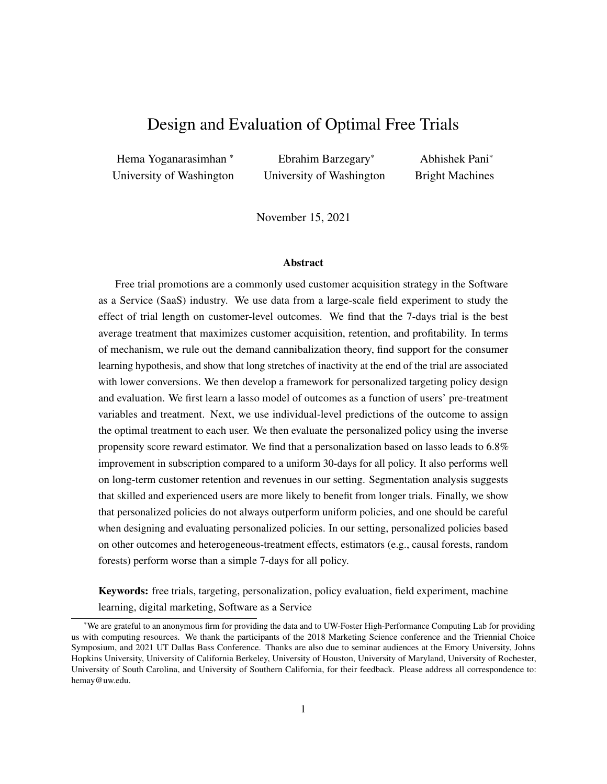used in the main text addresses the above problem by learning a simpler model that uses fewer variables [\(Tibshirani, 1996;](#page-30-17) [Friedman et al., 2010\)](#page-29-21).

#### E.1.2 Tree-based Methods

Next, we discuss tree-based models, starting with CART. CART recursively partitions the covariate space into sub-regions, and the average of Y in a given region  $(E(Y))$  is the predicted outcome for all observations in that region [\(Breiman et al., 1984\)](#page-52-0). This type of partitioning can be represented by a tree structure, where each leaf of the tree represents an output region. A general CART model can be expressed as:

$$
y = f(x, w) = \sum_{m=1}^{M} \rho_m I(x, w \ 2 R_m), \tag{A.3}
$$

where x, w is the set of explanatory variables,  $R_m$  is the  $m^{th}$  region of the M regions used to partition the space,  $\rho_m$  is the predicted value of y in region m.

Trees are trained by specifying a cost function (e.g., mean squared error) that is minimized at each step of the tree-growing process using a greedy algorithm. To avoid over-fitting, usually a penalty term is added to the cost function, whose weight is a hyper-parameter learnt from the data using cross-validation.

While CART has some good properties<sup>[2](#page-36-0)</sup>, it often has poor predictive accuracy because it is discontinuous in nature and is sensitive to outliers. Therefore, even with regularization, CART models tend to over-fit on the training data and under-perform on out-of-sample data. We can address these problems using two different techniques – (1) Bagging and (2) Boosting. We discuss both of these techniques and the resulting estimators below.

In general, deep trees have high in-sample fit (low bias), but high out-of-sample variance because of over-fitting. However, we can improve the variance problem by bagging or averaging deep trees using bootstrapping. [Ho](#page-52-1) [\(1995\)](#page-52-1) formalized this idea and proposed random forests. Random forest usually consists of hundreds or thousands of trees, each of which is trained on a random sub-sample of columns and rows. Each tree is thus different from other trees and the average of these random trees is a better predictor than one single tree trained on the full data.

Another approach is to start with shallow trees. Shallow trees have poor in-sample fit (high bias), but low out-of-sample variance. Additively, adding a series of weak trees that minimize the residual error at each step by a process known as boosting can improve the bias problem, while retaining the low variance. This gives us boosted regression trees. Conceptually, boosting can be thought of as performing gradient descent in function space using shallow trees as the underlying weak learners [\(Breiman, 1998;](#page-52-2) [Friedman, 2001\)](#page-52-3).<sup>[3](#page-36-1)</sup> In this paper, we use XGBoost, a version of boosted trees proposed by [Chen and Guestrin](#page-52-4) [\(2016\)](#page-52-4) because it is

<span id="page-36-0"></span> ${}^{2}$ CART can accept both continuous and discrete explanatory variables, is not sensitive to the scale of the variables, and allows any number of interactions between features [\(Murphy, 2012\)](#page-52-5). It therefore has ability to capture rich nonlinear patterns in the data. Further, CART can do automatic variable selection, i.e., it uses only those variables that provide better accuracy in the prediction task for splitting.

<span id="page-36-1"></span> ${}^{3}$ It should be noted that bagging is not a modeling technique; it is simply a variance reduction technique. Boosting, however, is a method to infer the underlying model  $y = f(x; w)$ . Thus, they are conceptually completely different.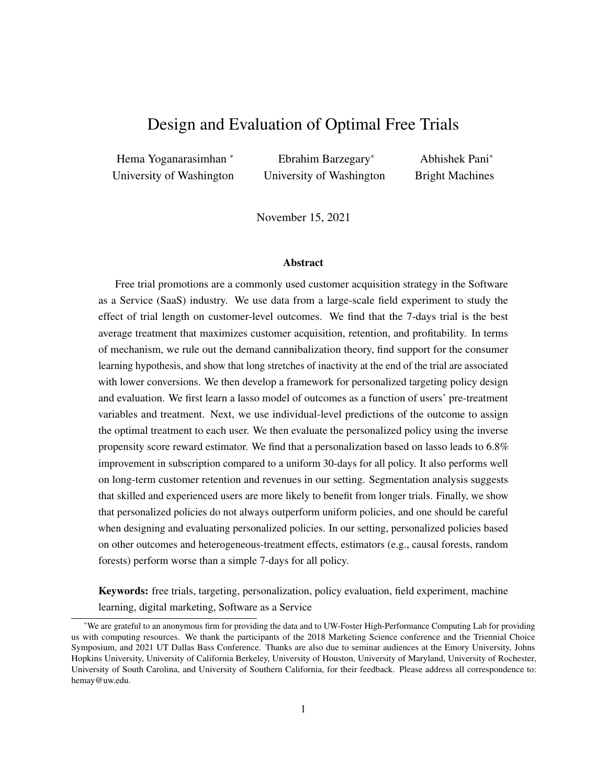superior to earlier implementations both in terms of accuracy and scalability.

Please see Appendix *x[F](#page-41-0)* for the set of hyper-parameters that need to be tuned in CART, random forest, and XGBoost.

#### <span id="page-37-1"></span>E.2 Heterogeneous Treatment Effect Estimators

The second approach to designing a personalized policy is to first obtain consistent estimates of heterogeneous treatment effects for each pair of treatments for all users, and then use them to assign treatments. This method also follows a two-step procedure. In the first step, we can obtain consistent estimates of individual-level treatment effects,  $\tau_{w_j,w_{j'}}(x)$ , for each pair of treatments  $w_j, w_j$ 1*g*. Under the standard assumptions of (1) unconfoundedness, (2) SUTVA, and (3) positivity,  $\tau_{w_j,w_{j'}}(x)$ , can be defined as [\(Rubin,](#page-52-6) [1974;](#page-52-6) [Imbens and Rubin, 2015\)](#page-29-19):

<span id="page-37-0"></span>
$$
\tau_{w_j, w_{j'}}(x) = \mathbb{E}\left[Y(X_i, W_i = w_j) \quad Y(X_i, W_i = w_{j'}) \mid X_i = x\right]. \tag{A.4}
$$

So if we have W treatments, we have to build  $\frac{W(W-1)}{2}$  pairwise models, where each model gives us an estimate of individual-level treatment effects for a given pair of treatments,  $w_j, w_{j'}$ .

In the second step, we use the estimated treatment effects to derive the optimal policy as<sup>[4](#page-37-2)</sup>:

$$
\pi(X_i) = w_j \quad \text{if and only if} \quad \mathcal{S} \ j^{\theta} \neq j \quad \tau_{w_j, w_{j'}}(x = X_i) \quad 0 \tag{A.5}
$$

Next, we discuss the These methods are based on the potential outcomes framework and estimate the treatment effect for any pair of treatments  $(w_j, w_{j'})$  at each point x as shown in Equation [\(A.4\)](#page-37-0). However, this equation is not very useful in practical settings (where the covariate space is high-dimensional and data are finite) because we would not have sufficient observations at each  $X_i$  to estimate precise treatment effects. Therefore, the general idea behind modern heterogeneous treatment effects estimators is to pool observations that are close in the covariate space and estimate the conditional average treatment effect for sub-populations instead of estimating the treatment effect at each point in the covariate space. That is, we can modify Equation [\(A.4\)](#page-37-0) as:

<span id="page-37-3"></span>
$$
\tau_{w_j, w_{j'}}(x) = \frac{\sum_{X_i \geq l(x), W_i = w_j} Y_i}{\sum 1[X_i \geq l(x), W_i = w_j]} \quad \frac{\sum_{X_i \geq l(x), W_i = w_{j'}} Y_i}{\sum 1[X_i \geq l(x), W_i = w_{j'}]},
$$
\n(A.6)

where  $l(x)$  is the set of covariates that are fairly similar to x. Intuitively, for each point x, we use the observations in  $l(x)$  to estimate treatment effects.

The main question in these methods then becomes how to find the optimal  $l(x)$  around each x. On the one hand, if  $l(x)$  is too small, then we will not have sufficient observations within  $l(x)$ , which would result in

<span id="page-37-2"></span><sup>&</sup>lt;sup>4</sup>In practice, we can have situations where three or more pairs of the estimated treatments form a loop, i.e.,  $\wedge_{w_j, w_{j'}} (x = X_i) >$  $\wedge_{w'_j,w_{j'}}, (x = X_i) > \wedge_{w''_j,w_j} (x = X_i)$ . This happens if the estimated treatment effects are noisy (usually due to lack of sufficient data). For these observations, we can simply assign the best average treatment (across all observations) as the policy-prescribed treatment. Further, there can be multiple optimal policies because two or more top treatments can have the same effect on the outcome. That is, for some combinations of  $X_i$  and  $j' \notin j$ , we can have:  $w_j, w_{j'}(x = X_i) = 0$ . However, notice that all the solutions give the same reward, i.e., the optimal reward is unique.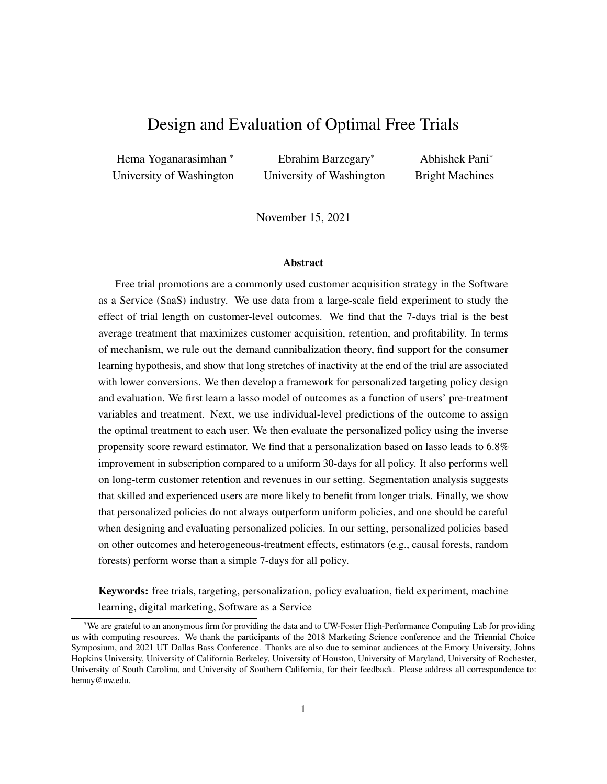noisy estimates of treatment effects. On the other hand, if  $l(x)$  is too large, then we will not capture all the heterogeneity in the treatment effects, which is essential for personalizing policy. Indeed, if  $l(x)$  is the entire data, then we simply have one Average Treatment Effect for all users (which will give us one global policy). Thus, finding the optimal  $l(x)$  involves the classic bias-variance trade-off.

Starting with [Rzepakowski and Jaroszewicz](#page-52-7) [\(2012\)](#page-52-7), a growing stream of literature has focused on developing data-driven approaches to finding the optimal  $l(x)$  based on ideas from the machine learning literature. Among these methods, the recently developed causal tree and causal forest (or Generalized Random Forest) have been shown to have superior performance. So we focus on them.

#### E.2.1 Causal Tree

Causal tree builds on CART. The only difference is that instead of partitioning the space to maximize predictive ability, the objective here is to identify partitions with similar within-partition treatment effect. [Athey and Imbens](#page-29-1) [\(2016\)](#page-29-1) show that maximizing the variation in the estimated treatment effects (with a regularization term added to control complexity) achieves this objective. Their algorithm consists of two steps. In the first step, it recursively splits the covariate space into partitions. In the second step, it estimates the treatment effect within each partition  $(l(x))$  using Equation [\(A.6\)](#page-37-3). Intuitively, this algorithm pools observations with similar treatment effects into the same partition because splitting observations that have similar treatment effects does not increase the objective function (i.e., variation in the post-split treatment effect).

The main idea behind causal tree is that we can use recursive partitioning to estimate heterogeneous treatment effects if we can come up with an objective function that can identify partitions with similar within-partition treatment effect.<sup>[5](#page-38-0)</sup> [Athey and Imbens](#page-29-1) [\(2016\)](#page-29-1) show that maximizing the variation in the estimated treatment effects achieves this objective, which can be written as:

$$
Var[\hat{\tau}(X)] = \frac{1}{N} \sum_{i=1}^{N} \hat{\tau}^{2}(X_i) \quad \left(\frac{1}{N} \sum_{i=1}^{N} \hat{\tau}(X_i)\right)^2 \tag{A.7}
$$

Since  $\left(\frac{1}{N}\right)$  $\frac{1}{N}\sum_{i=1}^{N} \hat{\tau}(X_i)$ <sup>2</sup> remains constant with respect to any possible next split, the objective function can be also described as maximizing the average of the square of estimated treatment effects. In practice, the algorithm chooses the split that maximizes  $Var[ $\hat{\tau}(X)$ ]$   $\subset T$ , where the second term is added for complexity control and is analogous to the regularization term in CART.

The algorithm consists of two steps. In the first step, it recursively splits the covariate space into partitions. In the second step, it estimates the treatment effect within each partition  $(l(x))$  using Equation [\(A.6\)](#page-37-3). Intuitively, this algorithm pools observations with similar treatment effects into the same partition because splitting observations that have similar treatment effects does not increase the objective function (i.e.,

<span id="page-38-0"></span> $5$ The first example of such a criterion was proposed by [Hansotia and Rukstales](#page-52-8) [\(2002\)](#page-52-8): for each potential split, the algorithm calculates the difference between the average outcome of the treatment and control in the right  $(Y_r)$  and left  $(Y_l)$  branches of the tree. Then, it selects the split with the highest value of  $Y = j Y_r$   $Y_l$ . Other splitting criteria include maximizing the difference between the class distributions in the treatment and control groups [\(Rzepakowski and Jaroszewicz, 2012\)](#page-52-7).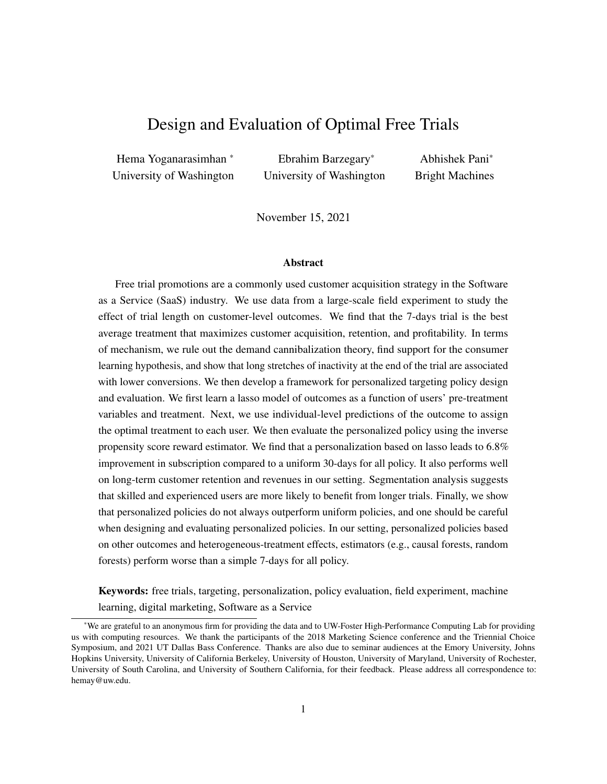variation in the post-split treatment effect).

#### E.2.2 Generalized Random Forest

The causal tree algorithm nevertheless suffers from weaknesses that mirror those of CART. To resolve these issues, [Wager and Athey](#page-30-1) [\(2018\)](#page-30-1) proposes causal forest, which builds on random forests [\(Breiman, 2001\)](#page-52-9). More broadly, [Athey et al.](#page-52-10) [\(2019\)](#page-52-10) show that the intuition from random forests can be used to flexibly estimate any heterogeneous quantity,  $\theta(x)$ , from the data, including heterogeneous treatment effects. They suggest a Generalized Random Forest (GRF) algorithm that learns problem-specific kernels for estimating any quantity of interest at a given point in the covariate space. For treatment estimation, the method proceeds in two steps. In the first step, it builds trees whose objective is to increase the variation in the estimated treatment effects. Each tree is built on a random sub-sample of the data and random sub-sample of covariates. In the second step, the algorithm uses the idea of a weighted kernel regression to calculate the treatment effect at each point  $x$  using weights from the first step.

The Generalized Random Forest (GRF) algorithm takes intuition from causal tree and combines it with ideas from predictive random forests to learn problem-specific kernels for estimating any quantity of interest at a given point in the covariate space. For the estimation of heterogeneous treatment effects, the method proceeds in two steps.

In the first step, it builds trees whose objective is to increase the variation in the estimated treatment effects. Each tree is built on a random sub-sample of the data and random sub-sample of covariates. At each step of the partitioning process (when building a tree), the algorithm first estimates the treatment effects in each parent leaf P by minimizing the R-learner objective function. This objective function is motivated by Robinson's method [\(Robinson, 1988;](#page-52-11) [Nie and Wager, 2017\)](#page-52-12) and can be written as follows:

$$
\hat{\tau}_P(\cdot) = \arg\min_{\tau} \left[ \frac{1}{n_P} \sum_{i=1}^{n_P} \left( \left( Y_i - \hat{m}^{(-i)}(X_i) \right) - \left( W_i - e^{(-i)}(X_i) \right) \hat{\tau}(X_i) \right)^2 + n(\tau(.)) \right], \quad (A.8)
$$

where  $n_P$  refers to the number of observations in the parent partition,  $n(\tau(.))$  is a regularizer that determines the complexity of the model used to estimate  $\tau_P(.)$ s, and  $\hat{m}^{(-i)}(X_i)$  and  $\hat{e}^{(-i)}(X_i)$  are out-of-bag estimates for the outcome and propensity score, respectively. While any method can be used for estimating  $\hat{m}^{(-i)}(X_i)$ and  $\hat{e}^{(-i)}(X_i)$ , the GRF implementation uses random forests to estimate these values.

Then, it chooses the next split such that it maximizes the following objective function:

$$
\frac{n_L \quad n_R}{(n_P)^2} \left(\hat{\tau}_L \quad \hat{\tau}_R\right)^2,\tag{A.9}
$$

where  $n<sub>L</sub>$  and  $n<sub>R</sub>$  refer to the number of observations in the post-split left and right partitions, respectively. However, instead of calculating the exact values of  $\hat{\tau}_L$  and  $\hat{\tau}_R$  for each possible split (and for each possible parent), the causal forest algorithm uses a gradient-based approximation of  $\hat{\tau}$  for each child node to improve compute speed; see [Athey et al.](#page-52-10) [\(2019\)](#page-52-10) for details. Thus, at the end of the first step, the method calculates weights,  $\alpha_i(x)$ , that denote the frequency with which the *i*-th training sample falls into the same leaf as x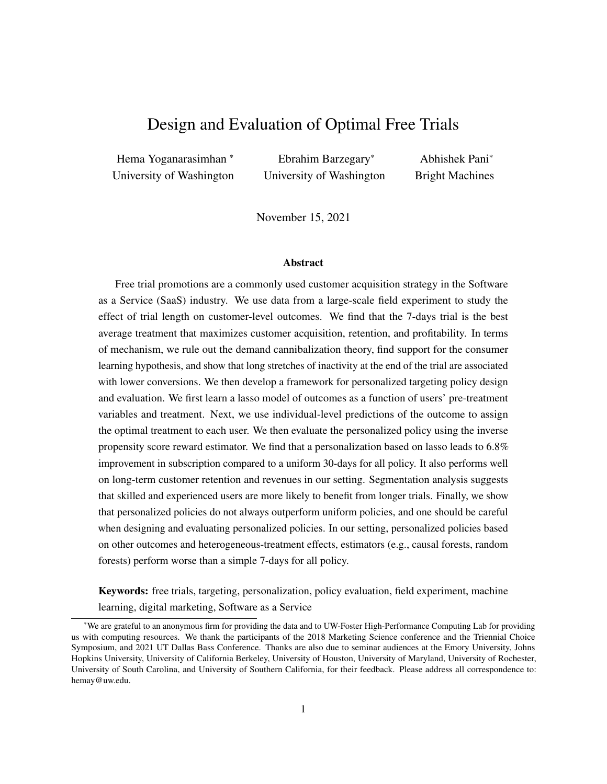in the first step. Formally,  $\alpha_i(x)$  is given by  $\alpha_i(x) = \frac{1}{B} \sum_{b=1}^{B} \alpha_{bi}(x)$ , where  $\alpha_{bi}(x) = \frac{\mathbf{1}(X_i \cdot Z_i b(x))}{\int_{b}(x)}$ , B is the total number of trees built in the first step, and  $l_b(x)$  is the partition that x belongs to in the b-th tree.

In the second step, the algorithm uses the idea of a weighted kernel regression to calculate the treatment effect at each point x using weights  $\alpha_i(x)$  as follows:

$$
\hat{\tau}(x) = \frac{\sum\limits_{i=l}^{N} \alpha_i(x) \left(Y_i - \hat{m}^{(-i)}(X_i)\right) \left(W_i - e^{(-i)}(X_i)\right)}{\sum\limits_{i=l}^{N} \alpha_i(x) \left(W_i - e^{(-i)}(X_i)\right)^2}, \tag{A.10}
$$

As with all supervised learning models, we need to do hyper-parameter optimization to prevent causal forest from overfitting. We refer readers to Appendix  $\lambda$ [F](#page-41-0) for details on this.<sup>[6](#page-40-0)</sup>

<span id="page-40-0"></span><sup>6</sup>[Athey and Imbens](#page-29-1) [\(2016\)](#page-29-1) propose an additional approach to avoid over-fitting in causal tree and causal forest – honest splitting. The main idea behind honesty is to split the data into two parts and use one part for growing each tree (i.e., generating the partitions) and the other part for estimating the treatment effects given a partition. Since the two data-sets are independent of one another, there is a lower likelihood of over-fitting. However, honest splitting comes with its own costs – it reduces the amount of data we have for learning in both stages by half. In settings where the magnitude of the treatment effects is small (such as ours), honest splitting can adversely affect the performance of models. Indeed, we found that models based on honest splitting lead to worse policies compared to models without honest splitting in our setting. So we do not employ honest splitting in our analysis.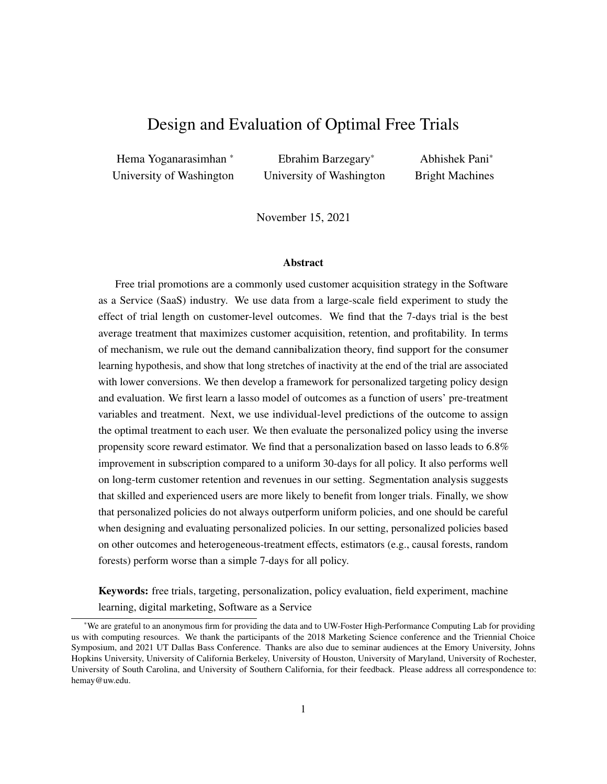#### <span id="page-41-0"></span>F Hyper-parameter Optimization for the Models Estimated

For each alternative model that we use, we describe the hyper-parameters associated with it and the optimal hyper-parameters that we derive after tuning. In all cases, we use five-fold cross-validation to optimize the hyper-parameters. We then train a model on the entire training data using the optimal hyper-parameters, and report the performance of this model on both the training and test data.

Linear regression does not use any hyper-parameters and hence does not require validation. In this case, we simply train the model on the full training data to infer the model parameters and report the model's performance on both the training and test data.

For the remaining tree-based models, we directly feed in the 82 dummy variables for the pre-treatment characteristics and the three treatment dummies. Specifically for CART, we use the package *rpart* in R, which implements a single tree proposed by [\(Breiman et al., 1984\)](#page-52-0). We only need to pick the complexity parameter  $(\zeta)$  using cross validation in this case. We search over 3886 different values for  $\zeta$  ranging from 8.6 10  $<sup>11</sup>$  to 1.7 10 <sup>1</sup>, and derive the optimal complexity parameter as 5.4  $<sup>5</sup>$ .</sup></sup>

For Random Forest, we use the package *sklearn* in Python. There are three hyper-parameters in this case – (1)  $n_{tree}$ , the number of trees over which we build our ensemble forest, (2) max<sub>f</sub>, the maximum number of features the algorithm try for any split (it can be either all the features or the squared root of the number of features), and (3)  $n_{\text{min}}$ , the minimum number of samples required to split an internal node.

The standard method for finding hyper-parameters is grid-search. However, grid-search is very costly and time-consuming when we have to tune many hyper-parameters. So we use the hyperopt package for tuning the hyper-parameters in this model. Hyperopt provides an automated and fast hyper-parameter optimization procedure that is less sensitive to researcher's choice of searched hyper-parameter values; see [Bergstra et al.](#page-52-13) [\(2011,](#page-52-13) [2013\)](#page-52-14) for details.

For each of these hyper-parameters, we now define the range over which we search as well as the optimal value of the hyper-parameter are shown below:

 $n_{tree}$  2 [100, 1200] and  $n_{tree}$  = 1000 max $f \geq f_n$ , sqrt $(n)$ g and max $f = n$  $n_{\text{min}}$  2 [10, 300] and  $n_{\text{min}}$  = 70

XGBoost also has many hyper-parameters that need tuning. However, we found that our results is sensitive to only three of the parameters:  $\alpha$ ,  $\eta$ , and  $d_{\text{max}}$ . The first parameter,  $\alpha$ , is an L1 regularization parameter,  $\eta$  is the shrinkage parameter or learning rate,  $d_{\text{max}}$  is maximum depth of trees. Again, we use the hyperopt package to search over a wide range of parameter values. The optimal values are shown below:

 $\alpha$  2 f0.1, 0.2, 0.5, 1, 2, 5, 10, 15, 20, 25q and  $\alpha$  = 20  $\eta$  2 [0, 1] and  $\eta$  = 0.59  $d_{\text{max}}$  2 fb, 8, 10, 12g and  $d_{\text{max}}$  = 12

Causal tree has two hyper-parameters that needs tuning – (1) the complexity parameter ( $\zeta$ ) and the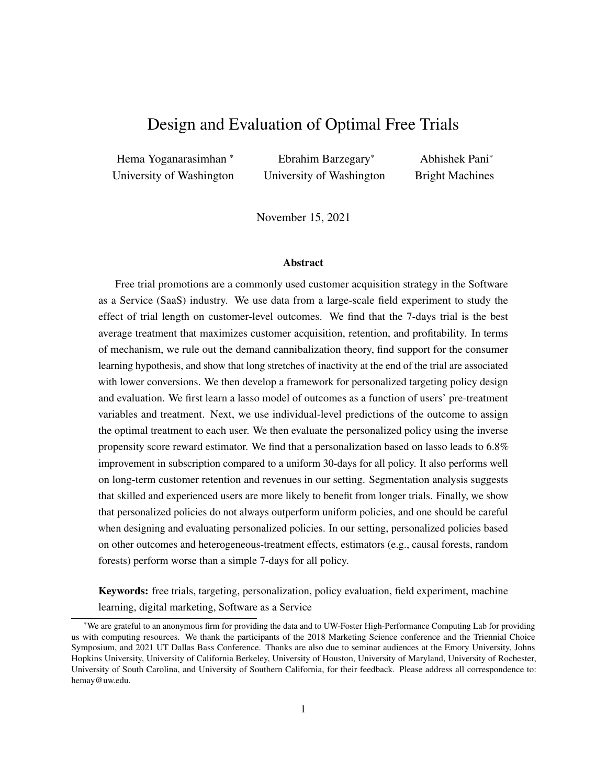minimum number of treatment and control observations in each leaf  $(q)$ . We use the cross-validation procedure in the "causalTree" package in R for tuning  $\zeta$ . We manually tune q using grid-search over the range [100, 1000] in increments of 100. We search over all possible values of  $\zeta$  for each q.

The optimal hyper-parameters for the three trees (one for each pair of treatments) are:

The tree for 7 and 14 days pair:  $\zeta = 1.8e$  05 and  $q = 100$ .

The tree for 7 and 30 days pair:  $\zeta = 8.0e$  06 and  $q = 100$ .

The tree for 14 and 30 days pair:  $\zeta = 3.0e$  06 and  $q = 900$ .

Causal forest has five hyper-parameters that need to be tuned<sup>[7](#page-42-0)</sup>: (i)  $frac$ , the fraction of data that is used fr training each tree, (ii)  $mtry$ , the number of variables tried for each split, (iii)  $max\_imb$  the maximum allowed imbalance of a split, (iv) *imb pen*, a penalty term for imbalanced splits, (v) q, the minimum number of observations per condition (control, treatment) in each partition.<sup>[8](#page-42-1)</sup>

We used the hyper-parameter optimization procedure available in the grf package for tuning these hyper-parameters. The optimal hyper-parameters for each model are shown below:

7-14 days pair:  $frac = 0.5$ ,  $max\_imb = 0.11$ ,  $imb\_pen = 2.03$ ,  $mtry = 13$ , and  $q = 1651$ .

7-30 days pair:  $frac = 0.5$ ,  $max\_imb = 0.13$ ,  $imb\_pen = 2.49$ ,  $mtry = 1$ , and  $q = 4$ .

14-30 days pair:  $frac = 0.5$ ,  $max\_imb = 0.20$ ,  $imb\_pen = 5.11$ ,  $mtry = 7$ , and  $q = 121$ .

<span id="page-42-0"></span><sup>&</sup>lt;sup>7</sup>For more information please visit https://github.com/grf-labs/grf/blob/master/REFERENCE.md

<span id="page-42-1"></span><sup>&</sup>lt;sup>8</sup>The GRF algorithm estimates outcomes and propensities in the first step. However, in our setting, we do not need to estimate propensity scores since they are known and constant for each observation since treatment assignment is fully randomized. Our qualitative results remain the same if we instead estimate them from the data.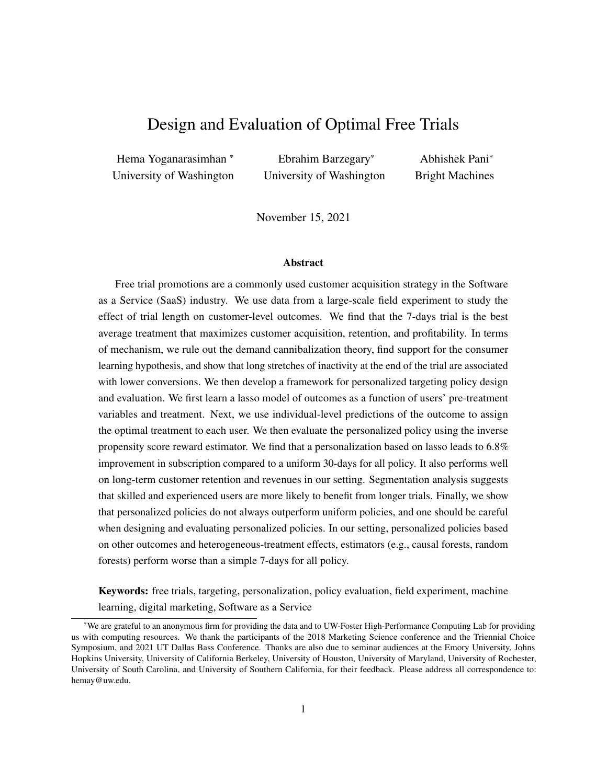| Policy-prescribed<br><b>Treatment</b> | 14       | 30 | req   | lasso | cart | r_forest | $x\ddot{\theta}$ | $c_{\textit{}}$ | c_forest |
|---------------------------------------|----------|----|-------|-------|------|----------|------------------|-----------------|----------|
| 7 Days                                |          |    | 0.521 | 0.689 |      | 0.444    | 0.697            |                 | 0.911    |
| 14 Days                               |          |    | 0.322 | 0.232 |      | 0.269    | 0.185            | O               | 0.089    |
| 30 Days                               | $\theta$ |    | 0.157 | 0.079 |      | 0.287    | 0.118            | $\theta$        |          |
| <b>Total</b>                          |          |    |       |       |      |          |                  |                 |          |

#### <span id="page-43-1"></span><span id="page-43-0"></span>G Appendix for Empirical Results on Alternative Personalized Policies

Table A8: Fraction of users assigned the 7-, 14-, and 30-day trials under counterfactual policies (in test data).

<span id="page-43-2"></span>First, in Table [A8,](#page-43-0) we show the distribution of the three treatments (7, 14, and 30 days) varies under the alternative policies.

| Method            | <b>Mean Squared Error</b> |                 |  |  |  |  |
|-------------------|---------------------------|-----------------|--|--|--|--|
|                   | <b>Training Set</b>       | <b>Test Set</b> |  |  |  |  |
| Linear Regression | 0.0932                    | 0.0933          |  |  |  |  |
| Lasso             | 0.0933                    | 0.0933          |  |  |  |  |
| <b>CART</b>       | 0.0916                    | 0.0920          |  |  |  |  |
| Random Forest     | 0.0904                    | 0.0915          |  |  |  |  |
| <b>XGB</b> oost   | 0.0905                    | 0.0911          |  |  |  |  |

Table A9: Comparison of the predictive performance of the five outcome estimation methods. The MSE for any method are calculated as  $\frac{\sum_{i=1}^{N} (\hat{y}_i - y_i)^2}{N}$  $\frac{y_i - y_i}{N}$ , where  $\hat{y}_i$  is the prediction of  $y_i$  and N is the number of data-points in the data-set being considered.

Next, in Table [A9,](#page-43-2) we present the MSE for the five outcome estimators on both training and test data. We find that linear regression and lasso are the worst in terms of model-fit, with XGBoost performing the best. This finding is consistent with earlier papers that have found XGBoost to be the best outcome prediction method in tasks involving prediction of human behavior [\(Rafieian and Yoganarasimhan, 2020;](#page-52-15) [Rafieian,](#page-30-9) [2019\)](#page-30-9). However, the tree-based models – CART, Random Forest, and XGBoost – suffer from over-fitting in spite of hyper-parameter tuning. That is, their performance on the test data is worse than that on training data. For the heterogeneous treatment effects estimators, we cannot compare the estimates of treatment effects with any ground truth since we (as researchers/managers) do not know the true treatment effects.

Finally, in Figure [A2,](#page-44-0) we show the CDFs of the estimated CATEs for the 7 vs. 14 day and 14 vs. 30 treatments for all the methods.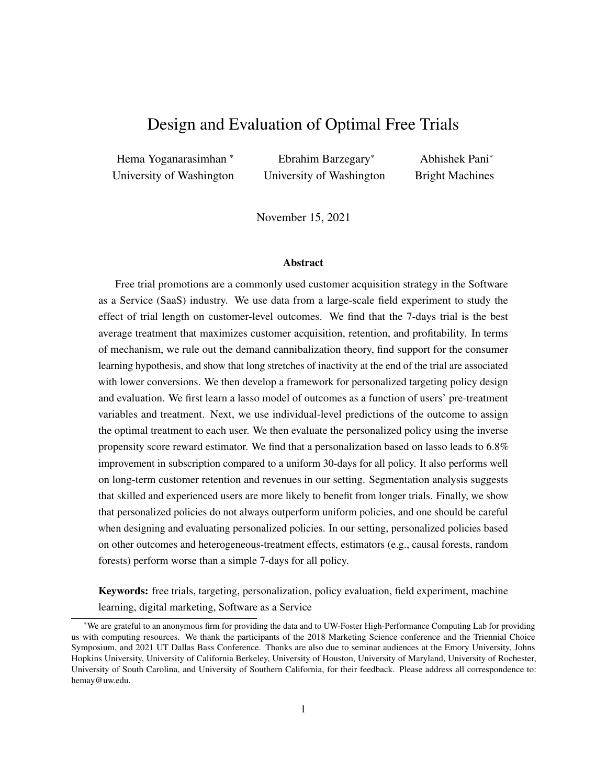<span id="page-44-0"></span>

Figure A2: The CDF of estimated CATEs for 7 vs 14 days, and 14 vs 30 days of free trial from using different methods (for test data).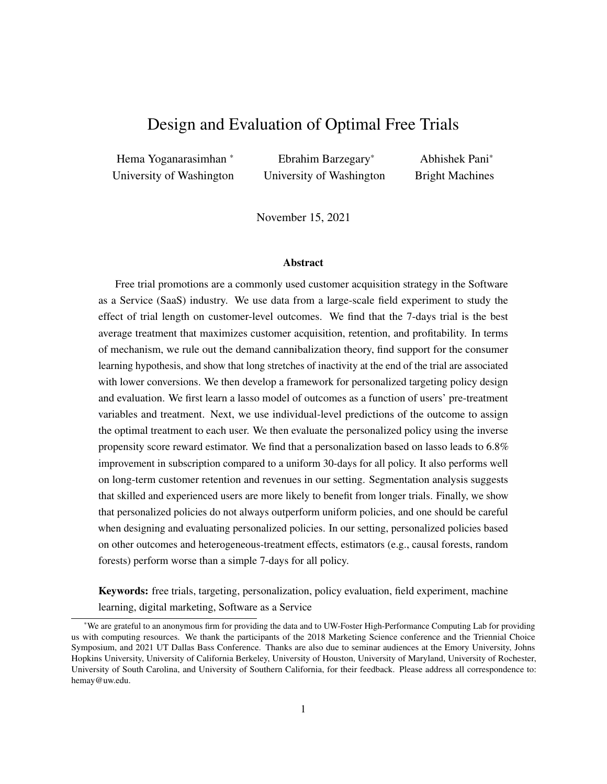# <span id="page-45-0"></span>**H** Appendix for  $x$ **[6](#page-21-0)**

This section is organized as follows. First, in x[H.1,](#page-45-1) we quantify the heterogeneity in the effect of trial length on post-treatment usage. Next, in x[H.2,](#page-47-0) we quantify the heterogeneity in the effect of usage on subscription. Then, in x[H.3,](#page-48-0) we show how these heterogeneous responses are consistent with the user's pre-treatment demographic variables. Finally, in x[H.4,](#page-49-0) we provide additional evidence to rule out the demand cannibalization hypothesis.

<span id="page-45-2"></span>

| <b>Outcome variable</b>    | Intercept      | 14-days optimal segment | 30-days optimal segment | $R^2$ | N       |
|----------------------------|----------------|-------------------------|-------------------------|-------|---------|
| Total downloaded products  | 1.135(0.001)   | 0.065(0.002)            | 0.002(0.003)            | 0.005 | 337,724 |
| Indicator for software use | 0.833(0.001)   | 0.015(0.002)            | $-0.03(0.003)$          | 0.001 | 303.514 |
| Number of active days      | 2.75(0.008)    | 1.116(0.017)            | 0.445(0.027)            | 0.014 | 303,514 |
| Log usage during trial     | 4.992 (0.006)  | 0.43(0.012)             | $-0.034(0.019)$         | 0.004 | 303.514 |
| Dormancy length            | 17.465 (0.024) | $-2.304(0.049)$         | $-0.953(0.077)$         | 0.007 | 303.514 |

<span id="page-45-1"></span>H.1 Heterogeneity in Post-treatment Usage Across Segments

Table A10: Regressions of different usage variables on the users' optimal trial length. Each row denotes a separate regression, with the first column showing the outcome variable of that regression. Standard errors in parentheses.

<span id="page-45-4"></span>

| <b>Variable</b>                       | <b>Number of active days</b> | Log usage during trial | <b>Dormancy length</b> |
|---------------------------------------|------------------------------|------------------------|------------------------|
| Intercept                             | 1.676(0.022)                 | 4.732(0.015)           | 4.732(0.051)           |
| 14-days trial                         | 0.519(0.03)                  | 0.148(0.022)           | 5.343 (0.072)          |
| 30-days trial                         | 1.427(0.024)                 | 0.341(0.017)           | 17.09(0.056)           |
| 14-days optimal segment               | 0.297(0.044)                 | 0.222(0.031)           | $-0.422(0.103)$        |
| 14-days optimal segment 14-days trial | 0.41(0.062)                  | 0.175(0.044)           | $-0.791(0.145)$        |
| 14-days optimal segment 30-days trial | 1.086(0.048)                 | 0.261(0.034)           | $-2.519(0.114)$        |
| 30-days optimal segment               | 0.05(0.068)                  | $-0.158(0.049)$        | $-0.079(0.162)$        |
| 30-days optimal segment 14-days trial | 0.176(0.097)                 | 0.118(0.068)           | $-0.394(0.228)$        |
| 30-days optimal segment 30 days trial | 0.523(0.075)                 | 0.15(0.053)            | $-1.21(0.178)$         |
| R-squared                             | 0.044                        | 0.008                  | 0.346                  |
| Number of observations                | 303.514                      | 303.514                | 303,514                |

Table A11: Regression of different usage features on the interaction of trial length, and optimal trial length. Standard errors in parentheses.

We start with Table [A10,](#page-45-2) which shows how the three segments differ in their usage behavior based on five different regressions. Each regression in this table uses a specific usage feature as the outcome variable and the user's segment (or optimal treatment) as the explanatory variable. The 7-day optimal segment is the baseline in all the regressions (and is denoted by the intercept). <sup>[9](#page-45-3)</sup> We find that the 14-day optimal users download and use the product more compared to the 7-day optimal users (positive coefficients in the regressions using log usage and number of active days) and they tend to remain active longer than both the 7 and 30-day optimal users (negative coefficient of dormancy length). In contrast, the 30-day optimal users do

<span id="page-45-3"></span><sup>&</sup>lt;sup>9</sup>We do not control for the actual treatment assignment here since it is randomly assigned, and therefore orthogonal to a user's optimal treatment.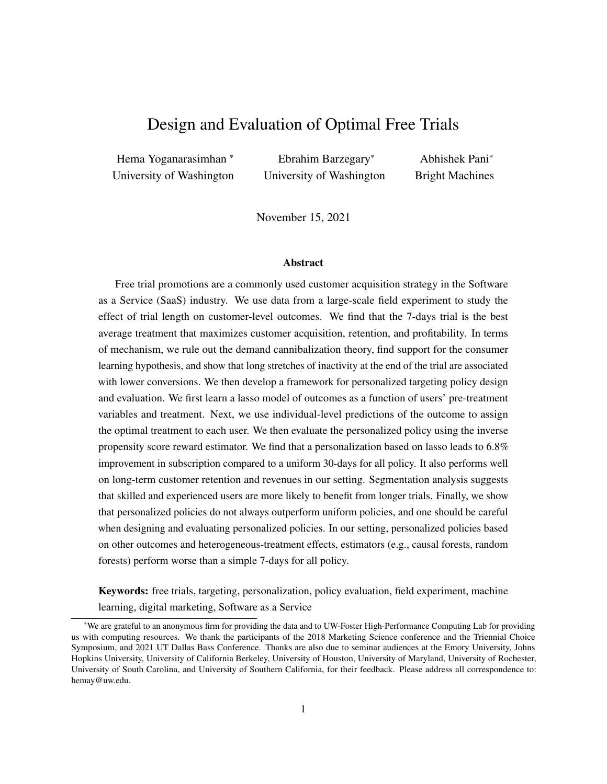not use the product significantly more than the 7-day optimal users, but they have somewhat shorter dormancy periods. Overall, this suggests that 7-day optimal users use the product the least and become inactive the soonest, while the 14-day optimal use it the most and are active for the longest.

Next, we examine how these three segments behave under different trial lengths. In Table [A11,](#page-45-4) we present the results from three regressions, where the outcome variable in each regression is a usage feature (Number of active days, Log usage, or Dormancy length) and the explanatory variables are the user's optimal treatment, the actual treatment assigned to her, and the interaction effects. In all these regressions, the intercept refers to the baseline of 7-day optimal users when they are assigned the 7-day trial. We find that, compared to the 7-day optimal users, the 14-day optimal users use the product more and have shorter period of inactivity at the end, as their trial length increases. Next, consider the 30-day optimal users: these users use the product less when they get 7 days (compared to the 7-day optimal users). Further, when these users get 30 days, they use it more and their dormancy period is shorter. However, when these users are given 14 days, we don't see any significant improvement in their usage or reduction in their dormancy period. Thus, these users really need the longer 30-day trial to register higher usage and have shorter periods of dormancy.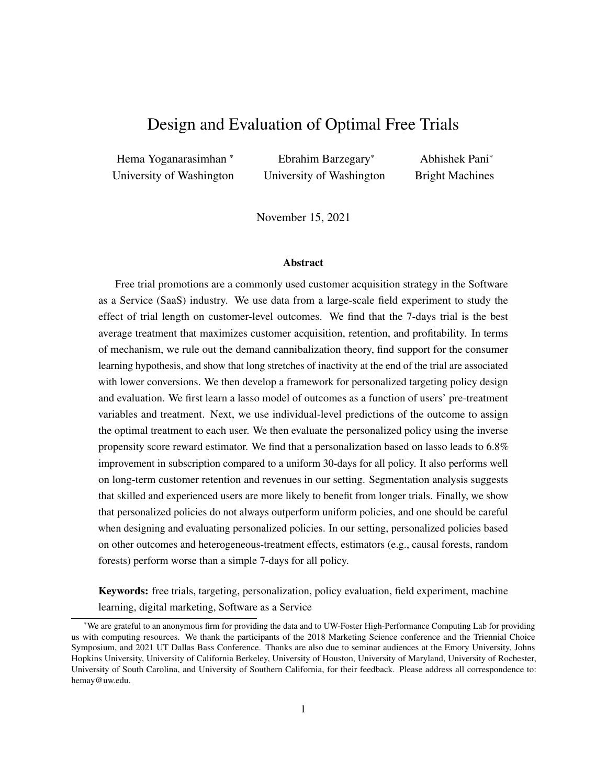#### <span id="page-47-0"></span>H.2 Heterogeneity in the Effect of usage on Subscription

So far, we have shown how the three segments differ in their usage behavior as a function of trial length; i.e., we have focused on the left side of Figure [3.](#page-15-1) Now we examine the heterogeneity in the effect of usage on subscription across the three segments, i.e., we focus on the right hand side of Figure [3.](#page-15-1) Table [A12](#page-47-1) presents the results from regressing the user's subscription outcome on her optimal treatment/segment and her usage features, and the interactions of these two sets of variables. There are two key findings here. First, For 7 and 30-day optimal users, the effect of usage on subscription is similar. However, notice that for the 14-day optimal segment, the effect of usage on subscription is much smaller (the interaction between 14-days optimal segment and log usage is negative). This implies that while longer trials have a positive impact on usage for 14-day optimal segment, more usage doesn't lead to higher conversions in this segment. Second, for 7-days optimal users, dormancy length has a large negative effect on subscription. For the 14-days optimal users, the negative effect of dormancy length is still there, but is somewhat smaller. For the 30 day people, the negative effect is the smallest.

<span id="page-47-1"></span>

|                                                       | coef      | std err | z         | P >  Z | [0.025]  | $0.975$ ] |
|-------------------------------------------------------|-----------|---------|-----------|--------|----------|-----------|
| Intercept                                             | $-2.3522$ | 0.140   | $-16.838$ | 0.000  | $-2.626$ | $-2.078$  |
| 14-days trial                                         | 0.0301    | 0.023   | 1.297     | 0.195  | $-0.015$ | 0.076     |
| 30-days trial                                         | 0.1780    | 0.025   | 7.205     | 0.000  | 0.130    | 0.226     |
| 14-days optimal segment                               | 0.2007    | 0.063   | 3.182     | 0.001  | 0.077    | 0.324     |
| 30-days optimal segment                               | 0.0237    | 0.094   | 0.252     | 0.801  | $-0.161$ | 0.208     |
| Number of active days                                 | 0.0497    | 0.003   | 16.984    | 0.000  | 0.044    | 0.055     |
| Number of active days 14-days optimal segment         | $-0.0126$ | 0.004   | $-3.030$  | 0.002  | $-0.021$ | $-0.004$  |
| Number of active days 30-days optimal segment         | 0.0001    | 0.007   | 0.019     | 0.985  | $-0.013$ | 0.013     |
| Log usage during trial                                | 0.0712    | 0.007   | 9.723     | 0.000  | 0.057    | 0.086     |
| Log usage during trial 14-days optimal segment        | $-0.0303$ | 0.012   | $-2.572$  | 0.010  | $-0.053$ | $-0.007$  |
| Log usage during trial 30-days optimal segment        | 0.0016    | 0.019   | 0.086     | 0.931  | $-0.035$ | 0.038     |
| Dormancy length                                       | $-0.0317$ | 0.001   | $-27.513$ | 0.000  | $-0.034$ | $-0.029$  |
| Dormancy length 14-days optimal segment               | 0.0039    | 0.002   | 2.590     | 0.010  | 0.001    | 0.007     |
| Dormancy length 30-days optimal segment               | 0.0102    | 0.002   | 4.344     | 0.000  | 0.006    | 0.015     |
| Indicator for software use                            | $-0.5910$ | 0.047   | $-12.463$ | 0.000  | $-0.684$ | $-0.498$  |
| Indicator for software use<br>14-days optimal segment | 0.2351    | 0.076   | 3.075     | 0.002  | 0.085    | 0.385     |
| Indicator for software use 30-days optimal segment    | 0.0076    | 0.118   | 0.064     | 0.949  | $-0.224$ | 0.240     |
| Total downloaded products                             | 0.6077    | 0.017   | 35.734    | 0.000  | 0.574    | 0.641     |
| Total downloaded products<br>14-days optimal segment  | $-0.1124$ | 0.027   | $-4.098$  | 0.000  | $-0.166$ | $-0.059$  |
| Total downloaded products<br>30-days optimal segment  | $-0.0640$ | 0.045   | $-1.422$  | 0.155  | $-0.152$ | 0.024     |

Table A12: Regressing subscription on usage features interacted with optimal trial length. We also control for pre-treatment variables. The number of observations is 303, 514, and the pseudo R-squared is 0.292.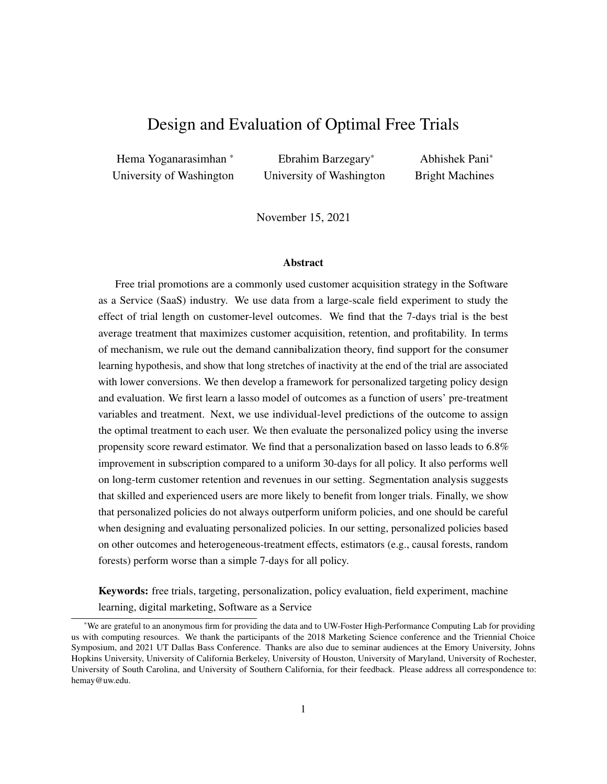# <span id="page-48-0"></span>H.3 Pre- and Post-Treatment Attributes of the Segments

<span id="page-48-1"></span>We now show the distributions of the pre-treatment demographics and post-treatment subscription outcomes for the three segments in Tables [A13](#page-48-1) and [A14.](#page-49-1)

| <b>Variable</b>         | <b>Value</b>         | Population | <b>Policy Assigned Treatment</b> |         |         |  |
|-------------------------|----------------------|------------|----------------------------------|---------|---------|--|
|                         |                      |            | 30 Days                          | 14 Days | 7 Days  |  |
|                         | <b>United States</b> | 54.9%      | 55.9%                            | 45.8%   | 57.9%   |  |
|                         | Germany              | 8.9%       | 8.2%                             | 16.0%   | 6.6%    |  |
| Country                 | Japan                | 7.9%       | 9.7%                             | 11.5%   | 6.4%    |  |
|                         | Other                | 28.3%      | 26.2%                            | 26.8%   | 29.1%   |  |
|                         | Total                | 100%       | 100%                             | 100%    | 100%    |  |
|                         | Windows 10           | 29.0%      | 9.0%                             | 11.9%   | 37.0%   |  |
|                         | Windows 7            | 21.5%      | 46.8%                            | 21.7%   | 18.5%   |  |
|                         | Windows 8.1          | 14.1%      | $0.9\%$                          | 22.6%   | 12.7%   |  |
| <b>Operating System</b> | El Capitan           | 13.9%      | 30.8%                            | 18.0%   | 10.6%   |  |
|                         | Yosemite             | 13.4%      | 3.3%                             | 22.0%   | 11.7%   |  |
|                         | Other                | 8.2%       | 9.2%                             | 4.0%    | 9.4%    |  |
|                         | Total                | 100%       | 100%                             | 100%    | 100%    |  |
|                         | Beginner             | 68.9%      | 33.8%                            | 41.1%   | 82.3%   |  |
|                         | Experienced          | 12.8%      | 41.6%                            | 22.0%   | 6.4%    |  |
| <b>Skill</b>            | Mixed                | 10.7%      | 2.0%                             | 35.0%   | 3.6%    |  |
|                         | <b>Unknown</b>       | 7.5%       | 21.8%                            | 1.9%    | 7.7%    |  |
|                         | Intermediate         | 0.1%       | 0.7%                             | $0.0\%$ | $0.0\%$ |  |
|                         | Total                | 100%       | 100%                             | 100%    | 100%    |  |
|                         | <b>Student</b>       | 28.1%      | 12.7%                            | 13.1%   | 34.9%   |  |
|                         | <b>Unknown</b>       | 22.0%      | 69.8%                            | 16.2%   | 18.5%   |  |
| Job.                    | Hobbyist             | 20.0%      | 7.3%                             | 20.0%   | 21.5%   |  |
|                         | Other                | 29.8%      | 10.3%                            | 50.7%   | 25.1%   |  |
|                         | Total                | 100%       | 100%                             | 100%    | 100%    |  |
|                         | Website              | 81.6%      | 65.2%                            | 76.1%   | 85.3%   |  |
| <b>Signup Channel</b>   | App Manager          | 8.2%       | 17.7%                            | 5.3%    | 8.1%    |  |
|                         | Other                | 10.2%      | 17.1%                            | 18.7%   | 6.6%    |  |
|                         | <b>Total</b>         | 100%       | 100%                             | 100%    | 100%    |  |

Table A13: Distribution of users' pre-treatment attributes for the three segments: those assigned to the 7-day condition, those assigned to the 14-day condition, and those assigned to the 30-day condition. (For each categorical variable, we show the fractions only for the top few categories in the interest of space.)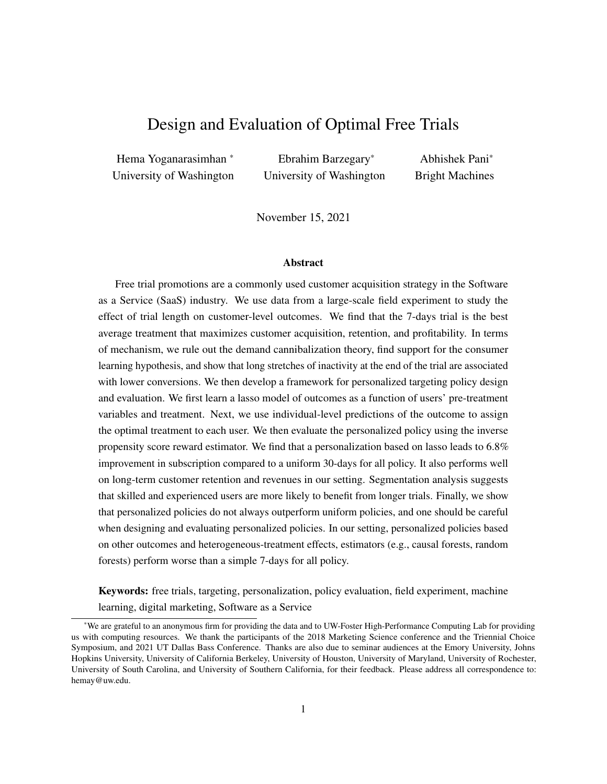<span id="page-49-1"></span>

|                          |                   | <b>Policy Assigned Treatment</b> |          |         |  |
|--------------------------|-------------------|----------------------------------|----------|---------|--|
| Variable                 | <b>Population</b> | 30 Days                          | 14 Days  | 7 Days  |  |
|                          |                   | Mean                             |          |         |  |
| Subscription rate        | 14.8%             | $17.0\%$                         | $29.1\%$ | 9.8%    |  |
| Revenue                  | \$536             | \$545                            | \$546    | \$524   |  |
| Retention (months)       | 16.1              | 17.3                             | 16.0     | 16.1    |  |
|                          |                   | Fraction                         |          |         |  |
| <b>Purchased Bundle</b>  |                   |                                  |          |         |  |
| <i>Bundle I</i>          | 55.9%             | 57.5%                            | 55.4%    | 55.9%   |  |
| All inclusive            | 21.5%             | 20.3%                            | 21.6%    | 21.7%   |  |
| <b>Single Product</b>    | 19.2%             | 16.7%                            | 19.2%    | 19.8%   |  |
| Other                    | 3.4%              | 5.5%                             | 3.8%     | 2.6%    |  |
| Total                    | $100\%$           | 100%                             | $100\%$  | $100\%$ |  |
| <b>Subscription Type</b> |                   |                                  |          |         |  |
| Commercial               | 79.1%             | 79.0%                            | 81.0%    | 77.3%   |  |
| Education                | 20.7%             | 20.6%                            | 18.9%    | 22.7%   |  |
| Other                    | $0.1\%$           | 0.4%                             | $0.1\%$  | $0.1\%$ |  |
| Total                    | $100\%$           | 100%                             | 100%     | $100\%$ |  |

Table A14: Means and distributions of users' post-treatment attributes for the three segments: users assigned to the 7-day condition, users assigned to the 14-day condition, and users assigned to the 30-day condition.

# <span id="page-49-0"></span>H.4 Additional Evidence to Rule Out Demand Cannibalization

We now provide additional evidence to rule out the demand cannibalization hypothesis. In Figure [A3,](#page-50-3) we show that beginners who use the product more when assigned to the 14– and 30-day condition are more likely to subscribe when they use the product more. This rules out the possibility that these users are less likely to subscribe when assigned to the 14 and 30-day condition because they have already obtained their use for the product. Similarly, Table [A15](#page-49-2) shows that beginners who use the product more are more likely to subscribe, even after controlling for all the other user-specific variables.

<span id="page-49-2"></span>

|                                  | coef      | std err | z         | P > izi | [0.025]  | 0.9751   |
|----------------------------------|-----------|---------|-----------|---------|----------|----------|
| Indicator for using the software | $-0.5764$ | 0.035   | $-16.432$ | 0.000   | $-0.645$ | $-0.508$ |
| Total downloaded packages        | 0.5714    | 0.012   | 46.194    | 0.000   | 0.547    | 0.596    |
| Number of active days            | 0.0477    | 0.002   | 21.734    | 0.000   | 0.043    | 0.052    |
| Log usage during trial           | 0.0728    | 0.005   | 13.688    | 0.000   | 0.062    | 0.083    |
| Dormancy length                  | $-0.0322$ | 0.001   | $-33.883$ | 0.000   | $-0.034$ | $-0.030$ |

Table A15: Regression of subscription on usage features and trial length, with all the pre-treatment variables included as controls (not shown in the table above) for beginner users.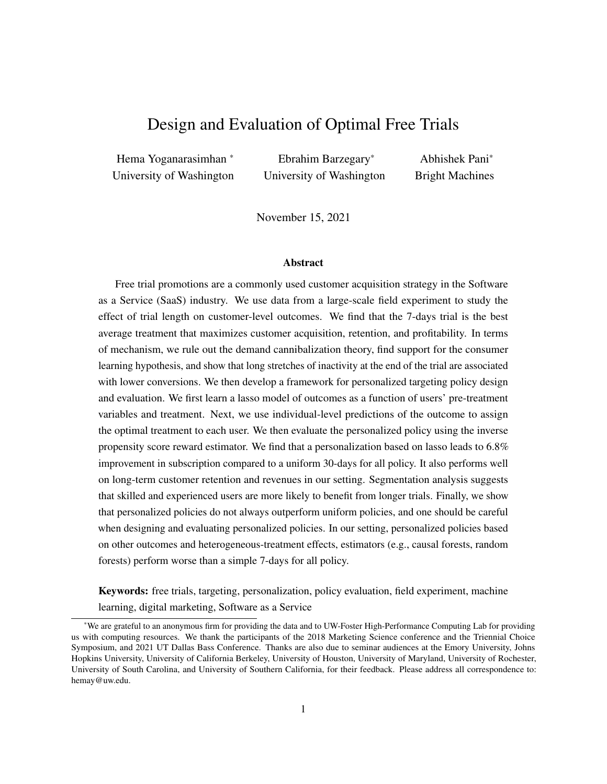<span id="page-50-3"></span>

Figure A3: Subscription probability of *beginner* users with different total active days. The subscription probability increases as the total active days increases.

# <span id="page-50-1"></span><span id="page-50-0"></span>I Appendix for  $x/7.2$  $x/7.2$

|                     | <b>Subscription Length</b> |      |     |     |     |        |     |
|---------------------|----------------------------|------|-----|-----|-----|--------|-----|
| <b>Trial Length</b> | Mean                       | Std  | Min | 25% | 50% | $75\%$ | Max |
| 7 Days              | 15.13                      | 9.31 |     |     | 16  | 22     | 73  |
| 14 Days             | 15.04                      | 9.11 |     | 8   | 16  | 22.    | 67  |
| 30 Days             | 14.81                      | 9.05 |     | 8   | 16  | 22.    | 108 |

Table A16: The summary statistics of the subscribed users' total months of subscription.

<span id="page-50-2"></span>

| Trial   | <b>Subscribed Bundle</b> |                      |                       |                  |      |                   | <b>Subscription Type</b> |            |
|---------|--------------------------|----------------------|-----------------------|------------------|------|-------------------|--------------------------|------------|
| Length  |                          | <b>All Inclusive</b> | <b>Single Product</b> | $\boldsymbol{4}$ |      | <b>Commercial</b> | <b>Education</b>         | Government |
| 7 Days  | 55.24                    | 22.02                | 19.44                 | 1.68             | 1.62 | 78.57             | 21.30                    | 0.13       |
| 14 Days | 55.99                    | 21.76                | 19.12                 | 1.79             | 1.34 | 79.62             | 20.25                    | 0.13       |
| 30 Days | 55.98                    | 21.64                | 18.95                 | 1.82             | 1.62 | 79.02             | 20.85                    | 0.13       |

Table A17: The fraction of each subscription bundle and type. We do not reveal the names of some of the bundles to preserve's the firm's anonymity.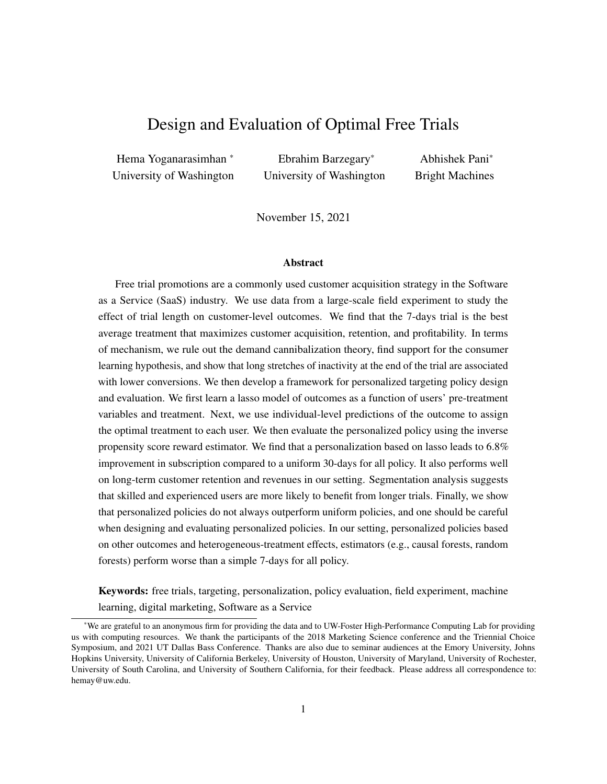# <span id="page-51-1"></span><span id="page-51-0"></span>J Appendix for  $\times 7.3$  $\times 7.3$

| Personalized policy based on   7 Days |       | 14 Days 30 Days |      | Total |
|---------------------------------------|-------|-----------------|------|-------|
| Subscription                          | 68.87 | 23.28           | 7.85 | 100   |
| Subscription Length                   | 84.17 | 15.25           | 0.58 | 100   |
| Revenue                               | 63.08 | 33.50           | 3.42 | 100   |

Table A18: The percentage of users allocated to each trial length in the three policies based on: (1) subscription, (2) subscription length, and (3) revenue.

Table [A18](#page-51-1) presents the proportion of users assigned to each trial length under the three different policies (optimized on the three different outcome variables). We see two interesting patterns here. First, when we personalize the policy to optimize subscription length, the policy has a tendency to assign shorter free trials more often. This is because users who get shorter trials are likely to subscribe sooner. The average number of days to subscription, from the start of the free-trial, is 121, 129, and 144 days for users who receive 7-, 14-, and 30- days trials, respectively. Further, we see that shorter trials lead to higher same-day subscriptions. 2.5% of users who received the 7-days trial and subscribed in the first day, whereas this number for the 14- and 30-days trials is 2% and 1.9%, respectively. Therefore, the subscription length is higher for users who received shorter trial lengths (see Table [A16](#page-50-0) in Appendix [I\)](#page-50-1). Hence, when a policy that optimizes subscription length will emphasize shorter trials. Next, we see that the policy designed to optimize revenues allocates a significantly larger proportion of users to the 14-days trial. This is because when we give 14 day trials, a slightly larger fraction of users subscribe to commercial licenses (Table [A17](#page-50-2) in Appendix [I\)](#page-50-1). Commercial licenses are significantly more expensive; so a revenue-optimizing policy tends to assign 14 days to a larger fraction of users in order increase the likelihood of commercial subscriptions. In sum, we see that the proportion of users assigned to different trial lengths can vary depending on the outcome being optimized.